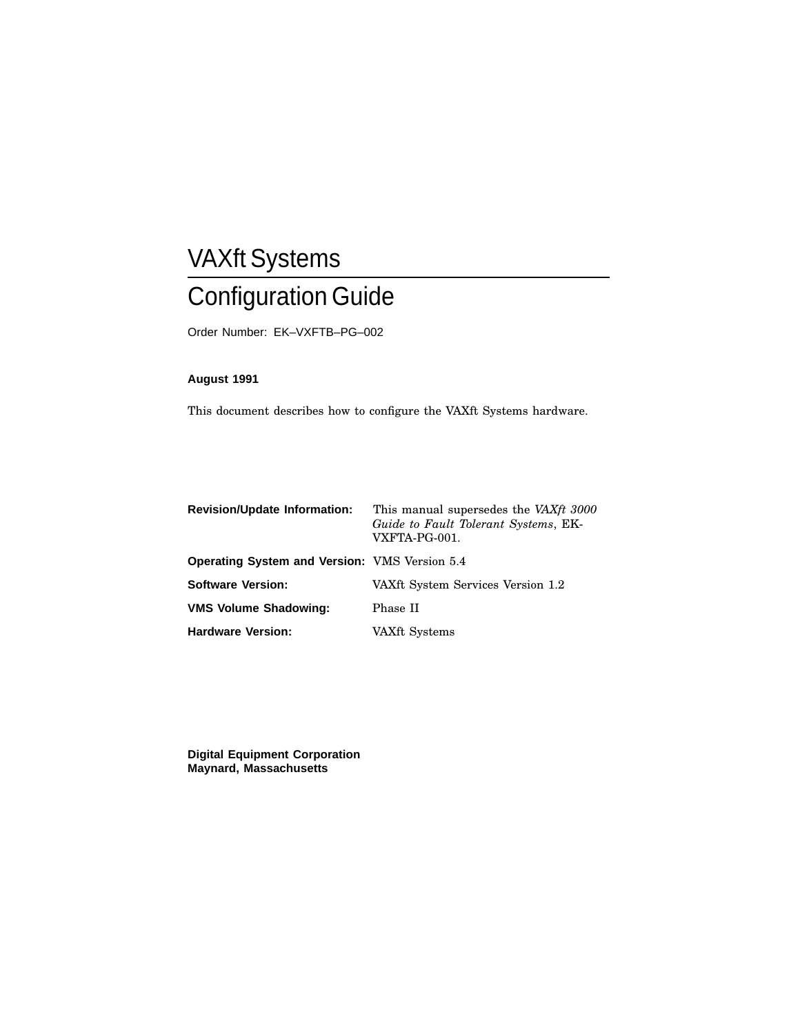# VAXft Systems Configuration Guide

Order Number: EK–VXFTB–PG–002

## **August 1991**

This document describes how to configure the VAXft Systems hardware.

| <b>Revision/Update Information:</b>                  | This manual supersedes the VAXft 3000<br>Guide to Fault Tolerant Systems, EK-<br>VXFTA-PG-001. |
|------------------------------------------------------|------------------------------------------------------------------------------------------------|
| <b>Operating System and Version: VMS Version 5.4</b> |                                                                                                |
| <b>Software Version:</b>                             | VAXft System Services Version 1.2                                                              |
| <b>VMS Volume Shadowing:</b>                         | Phase II                                                                                       |
| <b>Hardware Version:</b>                             | VAXft Systems                                                                                  |

**Digital Equipment Corporation Maynard, Massachusetts**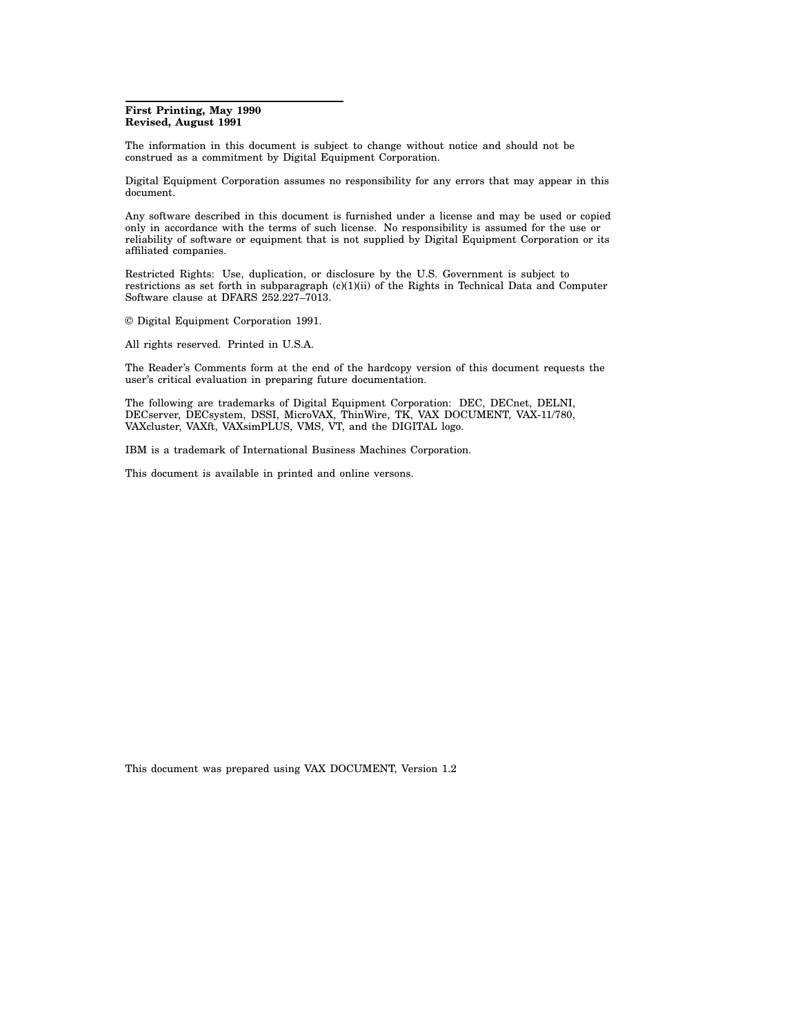#### **First Printing, May 1990 Revised, August 1991**

The information in this document is subject to change without notice and should not be construed as a commitment by Digital Equipment Corporation.

Digital Equipment Corporation assumes no responsibility for any errors that may appear in this document.

Any software described in this document is furnished under a license and may be used or copied only in accordance with the terms of such license. No responsibility is assumed for the use or reliability of software or equipment that is not supplied by Digital Equipment Corporation or its affiliated companies.

Restricted Rights: Use, duplication, or disclosure by the U.S. Government is subject to restrictions as set forth in subparagraph (c)(1)(ii) of the Rights in Technical Data and Computer Software clause at DFARS 252.227–7013.

© Digital Equipment Corporation 1991.

All rights reserved. Printed in U.S.A.

The Reader's Comments form at the end of the hardcopy version of this document requests the user's critical evaluation in preparing future documentation.

The following are trademarks of Digital Equipment Corporation: DEC, DECnet, DELNI, DECserver, DECsystem, DSSI, MicroVAX, ThinWire, TK, VAX DOCUMENT, VAX-11/780, VAXcluster, VAXft, VAXsimPLUS, VMS, VT, and the DIGITAL logo.

IBM is a trademark of International Business Machines Corporation.

This document is available in printed and online versons.

This document was prepared using VAX DOCUMENT, Version 1.2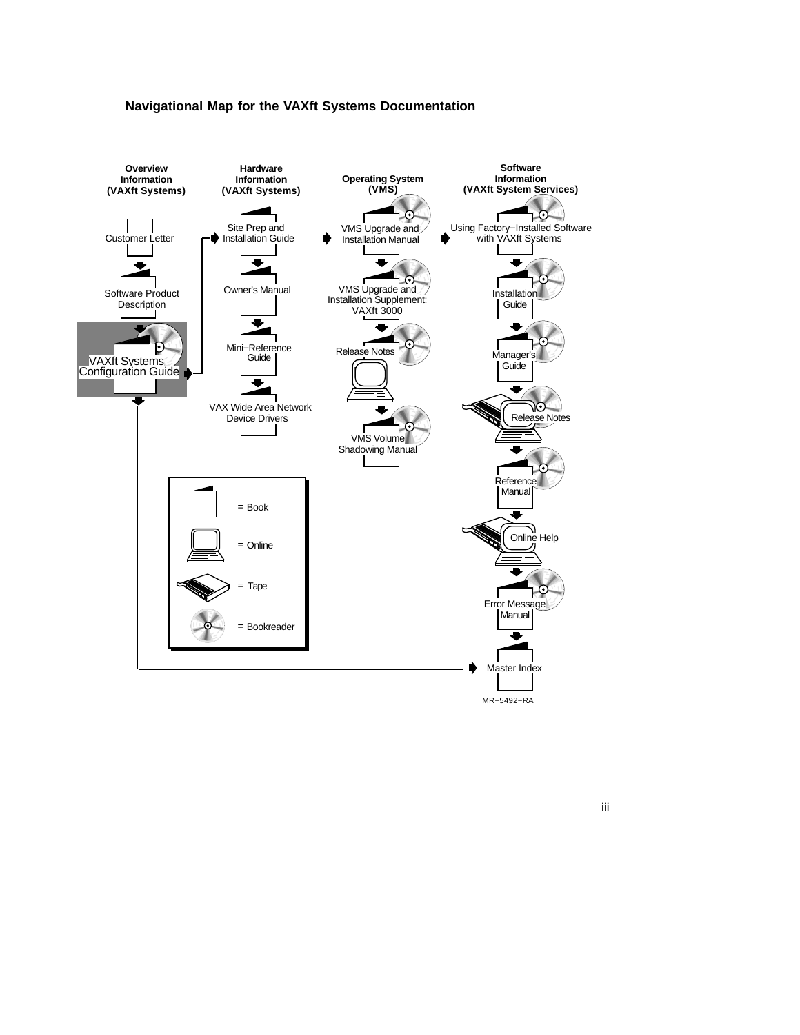



iii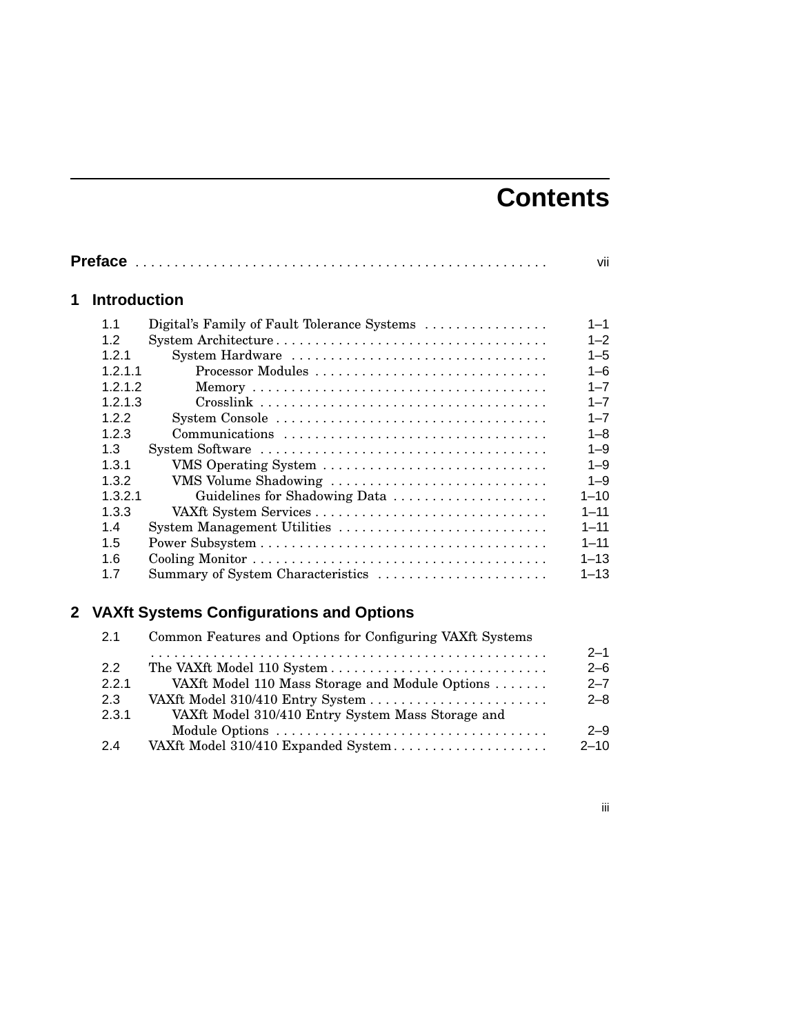# **Contents**

| <b>Introduction</b> |                                             |
|---------------------|---------------------------------------------|
| 1.1                 | Digital's Family of Fault Tolerance Systems |
| 1.2                 |                                             |
| 121                 | System Hardware                             |
| 1.2.1.1             | Processor Modules                           |
| 1.2.1.2             |                                             |
| 1.2.1.3             |                                             |
| 1.2.2               |                                             |
| 123                 |                                             |
| 1.3                 |                                             |
| 1.3.1               | VMS Operating System                        |
| 1.3.2               | VMS Volume Shadowing                        |
| 1.3.2.1             | Guidelines for Shadowing Data               |
| 1.3.3               |                                             |
| 1.4                 | System Management Utilities                 |
| 1.5                 |                                             |
| 1.6                 |                                             |
| 1.7                 | Summary of System Characteristics           |

| 2.1          | Common Features and Options for Configuring VAXft Systems |                    |
|--------------|-----------------------------------------------------------|--------------------|
| 2.2<br>2.2.1 |                                                           | $2 - 1$<br>$2 - 6$ |
| 2.3          | VAXft Model 110 Mass Storage and Module Options           | $2 - 7$<br>$2 - 8$ |
| 2.3.1        | VAXft Model 310/410 Entry System Mass Storage and         |                    |
|              |                                                           | $2 - 9$            |
| 2.4          | VAXft Model 310/410 Expanded System                       | $2 - 10$           |

iii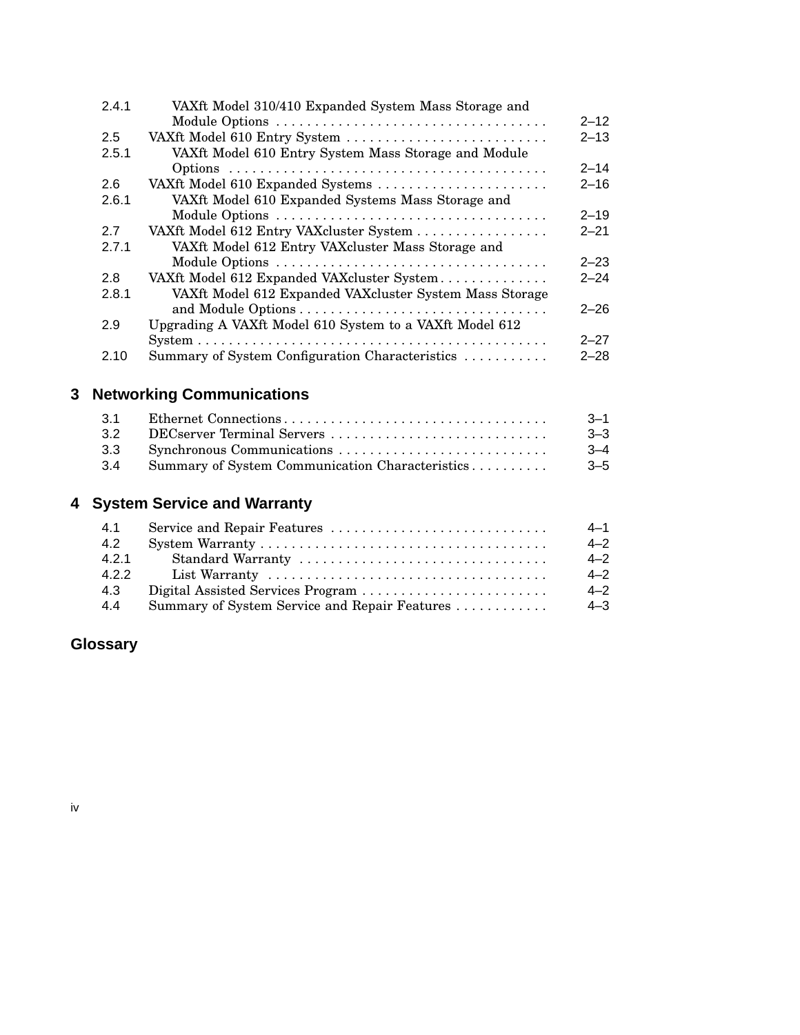| VAXft Model 310/410 Expanded System Mass Storage and    |                              |
|---------------------------------------------------------|------------------------------|
|                                                         | $2 - 12$                     |
|                                                         | $2 - 13$                     |
| VAXft Model 610 Entry System Mass Storage and Module    |                              |
|                                                         | $2 - 14$                     |
| VAXft Model 610 Expanded Systems                        | $2 - 16$                     |
| VAXft Model 610 Expanded Systems Mass Storage and       |                              |
|                                                         | $2 - 19$                     |
| VAXft Model 612 Entry VAXcluster System                 | $2 - 21$                     |
| VAXft Model 612 Entry VAXcluster Mass Storage and       |                              |
|                                                         | $2 - 23$                     |
| VAXft Model 612 Expanded VAXcluster System              | $2 - 24$                     |
| VAXft Model 612 Expanded VAXcluster System Mass Storage |                              |
|                                                         | $2 - 26$                     |
| Upgrading A VAXft Model 610 System to a VAXft Model 612 |                              |
|                                                         | $2 - 27$                     |
| Summary of System Configuration Characteristics         | $2 - 28$                     |
|                                                         | VAXft Model 610 Entry System |

## **3 Networking Communications**

| 3.1             |                                                 | $-3 - 1$ |
|-----------------|-------------------------------------------------|----------|
| 32 <sup>°</sup> |                                                 | $3 - 3$  |
| 3.3             |                                                 | $-3-4$   |
| 3.4             | Summary of System Communication Characteristics | $-3-5$   |

## **4 System Service and Warranty**

| 4.1   |                                               | $4 - 1$ |
|-------|-----------------------------------------------|---------|
| 4.2   |                                               | $4 - 2$ |
| 4.2.1 |                                               | $4 - 2$ |
| 4.2.2 |                                               | $4 - 2$ |
| 4.3   | Digital Assisted Services Program             | $4 - 2$ |
| 4.4   | Summary of System Service and Repair Features | $4 - 3$ |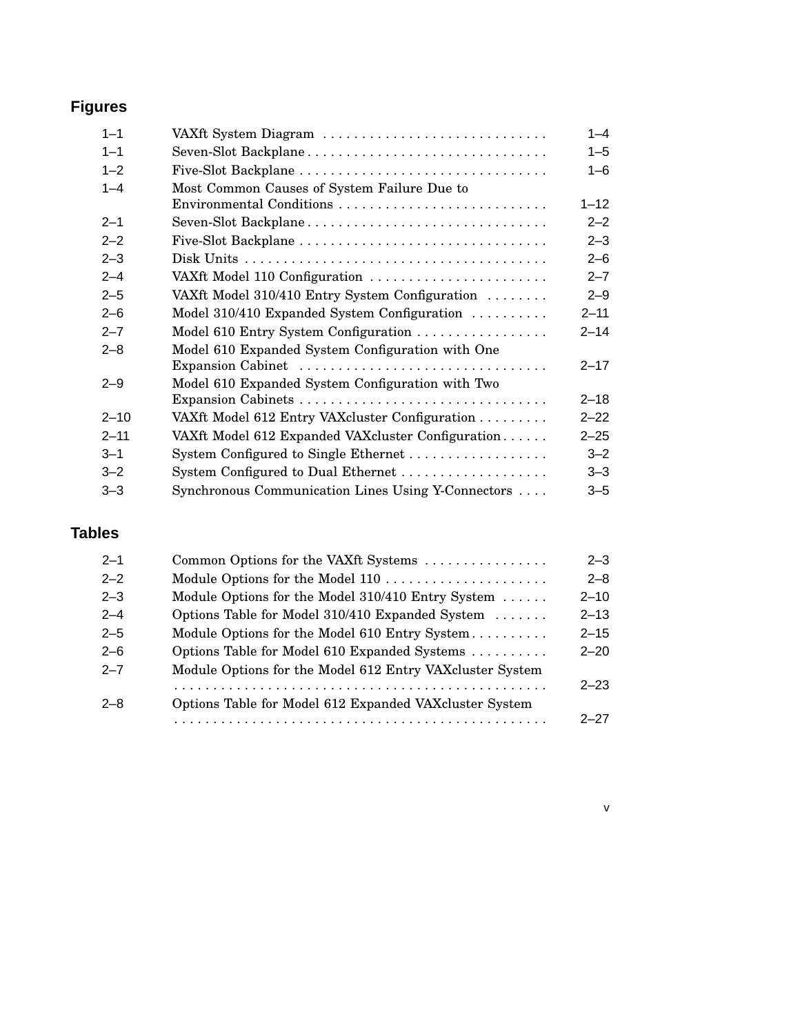## **Figures**

| VAXft System Diagram                               | $1 - 4$                  |
|----------------------------------------------------|--------------------------|
| Seven-Slot Backplane                               | $1 - 5$                  |
|                                                    | $1 - 6$                  |
| Most Common Causes of System Failure Due to        |                          |
|                                                    | $1 - 12$                 |
| Seven-Slot Backplane                               | $2 - 2$                  |
|                                                    | $2 - 3$                  |
|                                                    | $2 - 6$                  |
| VAXft Model 110 Configuration                      | $2 - 7$                  |
| VAXft Model 310/410 Entry System Configuration     | $2 - 9$                  |
| Model 310/410 Expanded System Configuration        | $2 - 11$                 |
| Model 610 Entry System Configuration               | $2 - 14$                 |
| Model 610 Expanded System Configuration with One   |                          |
| Expansion Cabinet                                  | $2 - 17$                 |
| Model 610 Expanded System Configuration with Two   |                          |
|                                                    | $2 - 18$                 |
| VAXft Model 612 Entry VAXcluster Configuration     | $2 - 22$                 |
| VAXft Model 612 Expanded VAXcluster Configuration  | $2 - 25$                 |
|                                                    | $3 - 2$                  |
| System Configured to Dual Ethernet                 | $3 - 3$                  |
| Synchronous Communication Lines Using Y-Connectors | $3 - 5$                  |
|                                                    | Environmental Conditions |

## **Tables**

| $2 - 1$ | Common Options for the VAXft Systems                     | $2 - 3$  |
|---------|----------------------------------------------------------|----------|
| $2 - 2$ |                                                          | $2 - 8$  |
| $2 - 3$ | Module Options for the Model 310/410 Entry System        | $2 - 10$ |
| $2 - 4$ | Options Table for Model 310/410 Expanded System          | $2 - 13$ |
| $2 - 5$ | Module Options for the Model 610 Entry System            | $2 - 15$ |
| $2 - 6$ | Options Table for Model 610 Expanded Systems             | $2 - 20$ |
| $2 - 7$ | Module Options for the Model 612 Entry VAXcluster System |          |
|         |                                                          | $2 - 23$ |
| $2 - 8$ | Options Table for Model 612 Expanded VAXcluster System   |          |
|         |                                                          | $2 - 27$ |

v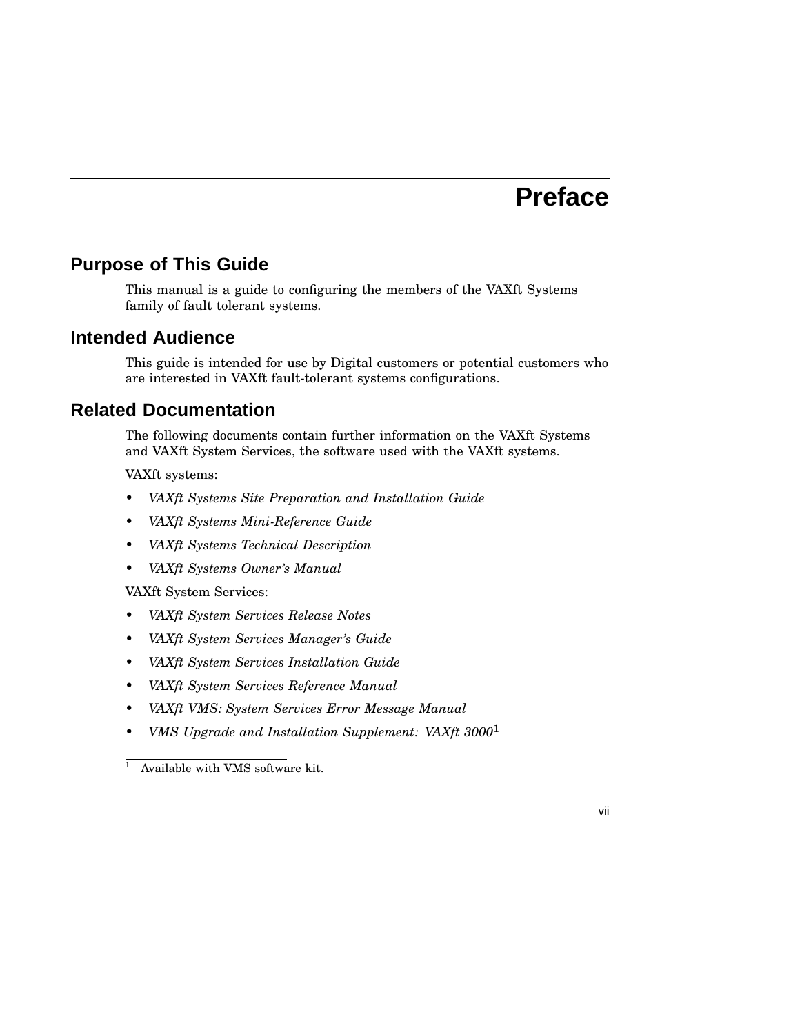## **Preface**

## **Purpose of This Guide**

This manual is a guide to configuring the members of the VAXft Systems family of fault tolerant systems.

## **Intended Audience**

This guide is intended for use by Digital customers or potential customers who are interested in VAXft fault-tolerant systems configurations.

## **Related Documentation**

The following documents contain further information on the VAXft Systems and VAXft System Services, the software used with the VAXft systems.

VAXft systems:

- *VAXft Systems Site Preparation and Installation Guide*
- *VAXft Systems Mini-Reference Guide*
- *VAXft Systems Technical Description*
- *VAXft Systems Owner's Manual*

VAXft System Services:

- *VAXft System Services Release Notes*
- *VAXft System Services Manager's Guide*
- *VAXft System Services Installation Guide*
- *VAXft System Services Reference Manual*
- *VAXft VMS: System Services Error Message Manual*
- *VMS Upgrade and Installation Supplement: VAXft 3000*<sup>1</sup>



 $\overline{1}$  Available with VMS software kit.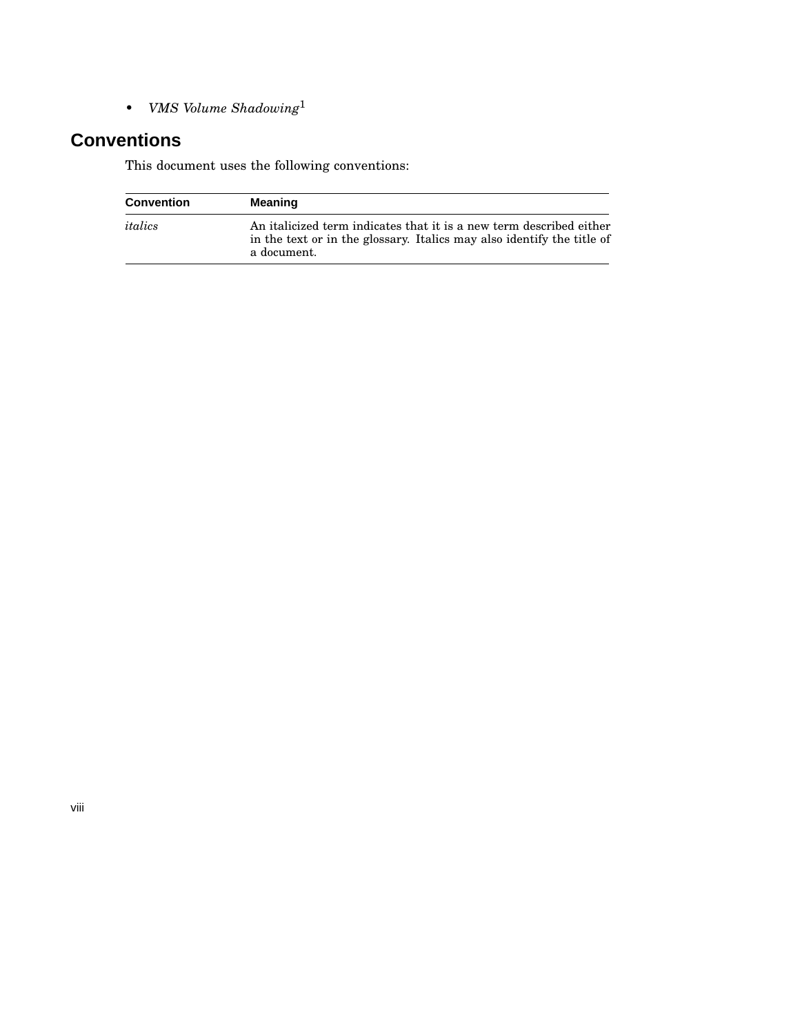• *VMS Volume Shadowing*<sup>1</sup>

## **Conventions**

This document uses the following conventions:

| <b>Convention</b> | Meaning                                                                                                                                                      |
|-------------------|--------------------------------------------------------------------------------------------------------------------------------------------------------------|
| italics           | An italicized term indicates that it is a new term described either<br>in the text or in the glossary. Italics may also identify the title of<br>a document. |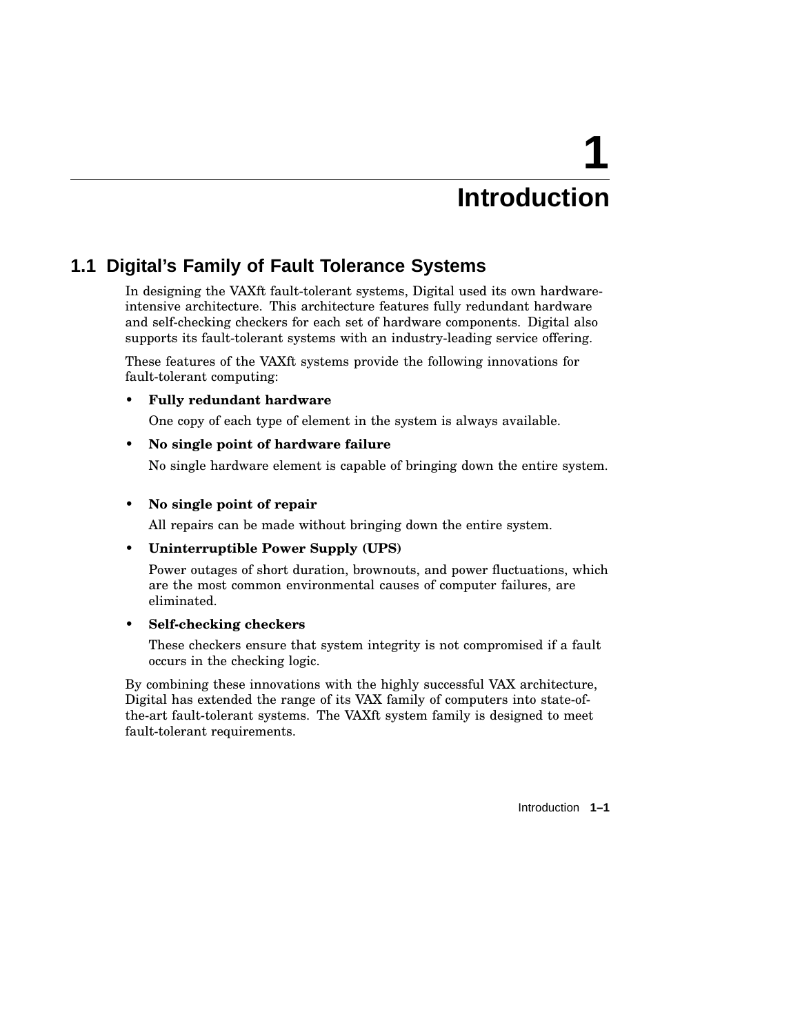# **Introduction**

**1**

## **1.1 Digital's Family of Fault Tolerance Systems**

In designing the VAXft fault-tolerant systems, Digital used its own hardwareintensive architecture. This architecture features fully redundant hardware and self-checking checkers for each set of hardware components. Digital also supports its fault-tolerant systems with an industry-leading service offering.

These features of the VAXft systems provide the following innovations for fault-tolerant computing:

## • **Fully redundant hardware**

One copy of each type of element in the system is always available.

## • **No single point of hardware failure**

No single hardware element is capable of bringing down the entire system.

## • **No single point of repair**

All repairs can be made without bringing down the entire system.

## • **Uninterruptible Power Supply (UPS)**

Power outages of short duration, brownouts, and power fluctuations, which are the most common environmental causes of computer failures, are eliminated.

#### • **Self-checking checkers**

These checkers ensure that system integrity is not compromised if a fault occurs in the checking logic.

By combining these innovations with the highly successful VAX architecture, Digital has extended the range of its VAX family of computers into state-ofthe-art fault-tolerant systems. The VAXft system family is designed to meet fault-tolerant requirements.

Introduction **1–1**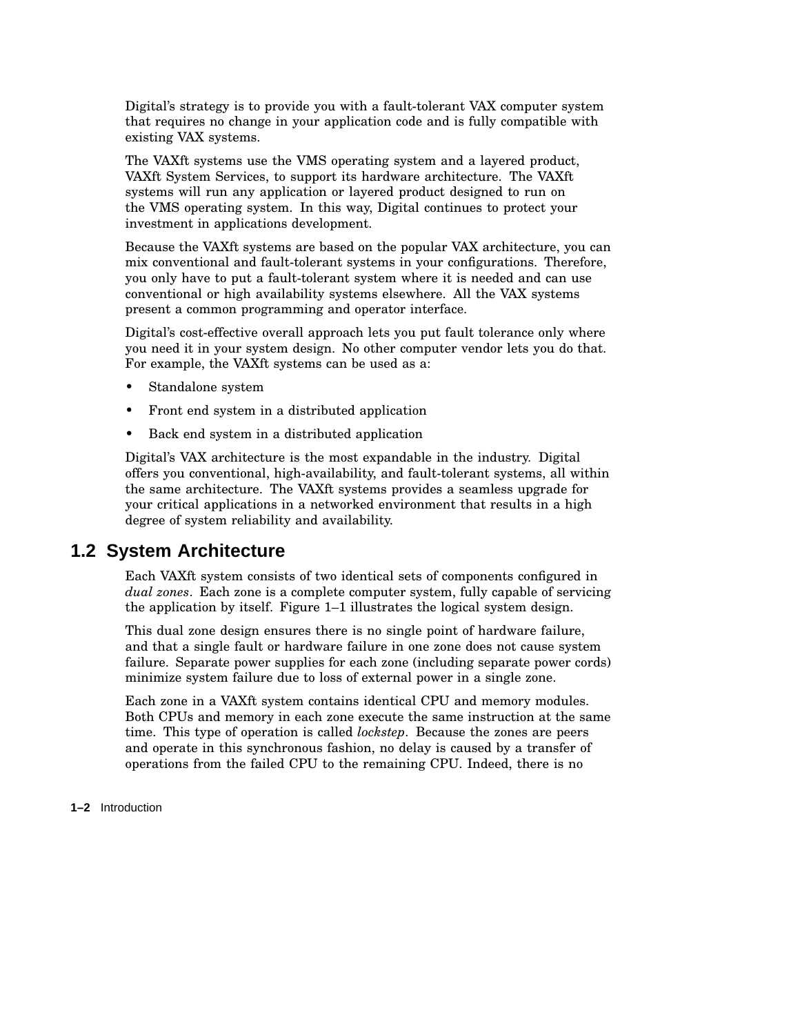Digital's strategy is to provide you with a fault-tolerant VAX computer system that requires no change in your application code and is fully compatible with existing VAX systems.

The VAXft systems use the VMS operating system and a layered product, VAXft System Services, to support its hardware architecture. The VAXft systems will run any application or layered product designed to run on the VMS operating system. In this way, Digital continues to protect your investment in applications development.

Because the VAXft systems are based on the popular VAX architecture, you can mix conventional and fault-tolerant systems in your configurations. Therefore, you only have to put a fault-tolerant system where it is needed and can use conventional or high availability systems elsewhere. All the VAX systems present a common programming and operator interface.

Digital's cost-effective overall approach lets you put fault tolerance only where you need it in your system design. No other computer vendor lets you do that. For example, the VAXft systems can be used as a:

- Standalone system
- Front end system in a distributed application
- Back end system in a distributed application

Digital's VAX architecture is the most expandable in the industry. Digital offers you conventional, high-availability, and fault-tolerant systems, all within the same architecture. The VAXft systems provides a seamless upgrade for your critical applications in a networked environment that results in a high degree of system reliability and availability.

## **1.2 System Architecture**

Each VAXft system consists of two identical sets of components configured in *dual zones*. Each zone is a complete computer system, fully capable of servicing the application by itself. Figure 1–1 illustrates the logical system design.

This dual zone design ensures there is no single point of hardware failure, and that a single fault or hardware failure in one zone does not cause system failure. Separate power supplies for each zone (including separate power cords) minimize system failure due to loss of external power in a single zone.

Each zone in a VAXft system contains identical CPU and memory modules. Both CPUs and memory in each zone execute the same instruction at the same time. This type of operation is called *lockstep*. Because the zones are peers and operate in this synchronous fashion, no delay is caused by a transfer of operations from the failed CPU to the remaining CPU. Indeed, there is no

**1–2** Introduction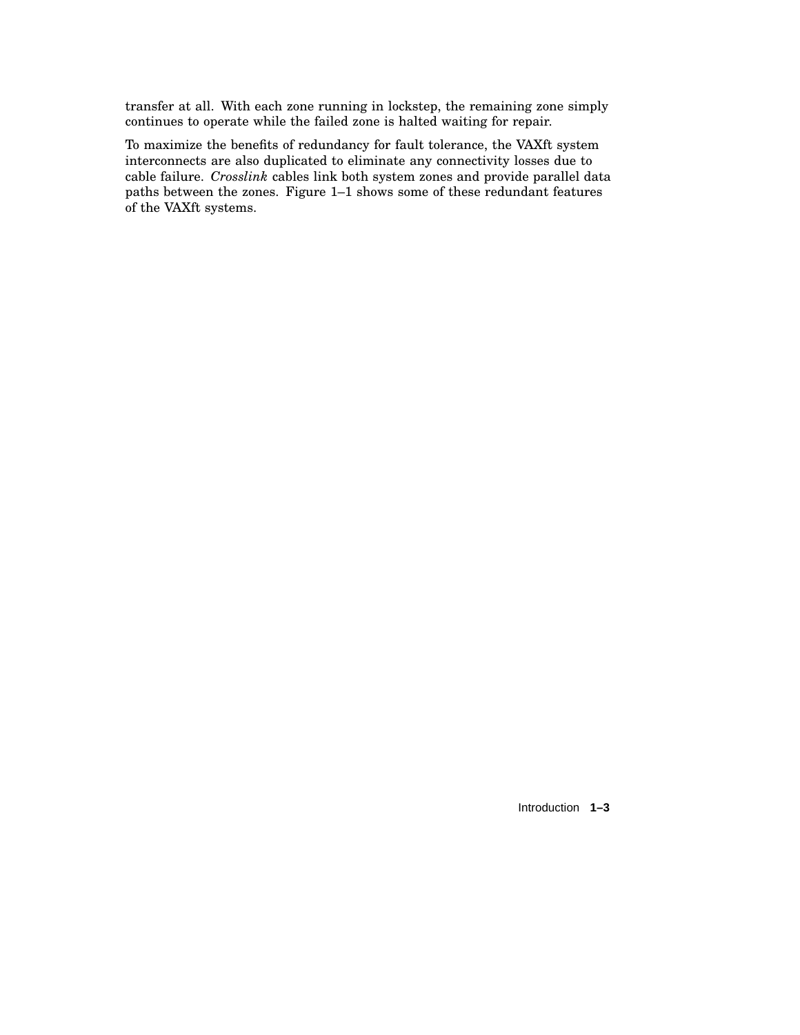transfer at all. With each zone running in lockstep, the remaining zone simply continues to operate while the failed zone is halted waiting for repair.

To maximize the benefits of redundancy for fault tolerance, the VAXft system interconnects are also duplicated to eliminate any connectivity losses due to cable failure. *Crosslink* cables link both system zones and provide parallel data paths between the zones. Figure 1–1 shows some of these redundant features of the VAXft systems.

Introduction **1–3**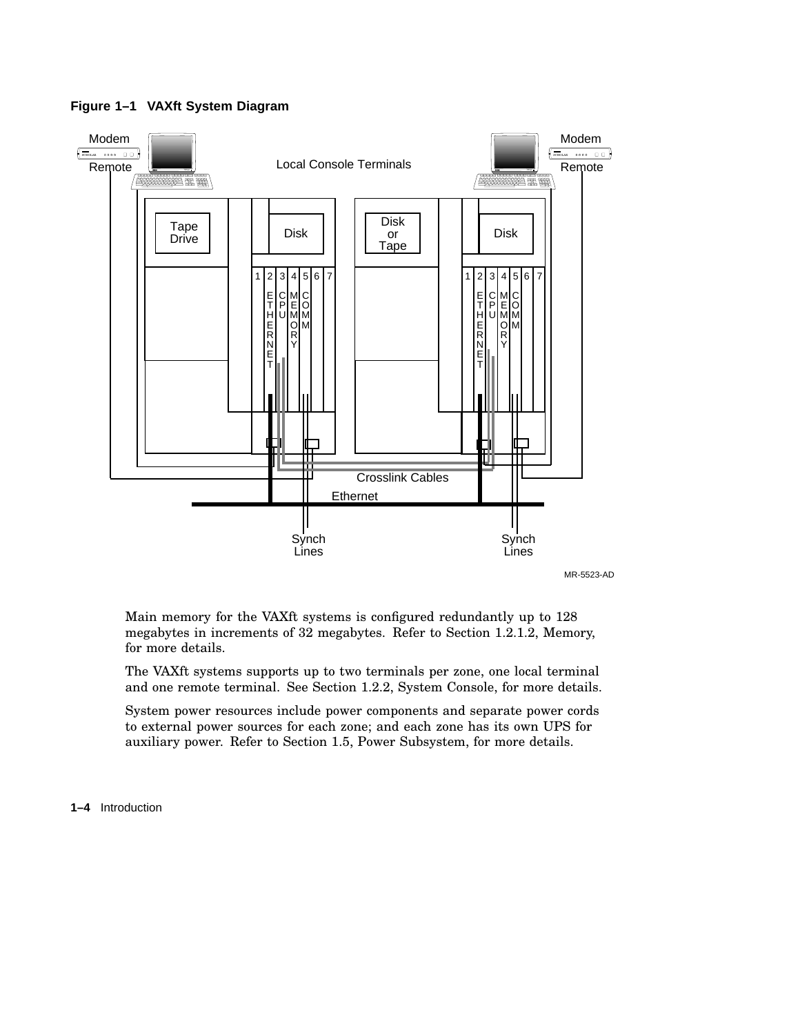

**Figure 1–1 VAXft System Diagram**

MR-5523-AD

Main memory for the VAXft systems is configured redundantly up to 128 megabytes in increments of 32 megabytes. Refer to Section 1.2.1.2, Memory, for more details.

The VAXft systems supports up to two terminals per zone, one local terminal and one remote terminal. See Section 1.2.2, System Console, for more details.

System power resources include power components and separate power cords to external power sources for each zone; and each zone has its own UPS for auxiliary power. Refer to Section 1.5, Power Subsystem, for more details.

**1–4** Introduction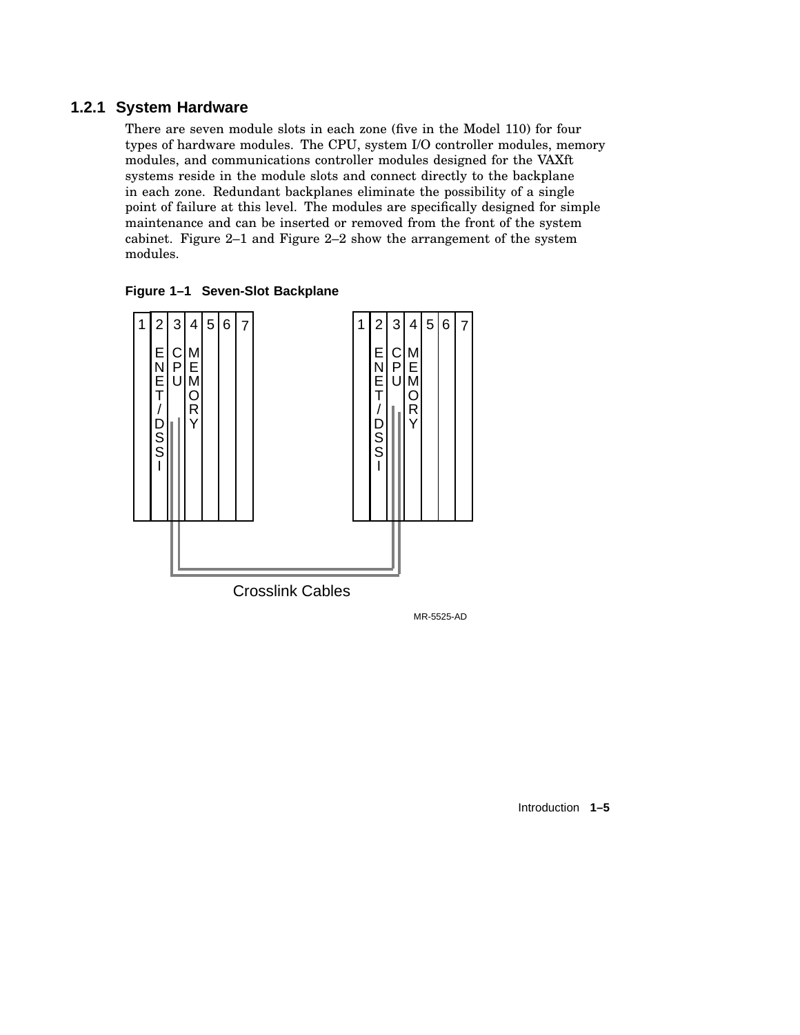## **1.2.1 System Hardware**

There are seven module slots in each zone (five in the Model 110) for four types of hardware modules. The CPU, system I/O controller modules, memory modules, and communications controller modules designed for the VAXft systems reside in the module slots and connect directly to the backplane in each zone. Redundant backplanes eliminate the possibility of a single point of failure at this level. The modules are specifically designed for simple maintenance and can be inserted or removed from the front of the system cabinet. Figure 2–1 and Figure 2–2 show the arrangement of the system modules.





MR-5525-AD

Introduction **1–5**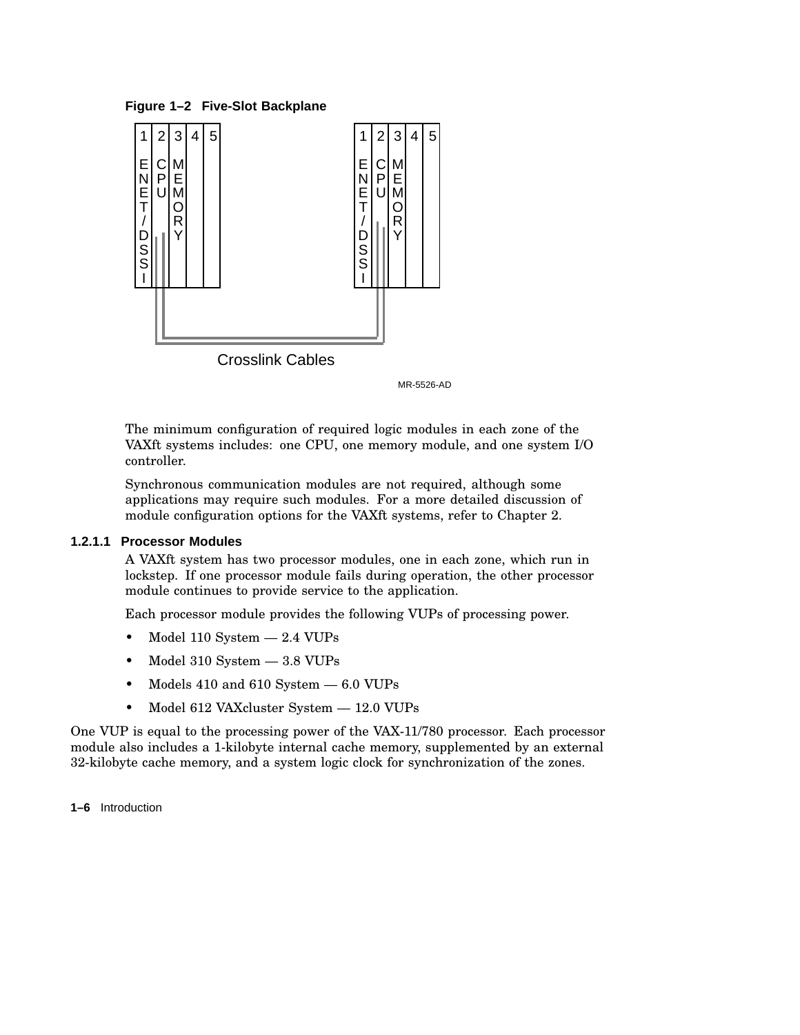**Figure 1–2 Five-Slot Backplane**



Crosslink Cables

MR-5526-AD

The minimum configuration of required logic modules in each zone of the VAXft systems includes: one CPU, one memory module, and one system I/O controller.

Synchronous communication modules are not required, although some applications may require such modules. For a more detailed discussion of module configuration options for the VAXft systems, refer to Chapter 2.

#### **1.2.1.1 Processor Modules**

A VAXft system has two processor modules, one in each zone, which run in lockstep. If one processor module fails during operation, the other processor module continues to provide service to the application.

Each processor module provides the following VUPs of processing power.

- Model 110 System 2.4 VUPs
- Model 310 System 3.8 VUPs
- Models 410 and 610 System  $-6.0$  VUPs
- Model 612 VAXcluster System 12.0 VUPs

One VUP is equal to the processing power of the VAX-11/780 processor. Each processor module also includes a 1-kilobyte internal cache memory, supplemented by an external 32-kilobyte cache memory, and a system logic clock for synchronization of the zones.

**1–6** Introduction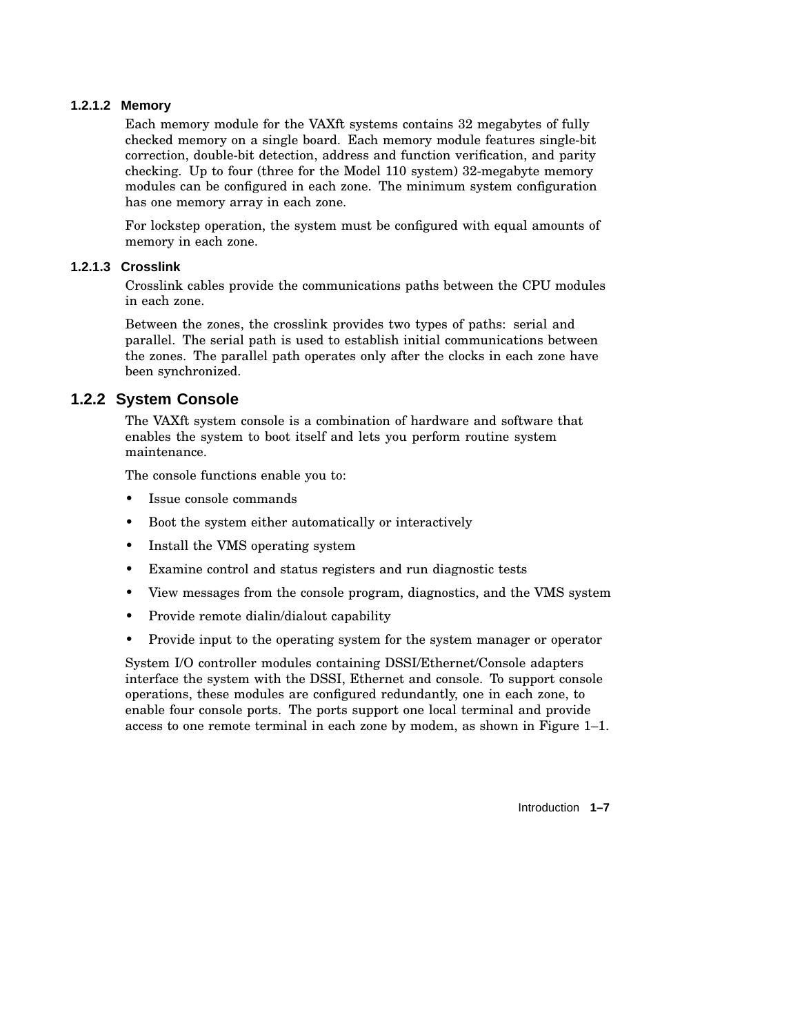## **1.2.1.2 Memory**

Each memory module for the VAXft systems contains 32 megabytes of fully checked memory on a single board. Each memory module features single-bit correction, double-bit detection, address and function verification, and parity checking. Up to four (three for the Model 110 system) 32-megabyte memory modules can be configured in each zone. The minimum system configuration has one memory array in each zone.

For lockstep operation, the system must be configured with equal amounts of memory in each zone.

## **1.2.1.3 Crosslink**

Crosslink cables provide the communications paths between the CPU modules in each zone.

Between the zones, the crosslink provides two types of paths: serial and parallel. The serial path is used to establish initial communications between the zones. The parallel path operates only after the clocks in each zone have been synchronized.

## **1.2.2 System Console**

The VAXft system console is a combination of hardware and software that enables the system to boot itself and lets you perform routine system maintenance.

The console functions enable you to:

- Issue console commands
- Boot the system either automatically or interactively
- Install the VMS operating system
- Examine control and status registers and run diagnostic tests
- View messages from the console program, diagnostics, and the VMS system
- Provide remote dialin/dialout capability
- Provide input to the operating system for the system manager or operator

System I/O controller modules containing DSSI/Ethernet/Console adapters interface the system with the DSSI, Ethernet and console. To support console operations, these modules are configured redundantly, one in each zone, to enable four console ports. The ports support one local terminal and provide access to one remote terminal in each zone by modem, as shown in Figure 1–1.

Introduction **1–7**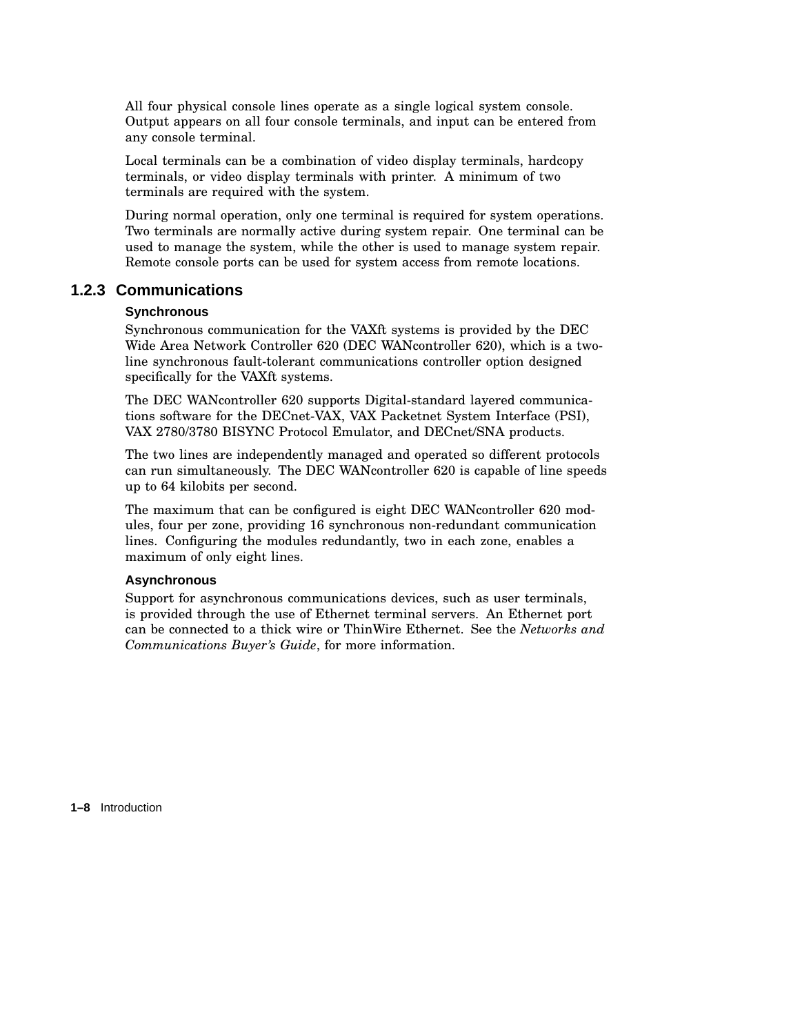All four physical console lines operate as a single logical system console. Output appears on all four console terminals, and input can be entered from any console terminal.

Local terminals can be a combination of video display terminals, hardcopy terminals, or video display terminals with printer. A minimum of two terminals are required with the system.

During normal operation, only one terminal is required for system operations. Two terminals are normally active during system repair. One terminal can be used to manage the system, while the other is used to manage system repair. Remote console ports can be used for system access from remote locations.

## **1.2.3 Communications**

#### **Synchronous**

Synchronous communication for the VAXft systems is provided by the DEC Wide Area Network Controller 620 (DEC WANcontroller 620), which is a twoline synchronous fault-tolerant communications controller option designed specifically for the VAXft systems.

The DEC WANcontroller 620 supports Digital-standard layered communications software for the DECnet-VAX, VAX Packetnet System Interface (PSI), VAX 2780/3780 BISYNC Protocol Emulator, and DECnet/SNA products.

The two lines are independently managed and operated so different protocols can run simultaneously. The DEC WANcontroller 620 is capable of line speeds up to 64 kilobits per second.

The maximum that can be configured is eight DEC WANcontroller 620 modules, four per zone, providing 16 synchronous non-redundant communication lines. Configuring the modules redundantly, two in each zone, enables a maximum of only eight lines.

#### **Asynchronous**

Support for asynchronous communications devices, such as user terminals, is provided through the use of Ethernet terminal servers. An Ethernet port can be connected to a thick wire or ThinWire Ethernet. See the *Networks and Communications Buyer's Guide*, for more information.

**1–8** Introduction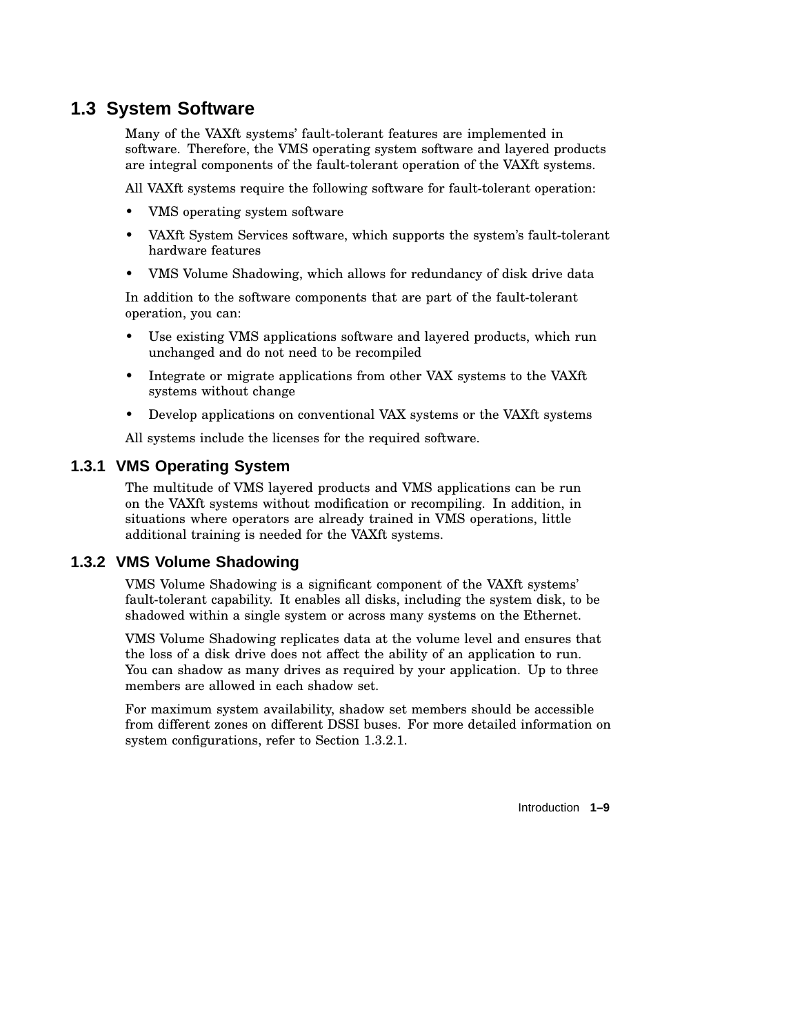## **1.3 System Software**

Many of the VAXft systems' fault-tolerant features are implemented in software. Therefore, the VMS operating system software and layered products are integral components of the fault-tolerant operation of the VAXft systems.

All VAXft systems require the following software for fault-tolerant operation:

- VMS operating system software
- VAXft System Services software, which supports the system's fault-tolerant hardware features
- VMS Volume Shadowing, which allows for redundancy of disk drive data

In addition to the software components that are part of the fault-tolerant operation, you can:

- Use existing VMS applications software and layered products, which run unchanged and do not need to be recompiled
- Integrate or migrate applications from other VAX systems to the VAXft systems without change
- Develop applications on conventional VAX systems or the VAXft systems

All systems include the licenses for the required software.

## **1.3.1 VMS Operating System**

The multitude of VMS layered products and VMS applications can be run on the VAXft systems without modification or recompiling. In addition, in situations where operators are already trained in VMS operations, little additional training is needed for the VAXft systems.

## **1.3.2 VMS Volume Shadowing**

VMS Volume Shadowing is a significant component of the VAXft systems' fault-tolerant capability. It enables all disks, including the system disk, to be shadowed within a single system or across many systems on the Ethernet.

VMS Volume Shadowing replicates data at the volume level and ensures that the loss of a disk drive does not affect the ability of an application to run. You can shadow as many drives as required by your application. Up to three members are allowed in each shadow set.

For maximum system availability, shadow set members should be accessible from different zones on different DSSI buses. For more detailed information on system configurations, refer to Section 1.3.2.1.

Introduction **1–9**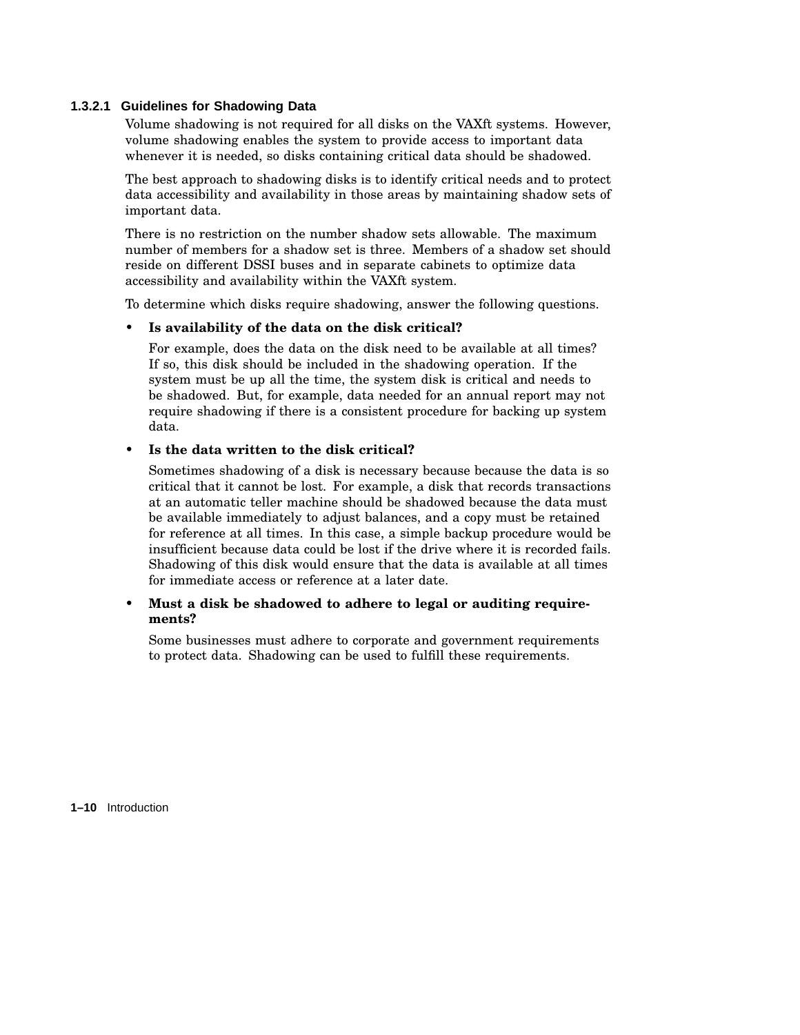## **1.3.2.1 Guidelines for Shadowing Data**

Volume shadowing is not required for all disks on the VAXft systems. However, volume shadowing enables the system to provide access to important data whenever it is needed, so disks containing critical data should be shadowed.

The best approach to shadowing disks is to identify critical needs and to protect data accessibility and availability in those areas by maintaining shadow sets of important data.

There is no restriction on the number shadow sets allowable. The maximum number of members for a shadow set is three. Members of a shadow set should reside on different DSSI buses and in separate cabinets to optimize data accessibility and availability within the VAXft system.

To determine which disks require shadowing, answer the following questions.

#### • **Is availability of the data on the disk critical?**

For example, does the data on the disk need to be available at all times? If so, this disk should be included in the shadowing operation. If the system must be up all the time, the system disk is critical and needs to be shadowed. But, for example, data needed for an annual report may not require shadowing if there is a consistent procedure for backing up system data.

#### • **Is the data written to the disk critical?**

Sometimes shadowing of a disk is necessary because because the data is so critical that it cannot be lost. For example, a disk that records transactions at an automatic teller machine should be shadowed because the data must be available immediately to adjust balances, and a copy must be retained for reference at all times. In this case, a simple backup procedure would be insufficient because data could be lost if the drive where it is recorded fails. Shadowing of this disk would ensure that the data is available at all times for immediate access or reference at a later date.

## • **Must a disk be shadowed to adhere to legal or auditing requirements?**

Some businesses must adhere to corporate and government requirements to protect data. Shadowing can be used to fulfill these requirements.

**1–10** Introduction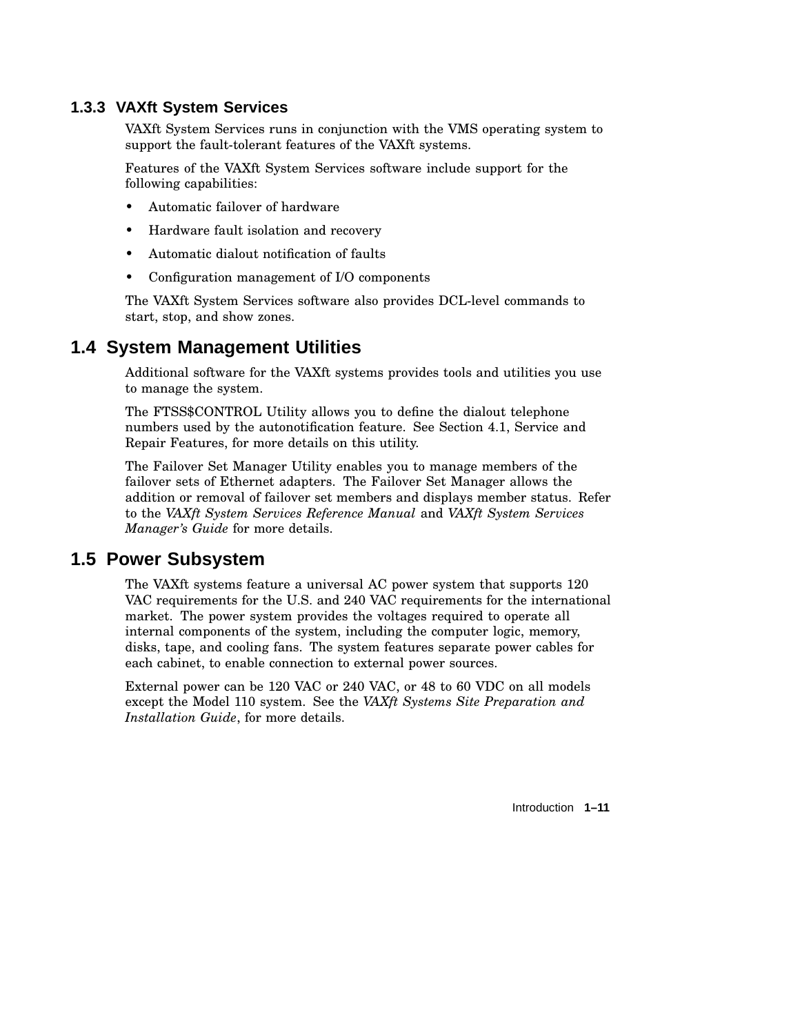## **1.3.3 VAXft System Services**

VAXft System Services runs in conjunction with the VMS operating system to support the fault-tolerant features of the VAXft systems.

Features of the VAXft System Services software include support for the following capabilities:

- Automatic failover of hardware
- Hardware fault isolation and recovery
- Automatic dialout notification of faults
- Configuration management of I/O components

The VAXft System Services software also provides DCL-level commands to start, stop, and show zones.

## **1.4 System Management Utilities**

Additional software for the VAXft systems provides tools and utilities you use to manage the system.

The FTSS\$CONTROL Utility allows you to define the dialout telephone numbers used by the autonotification feature. See Section 4.1, Service and Repair Features, for more details on this utility.

The Failover Set Manager Utility enables you to manage members of the failover sets of Ethernet adapters. The Failover Set Manager allows the addition or removal of failover set members and displays member status. Refer to the *VAXft System Services Reference Manual* and *VAXft System Services Manager's Guide* for more details.

## **1.5 Power Subsystem**

The VAXft systems feature a universal AC power system that supports 120 VAC requirements for the U.S. and 240 VAC requirements for the international market. The power system provides the voltages required to operate all internal components of the system, including the computer logic, memory, disks, tape, and cooling fans. The system features separate power cables for each cabinet, to enable connection to external power sources.

External power can be 120 VAC or 240 VAC, or 48 to 60 VDC on all models except the Model 110 system. See the *VAXft Systems Site Preparation and Installation Guide*, for more details.

Introduction **1–11**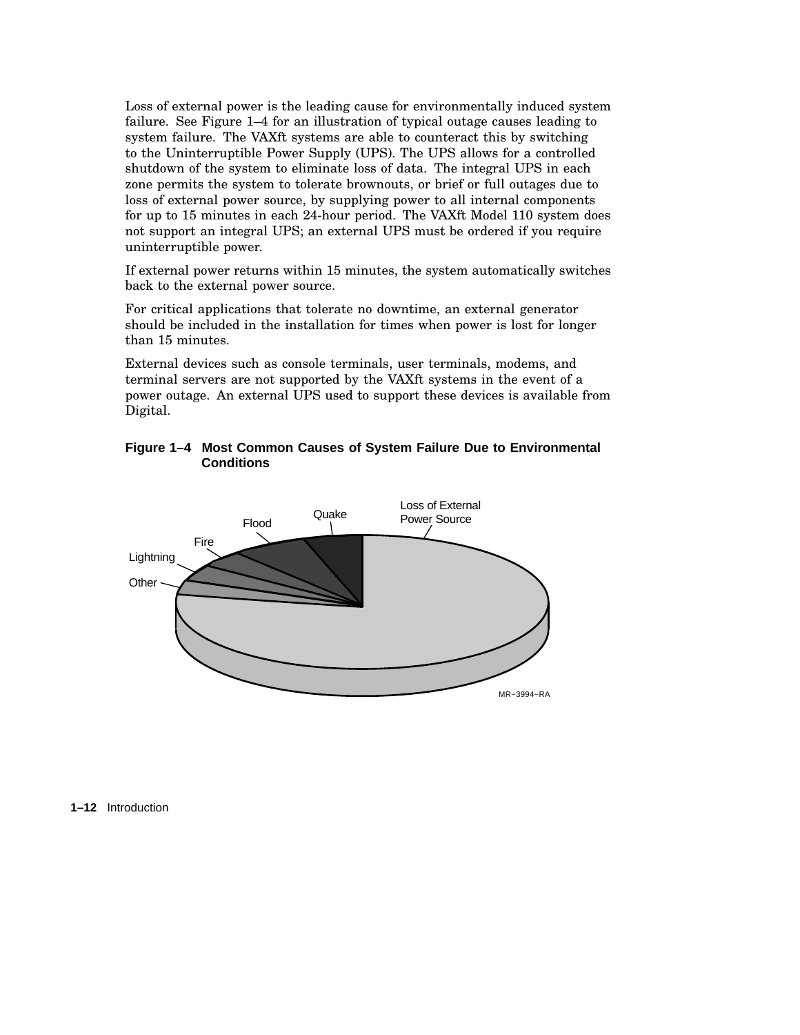Loss of external power is the leading cause for environmentally induced system failure. See Figure 1–4 for an illustration of typical outage causes leading to system failure. The VAXft systems are able to counteract this by switching to the Uninterruptible Power Supply (UPS). The UPS allows for a controlled shutdown of the system to eliminate loss of data. The integral UPS in each zone permits the system to tolerate brownouts, or brief or full outages due to loss of external power source, by supplying power to all internal components for up to 15 minutes in each 24-hour period. The VAXft Model 110 system does not support an integral UPS; an external UPS must be ordered if you require uninterruptible power.

If external power returns within 15 minutes, the system automatically switches back to the external power source.

For critical applications that tolerate no downtime, an external generator should be included in the installation for times when power is lost for longer than 15 minutes.

External devices such as console terminals, user terminals, modems, and terminal servers are not supported by the VAXft systems in the event of a power outage. An external UPS used to support these devices is available from Digital.

## **Figure 1–4 Most Common Causes of System Failure Due to Environmental Conditions**



**1–12** Introduction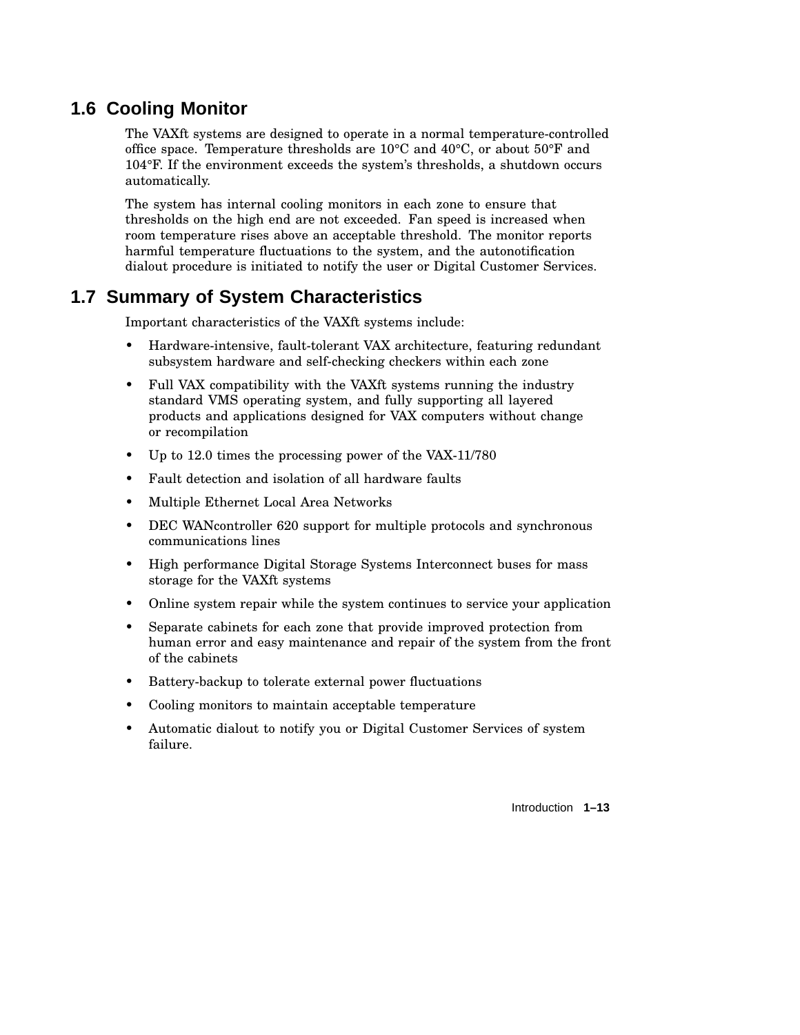## **1.6 Cooling Monitor**

The VAXft systems are designed to operate in a normal temperature-controlled office space. Temperature thresholds are 10°C and 40°C, or about 50°F and 104°F. If the environment exceeds the system's thresholds, a shutdown occurs automatically.

The system has internal cooling monitors in each zone to ensure that thresholds on the high end are not exceeded. Fan speed is increased when room temperature rises above an acceptable threshold. The monitor reports harmful temperature fluctuations to the system, and the autonotification dialout procedure is initiated to notify the user or Digital Customer Services.

## **1.7 Summary of System Characteristics**

Important characteristics of the VAXft systems include:

- Hardware-intensive, fault-tolerant VAX architecture, featuring redundant subsystem hardware and self-checking checkers within each zone
- Full VAX compatibility with the VAXft systems running the industry standard VMS operating system, and fully supporting all layered products and applications designed for VAX computers without change or recompilation
- Up to 12.0 times the processing power of the VAX-11/780
- Fault detection and isolation of all hardware faults
- Multiple Ethernet Local Area Networks
- DEC WANcontroller 620 support for multiple protocols and synchronous communications lines
- High performance Digital Storage Systems Interconnect buses for mass storage for the VAXft systems
- Online system repair while the system continues to service your application
- Separate cabinets for each zone that provide improved protection from human error and easy maintenance and repair of the system from the front of the cabinets
- Battery-backup to tolerate external power fluctuations
- Cooling monitors to maintain acceptable temperature
- Automatic dialout to notify you or Digital Customer Services of system failure.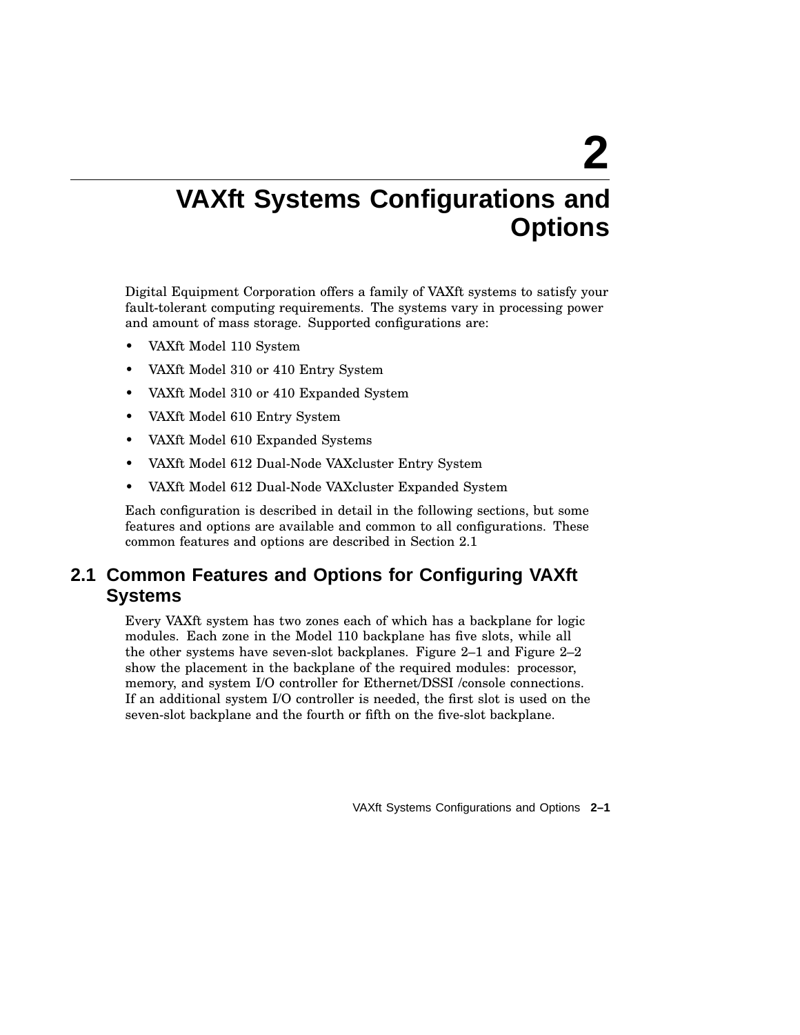# **2**

# **VAXft Systems Configurations and Options**

Digital Equipment Corporation offers a family of VAXft systems to satisfy your fault-tolerant computing requirements. The systems vary in processing power and amount of mass storage. Supported configurations are:

- VAXft Model 110 System
- VAXft Model 310 or 410 Entry System
- VAXft Model 310 or 410 Expanded System
- VAXft Model 610 Entry System
- VAXft Model 610 Expanded Systems
- VAXft Model 612 Dual-Node VAXcluster Entry System
- VAXft Model 612 Dual-Node VAXcluster Expanded System

Each configuration is described in detail in the following sections, but some features and options are available and common to all configurations. These common features and options are described in Section 2.1

## **2.1 Common Features and Options for Configuring VAXft Systems**

Every VAXft system has two zones each of which has a backplane for logic modules. Each zone in the Model 110 backplane has five slots, while all the other systems have seven-slot backplanes. Figure 2–1 and Figure 2–2 show the placement in the backplane of the required modules: processor, memory, and system I/O controller for Ethernet/DSSI /console connections. If an additional system I/O controller is needed, the first slot is used on the seven-slot backplane and the fourth or fifth on the five-slot backplane.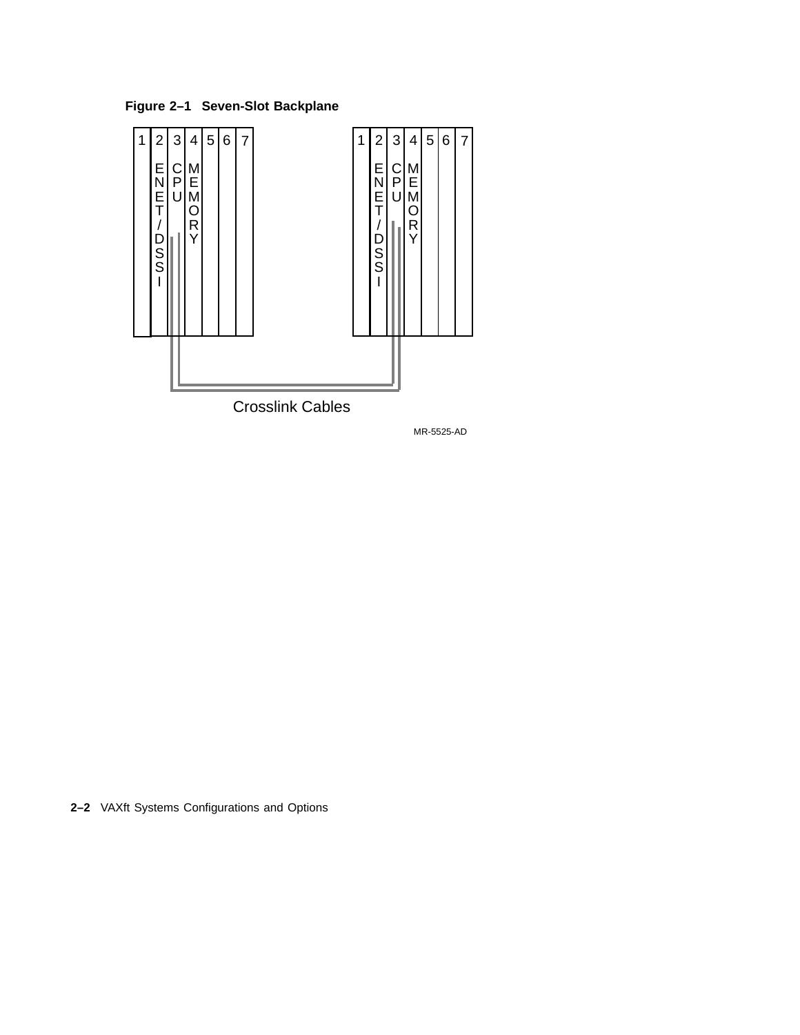**Figure 2–1 Seven-Slot Backplane**

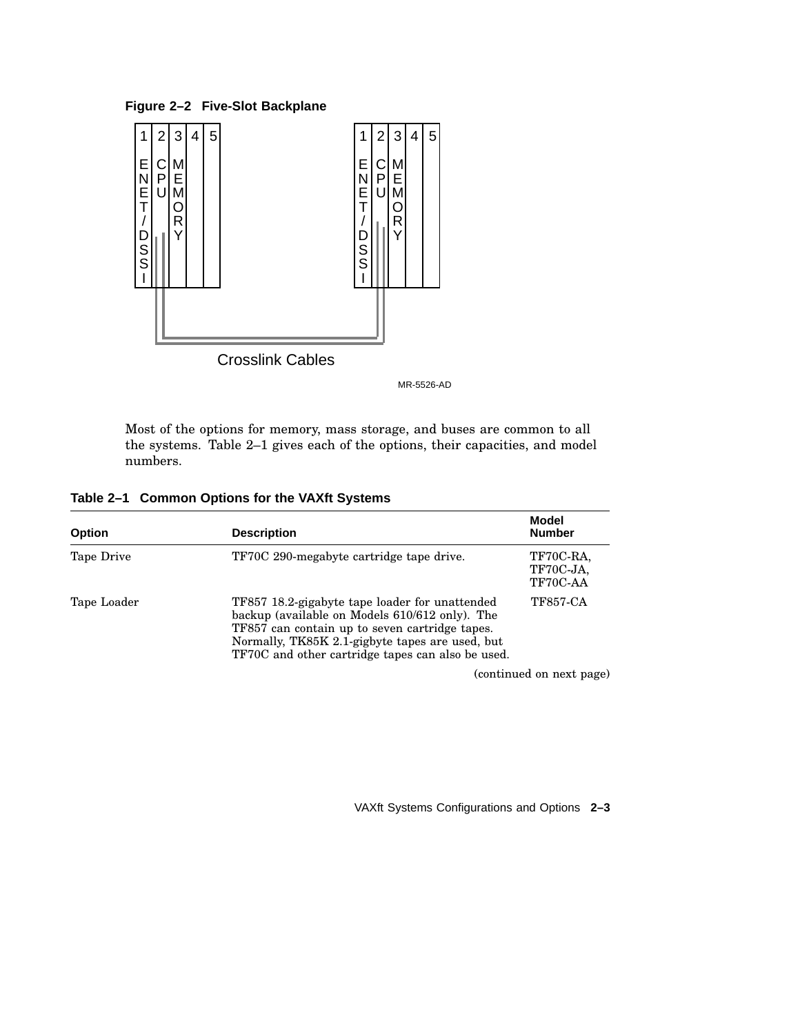**Figure 2–2 Five-Slot Backplane**



MR-5526-AD

Most of the options for memory, mass storage, and buses are common to all the systems. Table 2–1 gives each of the options, their capacities, and model numbers.

| <b>Option</b> | <b>Description</b>                                                                                                                                                                                                                                         | <b>Model</b><br><b>Number</b>      |
|---------------|------------------------------------------------------------------------------------------------------------------------------------------------------------------------------------------------------------------------------------------------------------|------------------------------------|
| Tape Drive    | TF70C 290-megabyte cartridge tape drive.                                                                                                                                                                                                                   | TF70C-RA,<br>TF70C-JA,<br>TF70C-AA |
| Tape Loader   | TF857 18.2-gigabyte tape loader for unattended<br>backup (available on Models 610/612 only). The<br>TF857 can contain up to seven cartridge tapes.<br>Normally, TK85K 2.1-gigbyte tapes are used, but<br>TF70C and other cartridge tapes can also be used. | <b>TF857-CA</b>                    |
|               |                                                                                                                                                                                                                                                            | (continued on next page)           |

**Table 2–1 Common Options for the VAXft Systems**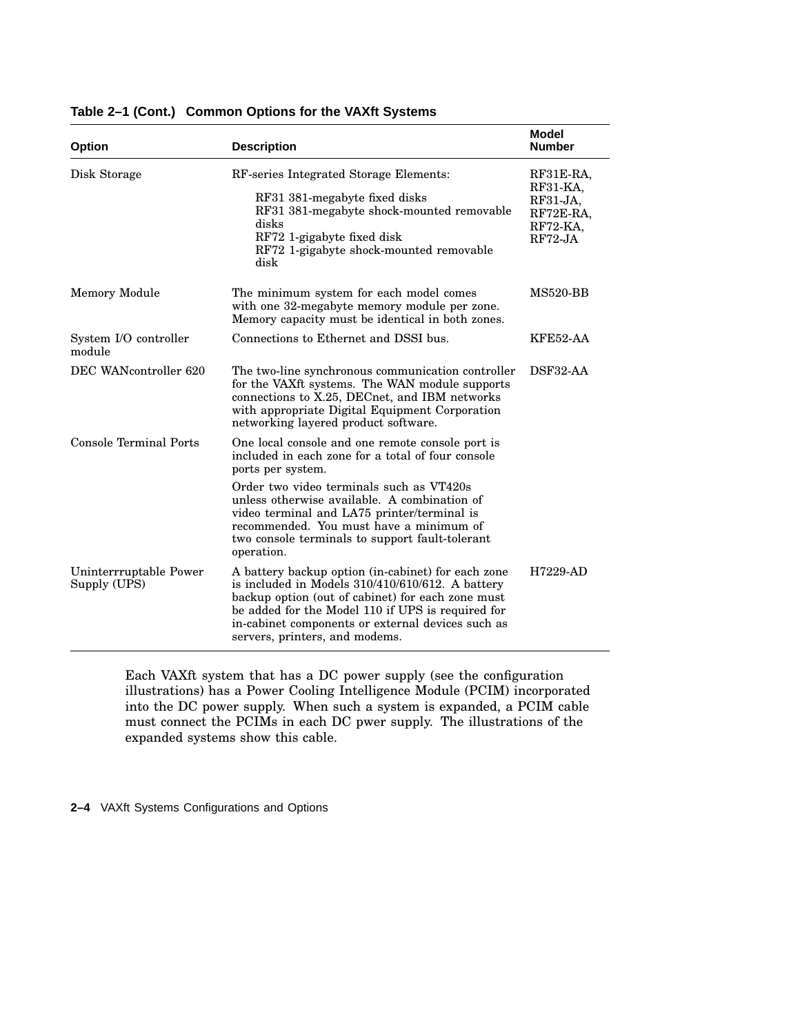| <b>Option</b>                          | <b>Description</b>                                                                                                                                                                                                                                                                                         | <b>Model</b><br><b>Number</b>                                             |
|----------------------------------------|------------------------------------------------------------------------------------------------------------------------------------------------------------------------------------------------------------------------------------------------------------------------------------------------------------|---------------------------------------------------------------------------|
| Disk Storage                           | RF-series Integrated Storage Elements:<br>RF31 381-megabyte fixed disks<br>RF31 381-megabyte shock-mounted removable<br>disks<br>RF72 1-gigabyte fixed disk<br>RF72 1-gigabyte shock-mounted removable<br>disk                                                                                             | RF31E-RA,<br>$RF31-KA$<br>$RF31-JA$<br>RF72E-RA,<br>RF72-KA,<br>$RF72-JA$ |
| <b>Memory Module</b>                   | The minimum system for each model comes<br>with one 32-megabyte memory module per zone.<br>Memory capacity must be identical in both zones.                                                                                                                                                                | <b>MS520-BB</b>                                                           |
| System I/O controller<br>module        | Connections to Ethernet and DSSI bus.                                                                                                                                                                                                                                                                      | KFE52-AA                                                                  |
| DEC WANcontroller 620                  | The two-line synchronous communication controller<br>for the VAXft systems. The WAN module supports<br>connections to X.25, DECnet, and IBM networks<br>with appropriate Digital Equipment Corporation<br>networking layered product software.                                                             | DSF32-AA                                                                  |
| Console Terminal Ports                 | One local console and one remote console port is<br>included in each zone for a total of four console<br>ports per system.                                                                                                                                                                                 |                                                                           |
|                                        | Order two video terminals such as VT420s<br>unless otherwise available. A combination of<br>video terminal and LA75 printer/terminal is<br>recommended. You must have a minimum of<br>two console terminals to support fault-tolerant<br>operation.                                                        |                                                                           |
| Uninterrruptable Power<br>Supply (UPS) | A battery backup option (in-cabinet) for each zone<br>is included in Models $310/410/610/612$ . A battery<br>backup option (out of cabinet) for each zone must<br>be added for the Model 110 if UPS is required for<br>in-cabinet components or external devices such as<br>servers, printers, and modems. | H7229-AD                                                                  |

## **Table 2–1 (Cont.) Common Options for the VAXft Systems**

Each VAXft system that has a DC power supply (see the configuration illustrations) has a Power Cooling Intelligence Module (PCIM) incorporated into the DC power supply. When such a system is expanded, a PCIM cable must connect the PCIMs in each DC pwer supply. The illustrations of the expanded systems show this cable.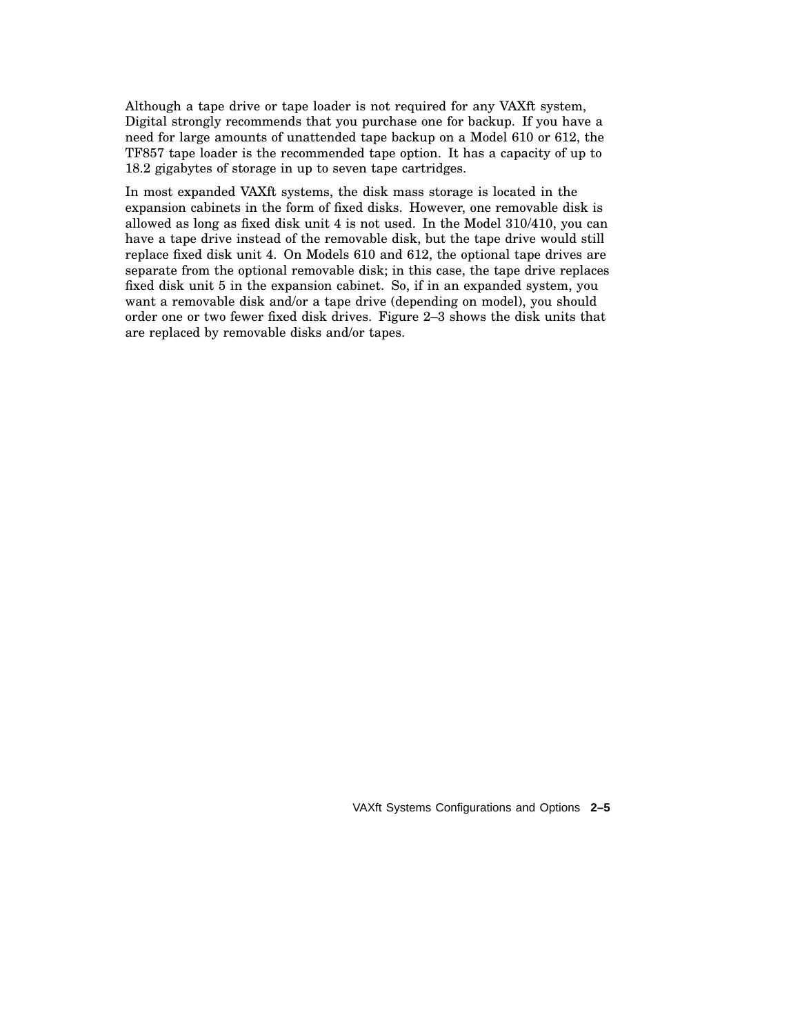Although a tape drive or tape loader is not required for any VAXft system, Digital strongly recommends that you purchase one for backup. If you have a need for large amounts of unattended tape backup on a Model 610 or 612, the TF857 tape loader is the recommended tape option. It has a capacity of up to 18.2 gigabytes of storage in up to seven tape cartridges.

In most expanded VAXft systems, the disk mass storage is located in the expansion cabinets in the form of fixed disks. However, one removable disk is allowed as long as fixed disk unit 4 is not used. In the Model 310/410, you can have a tape drive instead of the removable disk, but the tape drive would still replace fixed disk unit 4. On Models 610 and 612, the optional tape drives are separate from the optional removable disk; in this case, the tape drive replaces fixed disk unit 5 in the expansion cabinet. So, if in an expanded system, you want a removable disk and/or a tape drive (depending on model), you should order one or two fewer fixed disk drives. Figure 2–3 shows the disk units that are replaced by removable disks and/or tapes.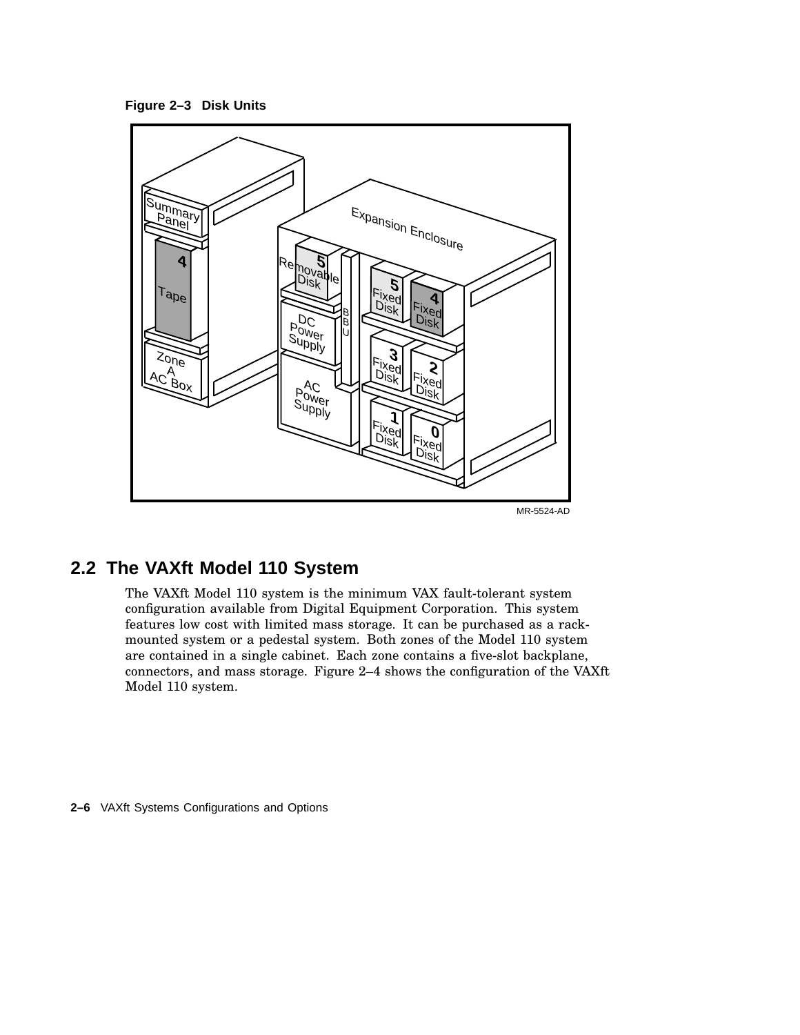**Figure 2–3 Disk Units**



## **2.2 The VAXft Model 110 System**

The VAXft Model 110 system is the minimum VAX fault-tolerant system configuration available from Digital Equipment Corporation. This system features low cost with limited mass storage. It can be purchased as a rackmounted system or a pedestal system. Both zones of the Model 110 system are contained in a single cabinet. Each zone contains a five-slot backplane, connectors, and mass storage. Figure 2–4 shows the configuration of the VAXft Model 110 system.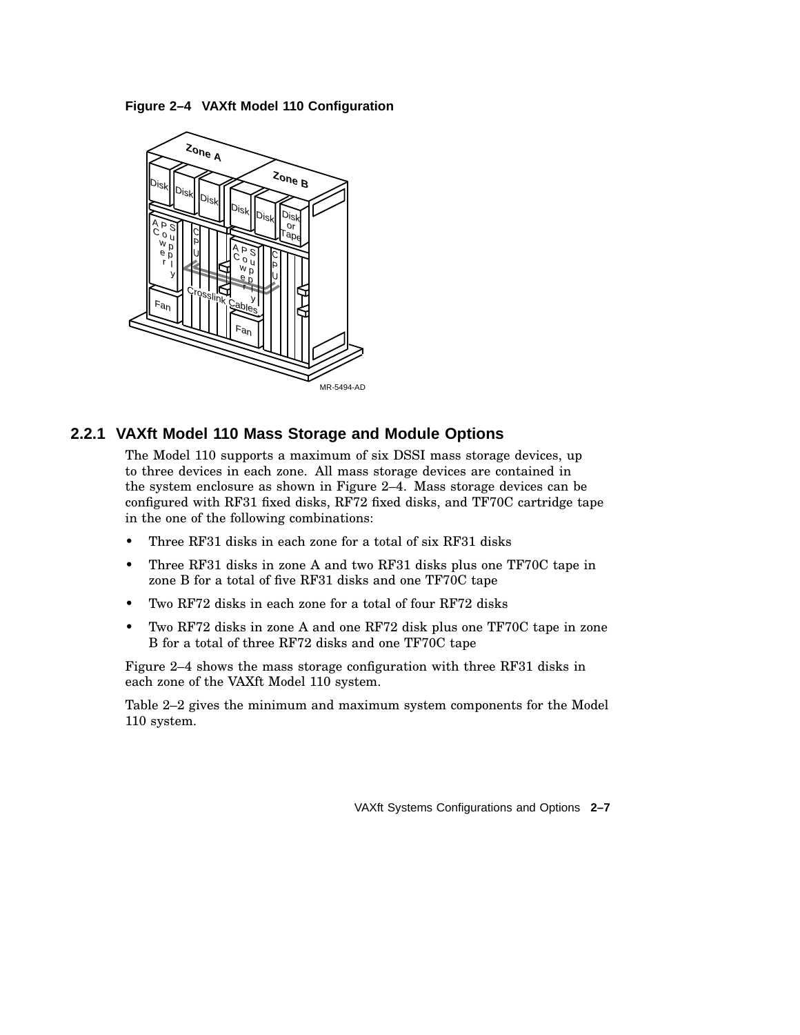**Figure 2–4 VAXft Model 110 Configuration**



## **2.2.1 VAXft Model 110 Mass Storage and Module Options**

The Model 110 supports a maximum of six DSSI mass storage devices, up to three devices in each zone. All mass storage devices are contained in the system enclosure as shown in Figure 2–4. Mass storage devices can be configured with RF31 fixed disks, RF72 fixed disks, and TF70C cartridge tape in the one of the following combinations:

- Three RF31 disks in each zone for a total of six RF31 disks
- Three RF31 disks in zone A and two RF31 disks plus one TF70C tape in zone B for a total of five RF31 disks and one TF70C tape
- Two RF72 disks in each zone for a total of four RF72 disks
- Two RF72 disks in zone A and one RF72 disk plus one TF70C tape in zone B for a total of three RF72 disks and one TF70C tape

Figure 2–4 shows the mass storage configuration with three RF31 disks in each zone of the VAXft Model 110 system.

Table 2–2 gives the minimum and maximum system components for the Model 110 system.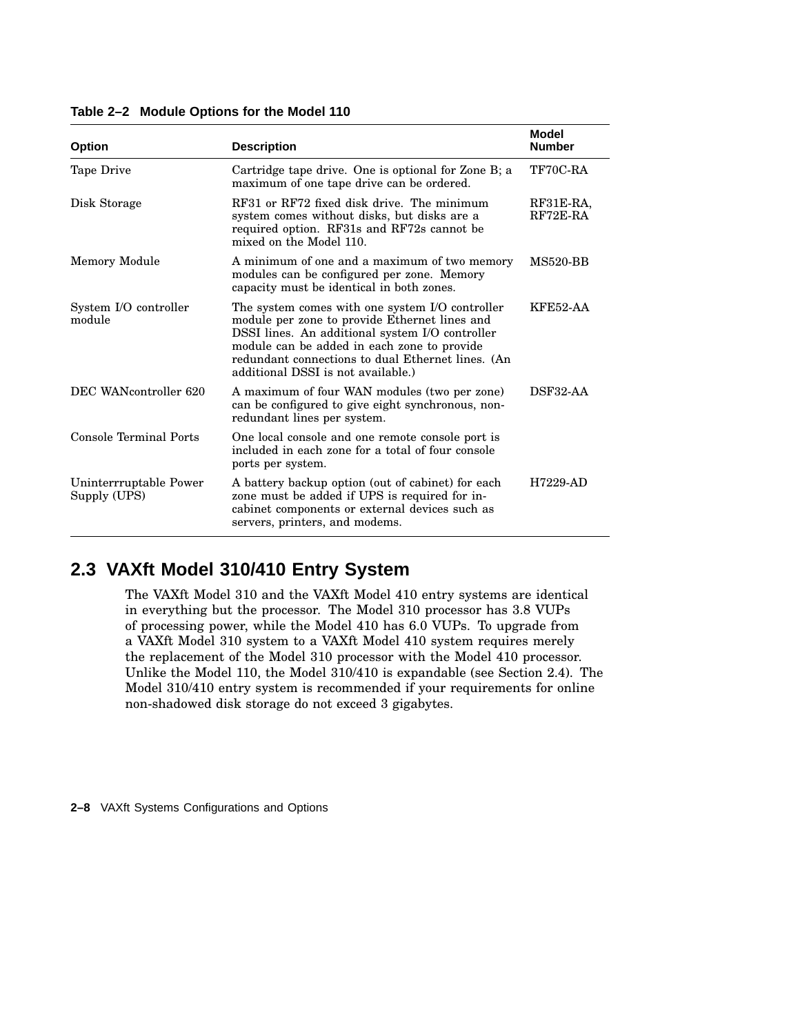| <b>Option</b>                          | <b>Description</b>                                                                                                                                                                                                                                                                            | Model<br><b>Number</b>  |
|----------------------------------------|-----------------------------------------------------------------------------------------------------------------------------------------------------------------------------------------------------------------------------------------------------------------------------------------------|-------------------------|
| Tape Drive                             | Cartridge tape drive. One is optional for Zone B; a<br>maximum of one tape drive can be ordered.                                                                                                                                                                                              | TF70C-RA                |
| Disk Storage                           | RF31 or RF72 fixed disk drive. The minimum<br>system comes without disks, but disks are a<br>required option. RF31s and RF72s cannot be<br>mixed on the Model 110.                                                                                                                            | RF31E-RA,<br>$RF72E-RA$ |
| Memory Module                          | A minimum of one and a maximum of two memory<br>modules can be configured per zone. Memory<br>capacity must be identical in both zones.                                                                                                                                                       | <b>MS520-BB</b>         |
| System I/O controller<br>module        | The system comes with one system I/O controller<br>module per zone to provide Ethernet lines and<br>DSSI lines. An additional system I/O controller<br>module can be added in each zone to provide<br>redundant connections to dual Ethernet lines. (An<br>additional DSSI is not available.) | <b>KFE52-AA</b>         |
| DEC WANcontroller 620                  | A maximum of four WAN modules (two per zone)<br>can be configured to give eight synchronous, non-<br>redundant lines per system.                                                                                                                                                              | DSF32-AA                |
| Console Terminal Ports                 | One local console and one remote console port is<br>included in each zone for a total of four console<br>ports per system.                                                                                                                                                                    |                         |
| Uninterrruptable Power<br>Supply (UPS) | A battery backup option (out of cabinet) for each<br>zone must be added if UPS is required for in-<br>cabinet components or external devices such as<br>servers, printers, and modems.                                                                                                        | $H7229-AD$              |

**Table 2–2 Module Options for the Model 110**

## **2.3 VAXft Model 310/410 Entry System**

The VAXft Model 310 and the VAXft Model 410 entry systems are identical in everything but the processor. The Model 310 processor has 3.8 VUPs of processing power, while the Model 410 has 6.0 VUPs. To upgrade from a VAXft Model 310 system to a VAXft Model 410 system requires merely the replacement of the Model 310 processor with the Model 410 processor. Unlike the Model 110, the Model 310/410 is expandable (see Section 2.4). The Model 310/410 entry system is recommended if your requirements for online non-shadowed disk storage do not exceed 3 gigabytes.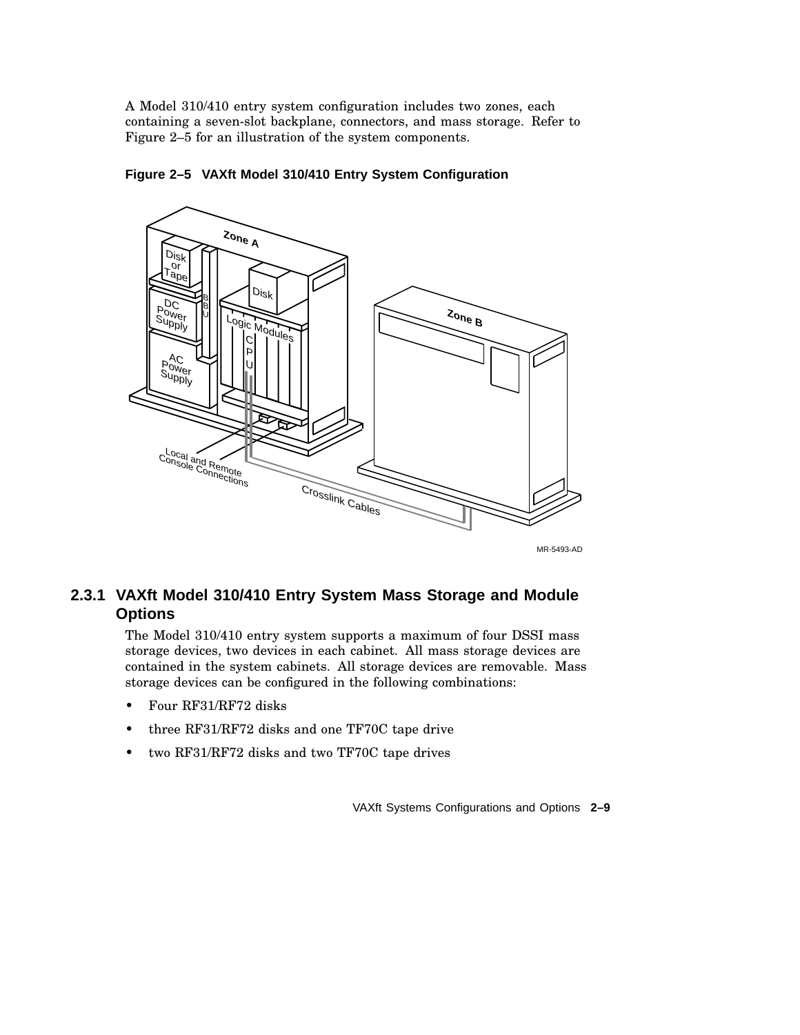A Model 310/410 entry system configuration includes two zones, each containing a seven-slot backplane, connectors, and mass storage. Refer to Figure 2–5 for an illustration of the system components.



**Figure 2–5 VAXft Model 310/410 Entry System Configuration**

MR-5493-AD

## **2.3.1 VAXft Model 310/410 Entry System Mass Storage and Module Options**

The Model 310/410 entry system supports a maximum of four DSSI mass storage devices, two devices in each cabinet. All mass storage devices are contained in the system cabinets. All storage devices are removable. Mass storage devices can be configured in the following combinations:

- Four RF31/RF72 disks
- three RF31/RF72 disks and one TF70C tape drive
- two RF31/RF72 disks and two TF70C tape drives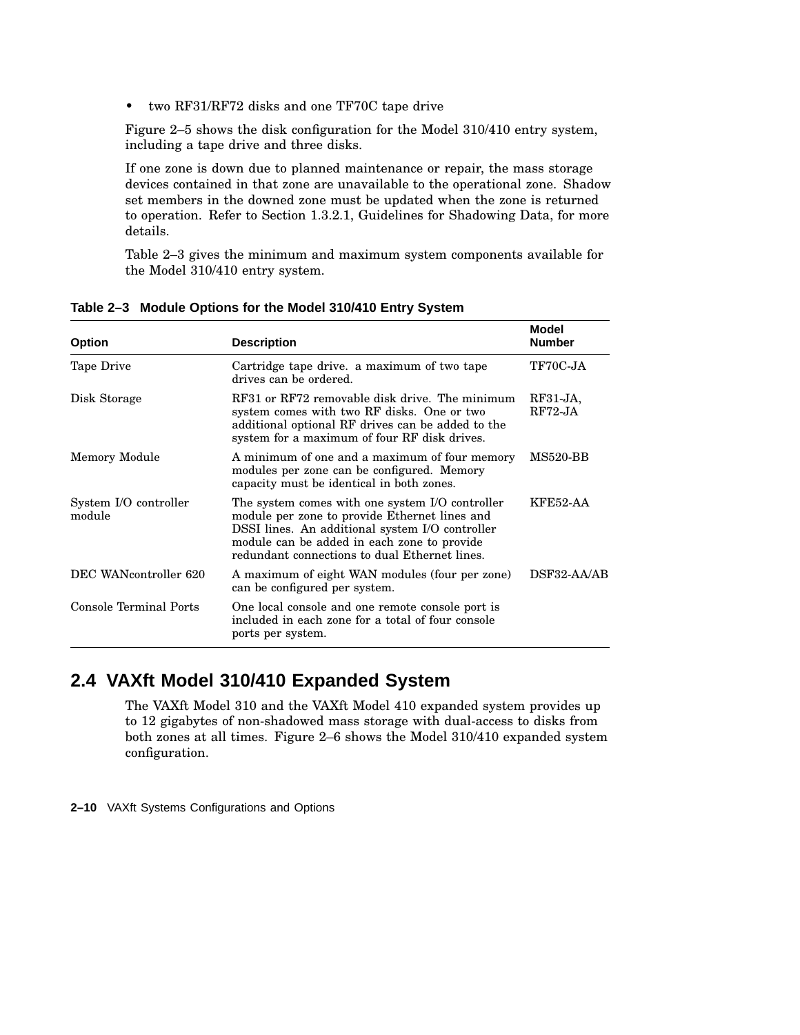• two RF31/RF72 disks and one TF70C tape drive

Figure 2–5 shows the disk configuration for the Model 310/410 entry system, including a tape drive and three disks.

If one zone is down due to planned maintenance or repair, the mass storage devices contained in that zone are unavailable to the operational zone. Shadow set members in the downed zone must be updated when the zone is returned to operation. Refer to Section 1.3.2.1, Guidelines for Shadowing Data, for more details.

Table 2–3 gives the minimum and maximum system components available for the Model 310/410 entry system.

| <b>Option</b>                   | <b>Description</b>                                                                                                                                                                                                                                  | Model<br><b>Number</b> |
|---------------------------------|-----------------------------------------------------------------------------------------------------------------------------------------------------------------------------------------------------------------------------------------------------|------------------------|
| Tape Drive                      | Cartridge tape drive. a maximum of two tape<br>drives can be ordered.                                                                                                                                                                               | TF70C-JA               |
| Disk Storage                    | RF31 or RF72 removable disk drive. The minimum<br>system comes with two RF disks. One or two<br>additional optional RF drives can be added to the<br>system for a maximum of four RF disk drives.                                                   | $RF31-JA$<br>$RF72-JA$ |
| Memory Module                   | A minimum of one and a maximum of four memory<br>modules per zone can be configured. Memory<br>capacity must be identical in both zones.                                                                                                            | <b>MS520-BB</b>        |
| System I/O controller<br>module | The system comes with one system I/O controller<br>module per zone to provide Ethernet lines and<br>DSSI lines. An additional system I/O controller<br>module can be added in each zone to provide<br>redundant connections to dual Ethernet lines. | <b>KFE52-AA</b>        |
| DEC WANcontroller 620           | A maximum of eight WAN modules (four per zone)<br>can be configured per system.                                                                                                                                                                     | DSF32-AA/AB            |
| Console Terminal Ports          | One local console and one remote console port is<br>included in each zone for a total of four console<br>ports per system.                                                                                                                          |                        |

**Table 2–3 Module Options for the Model 310/410 Entry System**

## **2.4 VAXft Model 310/410 Expanded System**

The VAXft Model 310 and the VAXft Model 410 expanded system provides up to 12 gigabytes of non-shadowed mass storage with dual-access to disks from both zones at all times. Figure 2–6 shows the Model 310/410 expanded system configuration.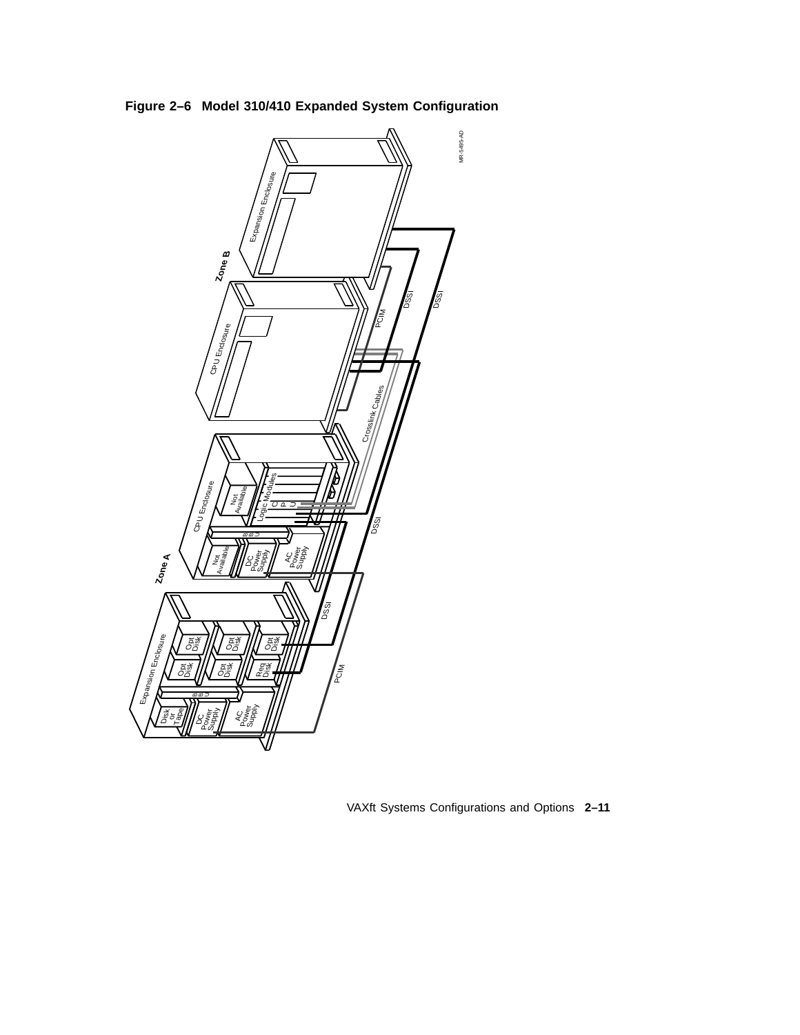**Figure 2–6 Model 310/410 Expanded System Configuration**



VAXft Systems Configurations and Options **2–11**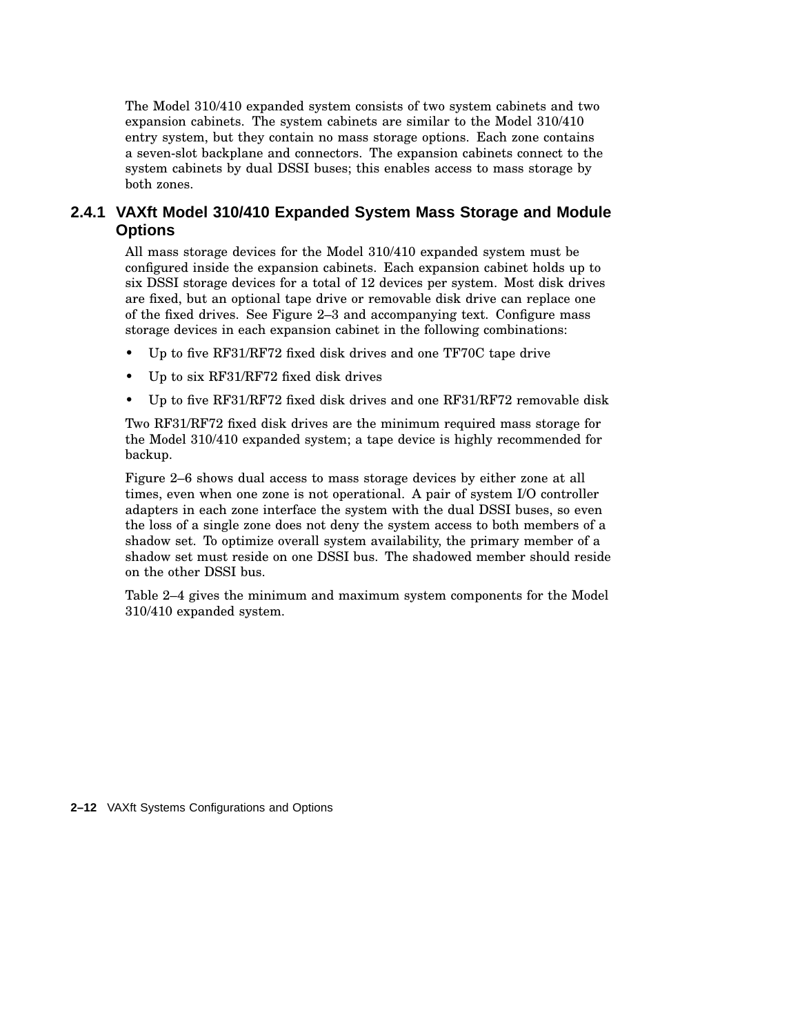The Model 310/410 expanded system consists of two system cabinets and two expansion cabinets. The system cabinets are similar to the Model 310/410 entry system, but they contain no mass storage options. Each zone contains a seven-slot backplane and connectors. The expansion cabinets connect to the system cabinets by dual DSSI buses; this enables access to mass storage by both zones.

## **2.4.1 VAXft Model 310/410 Expanded System Mass Storage and Module Options**

All mass storage devices for the Model 310/410 expanded system must be configured inside the expansion cabinets. Each expansion cabinet holds up to six DSSI storage devices for a total of 12 devices per system. Most disk drives are fixed, but an optional tape drive or removable disk drive can replace one of the fixed drives. See Figure 2–3 and accompanying text. Configure mass storage devices in each expansion cabinet in the following combinations:

- Up to five RF31/RF72 fixed disk drives and one TF70C tape drive
- Up to six RF31/RF72 fixed disk drives
- Up to five RF31/RF72 fixed disk drives and one RF31/RF72 removable disk

Two RF31/RF72 fixed disk drives are the minimum required mass storage for the Model 310/410 expanded system; a tape device is highly recommended for backup.

Figure 2–6 shows dual access to mass storage devices by either zone at all times, even when one zone is not operational. A pair of system I/O controller adapters in each zone interface the system with the dual DSSI buses, so even the loss of a single zone does not deny the system access to both members of a shadow set. To optimize overall system availability, the primary member of a shadow set must reside on one DSSI bus. The shadowed member should reside on the other DSSI bus.

Table 2–4 gives the minimum and maximum system components for the Model 310/410 expanded system.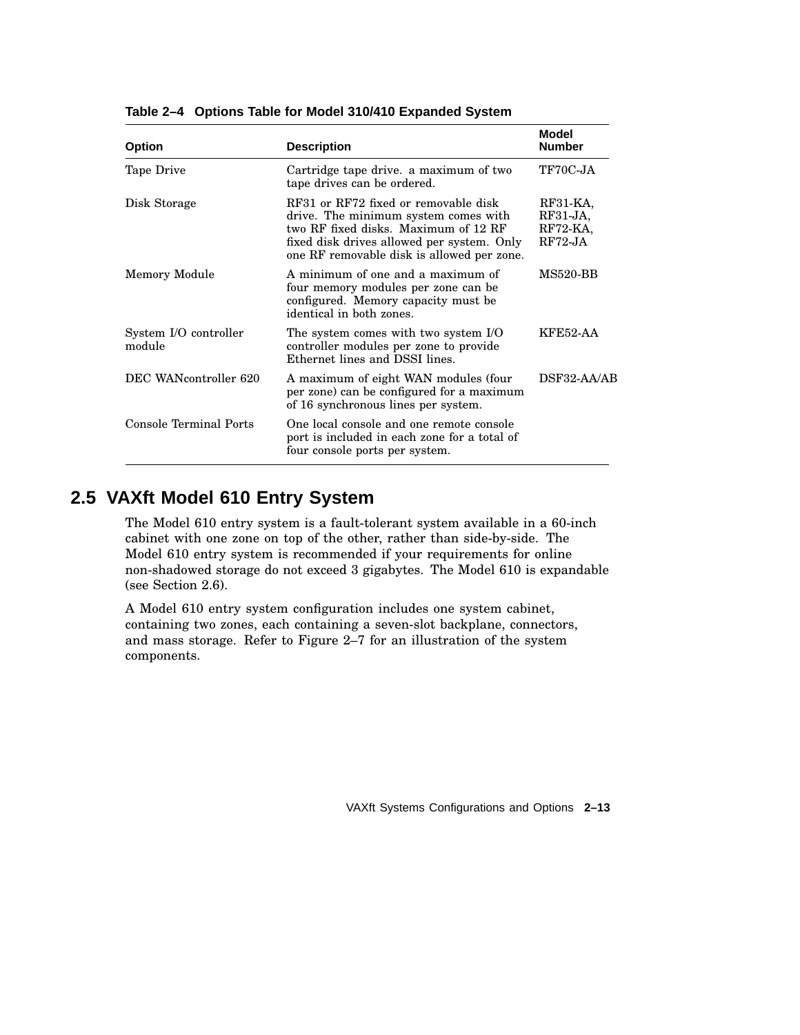| <b>Option</b>                   | <b>Description</b>                                                                                                                                                                                               | Model<br><b>Number</b>                          |
|---------------------------------|------------------------------------------------------------------------------------------------------------------------------------------------------------------------------------------------------------------|-------------------------------------------------|
| Tape Drive                      | Cartridge tape drive. a maximum of two<br>tape drives can be ordered.                                                                                                                                            | TF70C-JA                                        |
| Disk Storage                    | RF31 or RF72 fixed or removable disk<br>drive. The minimum system comes with<br>two RF fixed disks. Maximum of 12 RF<br>fixed disk drives allowed per system. Only<br>one RF removable disk is allowed per zone. | RF31-KA,<br>$RF31-JA$<br>$RF72-KA$<br>$RF72-JA$ |
| Memory Module                   | A minimum of one and a maximum of<br>four memory modules per zone can be<br>configured. Memory capacity must be<br>identical in both zones.                                                                      | <b>MS520-BB</b>                                 |
| System I/O controller<br>module | The system comes with two system I/O<br>controller modules per zone to provide<br>Ethernet lines and DSSI lines.                                                                                                 | <b>KFE52-AA</b>                                 |
| DEC WANcontroller 620           | A maximum of eight WAN modules (four<br>per zone) can be configured for a maximum<br>of 16 synchronous lines per system.                                                                                         | DSF32-AA/AB                                     |
| Console Terminal Ports          | One local console and one remote console<br>port is included in each zone for a total of<br>four console ports per system.                                                                                       |                                                 |

**Table 2–4 Options Table for Model 310/410 Expanded System**

## **2.5 VAXft Model 610 Entry System**

The Model 610 entry system is a fault-tolerant system available in a 60-inch cabinet with one zone on top of the other, rather than side-by-side. The Model 610 entry system is recommended if your requirements for online non-shadowed storage do not exceed 3 gigabytes. The Model 610 is expandable (see Section 2.6).

A Model 610 entry system configuration includes one system cabinet, containing two zones, each containing a seven-slot backplane, connectors, and mass storage. Refer to Figure 2–7 for an illustration of the system components.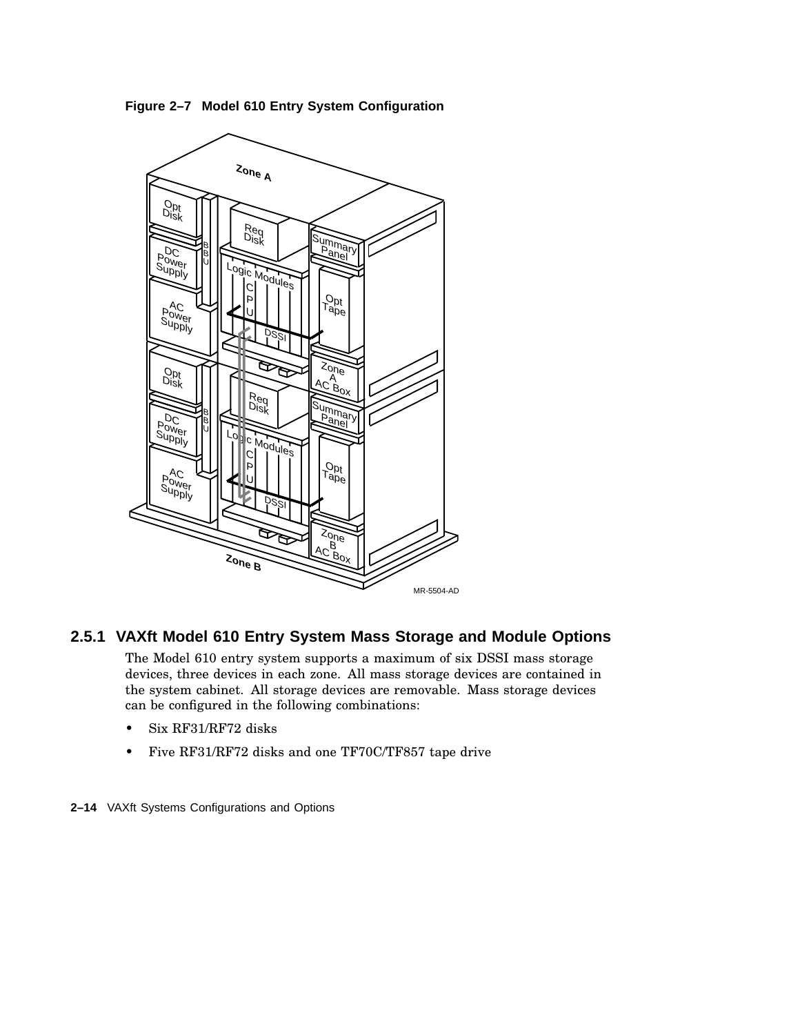**Figure 2–7 Model 610 Entry System Configuration**



## **2.5.1 VAXft Model 610 Entry System Mass Storage and Module Options**

The Model 610 entry system supports a maximum of six DSSI mass storage devices, three devices in each zone. All mass storage devices are contained in the system cabinet. All storage devices are removable. Mass storage devices can be configured in the following combinations:

- Six RF31/RF72 disks
- Five RF31/RF72 disks and one TF70C/TF857 tape drive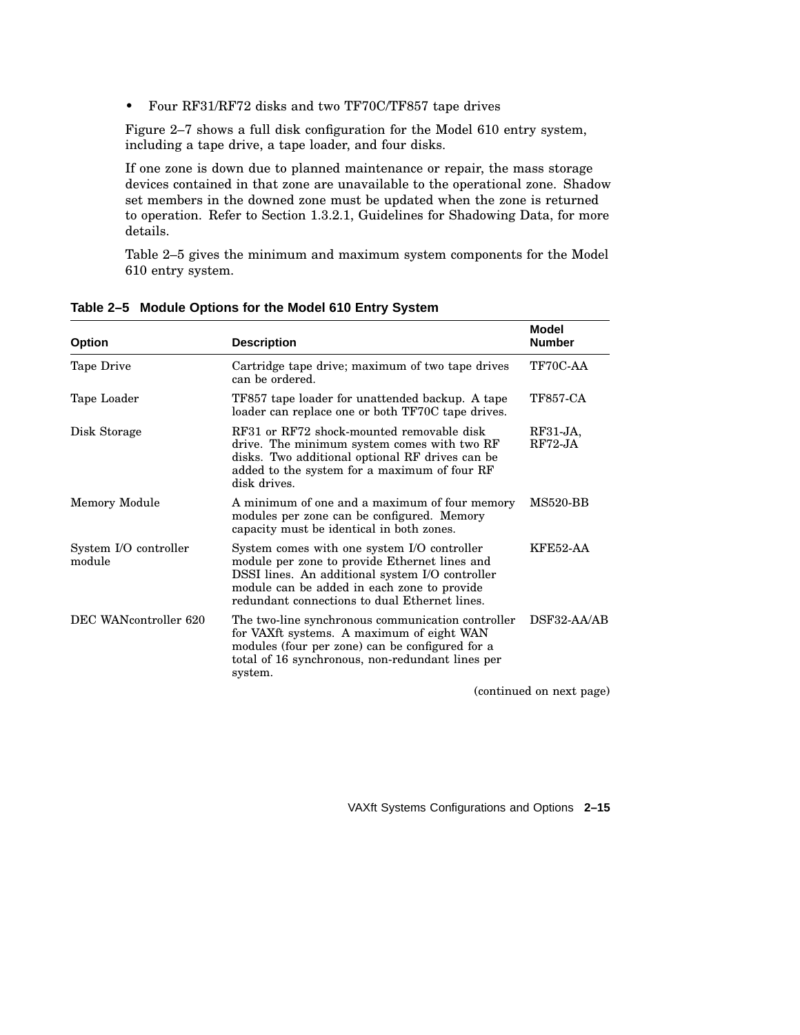• Four RF31/RF72 disks and two TF70C/TF857 tape drives

Figure 2–7 shows a full disk configuration for the Model 610 entry system, including a tape drive, a tape loader, and four disks.

If one zone is down due to planned maintenance or repair, the mass storage devices contained in that zone are unavailable to the operational zone. Shadow set members in the downed zone must be updated when the zone is returned to operation. Refer to Section 1.3.2.1, Guidelines for Shadowing Data, for more details.

Table 2–5 gives the minimum and maximum system components for the Model 610 entry system.

| <b>Option</b>                   | <b>Description</b>                                                                                                                                                                                                                              | Model<br><b>Number</b>   |
|---------------------------------|-------------------------------------------------------------------------------------------------------------------------------------------------------------------------------------------------------------------------------------------------|--------------------------|
| Tape Drive                      | Cartridge tape drive; maximum of two tape drives<br>can be ordered.                                                                                                                                                                             | TF70C-AA                 |
| Tape Loader                     | TF857 tape loader for unattended backup. A tape<br>loader can replace one or both TF70C tape drives.                                                                                                                                            | <b>TF857-CA</b>          |
| Disk Storage                    | RF31 or RF72 shock-mounted removable disk<br>drive. The minimum system comes with two RF<br>disks. Two additional optional RF drives can be<br>added to the system for a maximum of four RF<br>disk drives.                                     | $RF31-JA$<br>$RF72-JA$   |
| Memory Module                   | A minimum of one and a maximum of four memory<br>modules per zone can be configured. Memory<br>capacity must be identical in both zones.                                                                                                        | <b>MS520-BB</b>          |
| System I/O controller<br>module | System comes with one system I/O controller<br>module per zone to provide Ethernet lines and<br>DSSI lines. An additional system I/O controller<br>module can be added in each zone to provide<br>redundant connections to dual Ethernet lines. | KFE52-AA                 |
| DEC WANcontroller 620           | The two-line synchronous communication controller<br>for VAXft systems. A maximum of eight WAN<br>modules (four per zone) can be configured for a<br>total of 16 synchronous, non-redundant lines per<br>system.                                | DSF32-AA/AB              |
|                                 |                                                                                                                                                                                                                                                 | (continued on nort nore) |

**Table 2–5 Module Options for the Model 610 Entry System**

(continued on next page)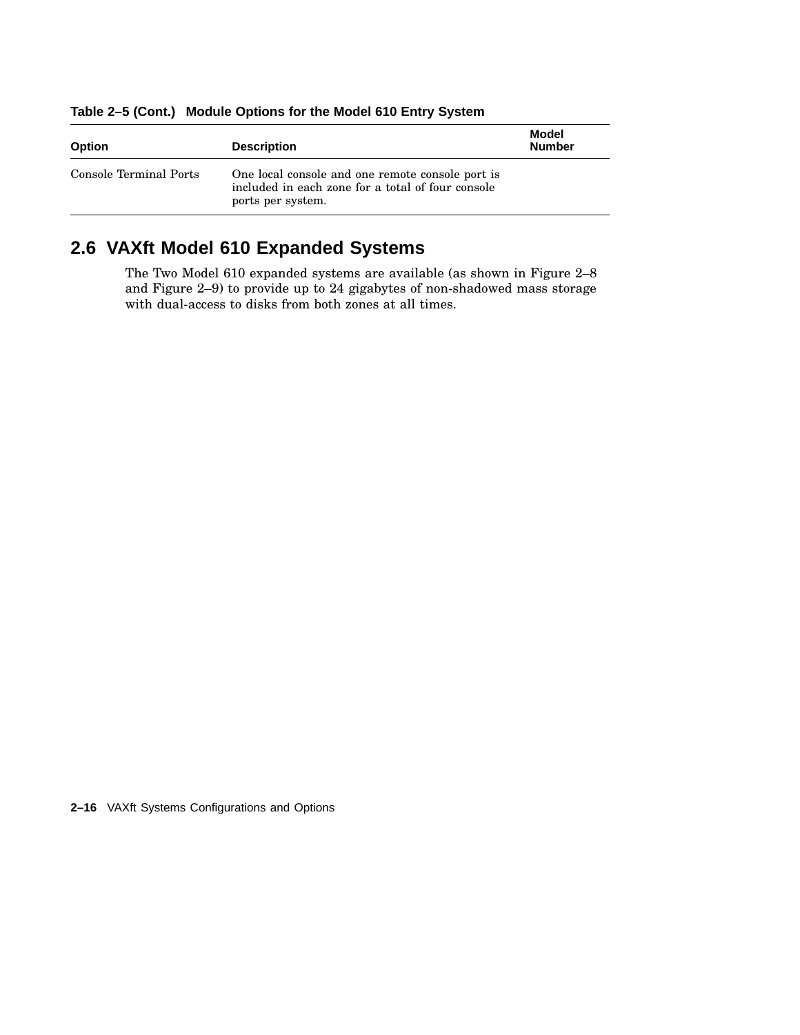| <b>Option</b>          | <b>Description</b>                                                                                                         | Model<br><b>Number</b> |
|------------------------|----------------------------------------------------------------------------------------------------------------------------|------------------------|
| Console Terminal Ports | One local console and one remote console port is<br>included in each zone for a total of four console<br>ports per system. |                        |

**Table 2–5 (Cont.) Module Options for the Model 610 Entry System**

## **2.6 VAXft Model 610 Expanded Systems**

The Two Model 610 expanded systems are available (as shown in Figure 2–8 and Figure 2–9) to provide up to 24 gigabytes of non-shadowed mass storage with dual-access to disks from both zones at all times.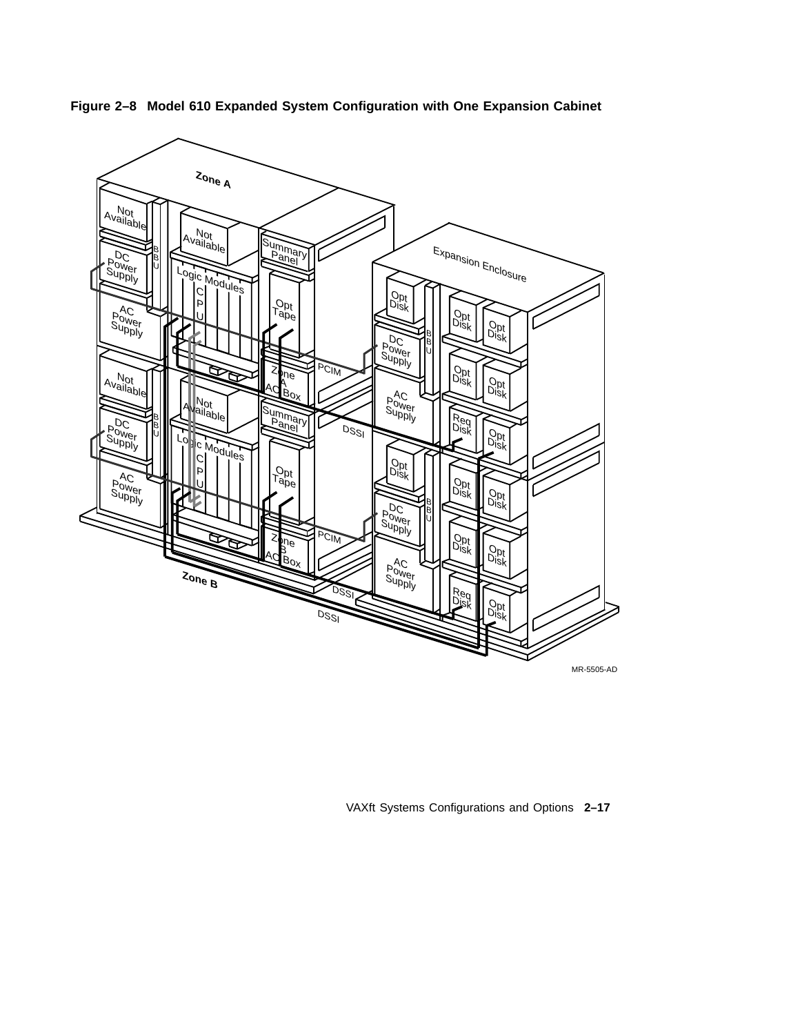

**Figure 2–8 Model 610 Expanded System Configuration with One Expansion Cabinet**

VAXft Systems Configurations and Options **2–17**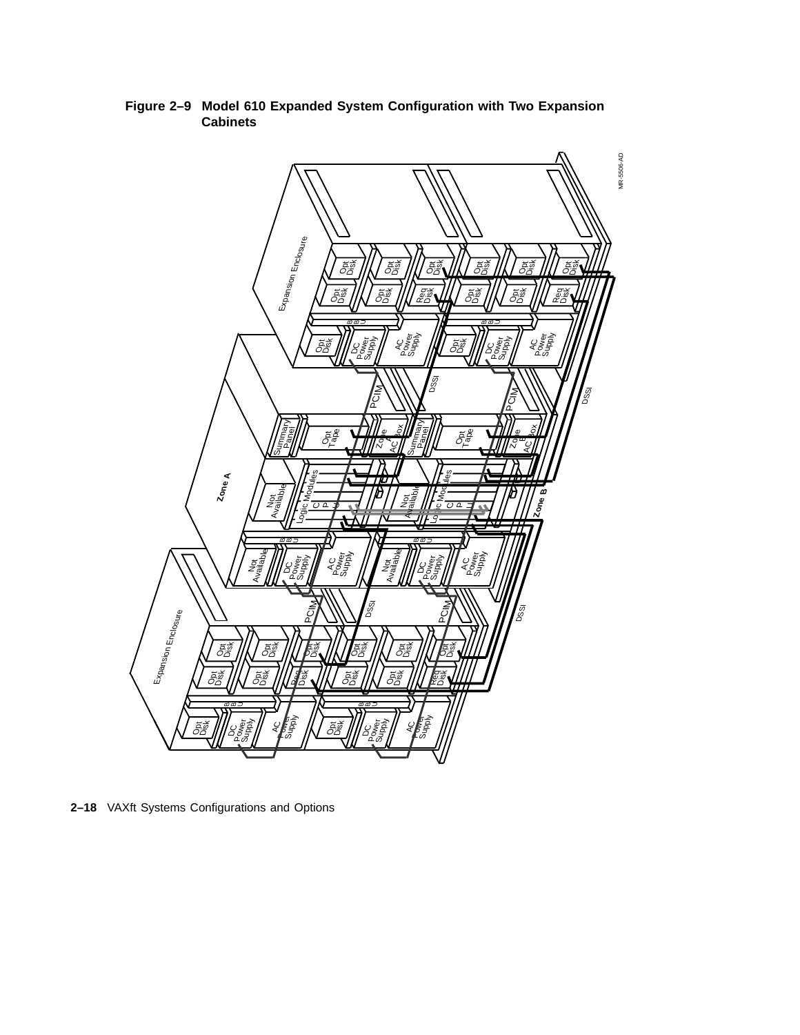

**Figure 2–9 Model 610 Expanded System Configuration with Two Expansion Cabinets**

**2–18** VAXft Systems Configurations and Options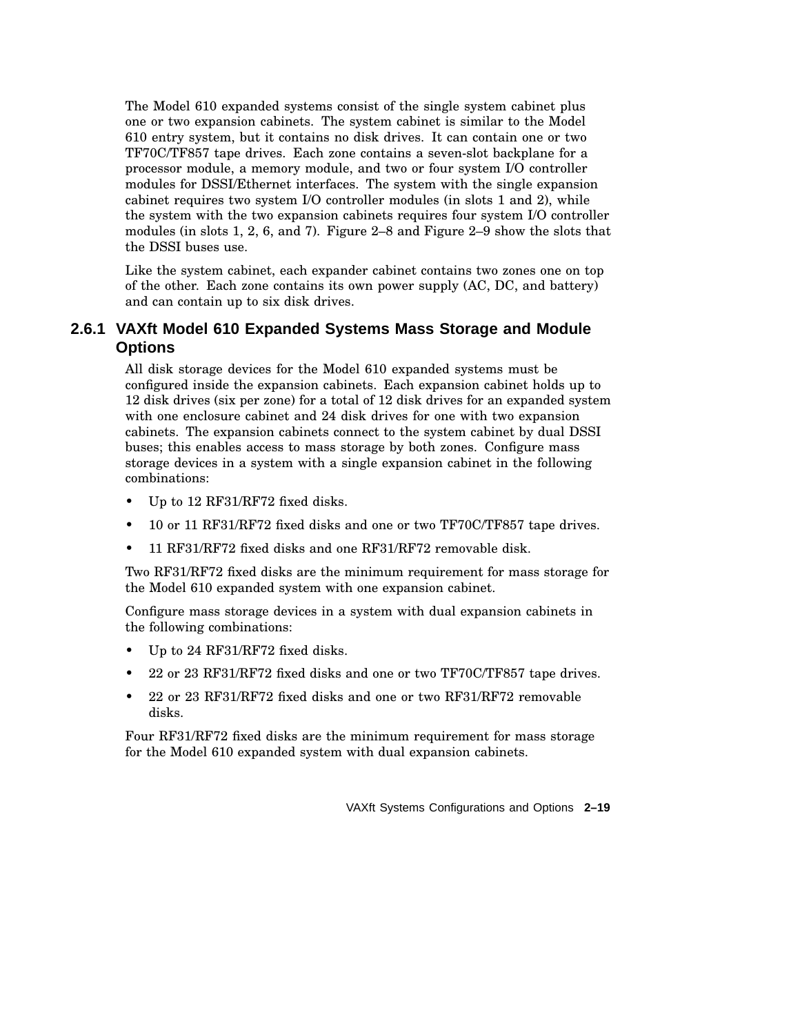The Model 610 expanded systems consist of the single system cabinet plus one or two expansion cabinets. The system cabinet is similar to the Model 610 entry system, but it contains no disk drives. It can contain one or two TF70C/TF857 tape drives. Each zone contains a seven-slot backplane for a processor module, a memory module, and two or four system I/O controller modules for DSSI/Ethernet interfaces. The system with the single expansion cabinet requires two system I/O controller modules (in slots 1 and 2), while the system with the two expansion cabinets requires four system I/O controller modules (in slots 1, 2, 6, and 7). Figure 2–8 and Figure 2–9 show the slots that the DSSI buses use.

Like the system cabinet, each expander cabinet contains two zones one on top of the other. Each zone contains its own power supply (AC, DC, and battery) and can contain up to six disk drives.

## **2.6.1 VAXft Model 610 Expanded Systems Mass Storage and Module Options**

All disk storage devices for the Model 610 expanded systems must be configured inside the expansion cabinets. Each expansion cabinet holds up to 12 disk drives (six per zone) for a total of 12 disk drives for an expanded system with one enclosure cabinet and 24 disk drives for one with two expansion cabinets. The expansion cabinets connect to the system cabinet by dual DSSI buses; this enables access to mass storage by both zones. Configure mass storage devices in a system with a single expansion cabinet in the following combinations:

- Up to 12 RF31/RF72 fixed disks.
- 10 or 11 RF31/RF72 fixed disks and one or two TF70C/TF857 tape drives.
- 11 RF31/RF72 fixed disks and one RF31/RF72 removable disk.

Two RF31/RF72 fixed disks are the minimum requirement for mass storage for the Model 610 expanded system with one expansion cabinet.

Configure mass storage devices in a system with dual expansion cabinets in the following combinations:

- Up to 24 RF31/RF72 fixed disks.
- 22 or 23 RF31/RF72 fixed disks and one or two TF70C/TF857 tape drives.
- 22 or 23 RF31/RF72 fixed disks and one or two RF31/RF72 removable disks.

Four RF31/RF72 fixed disks are the minimum requirement for mass storage for the Model 610 expanded system with dual expansion cabinets.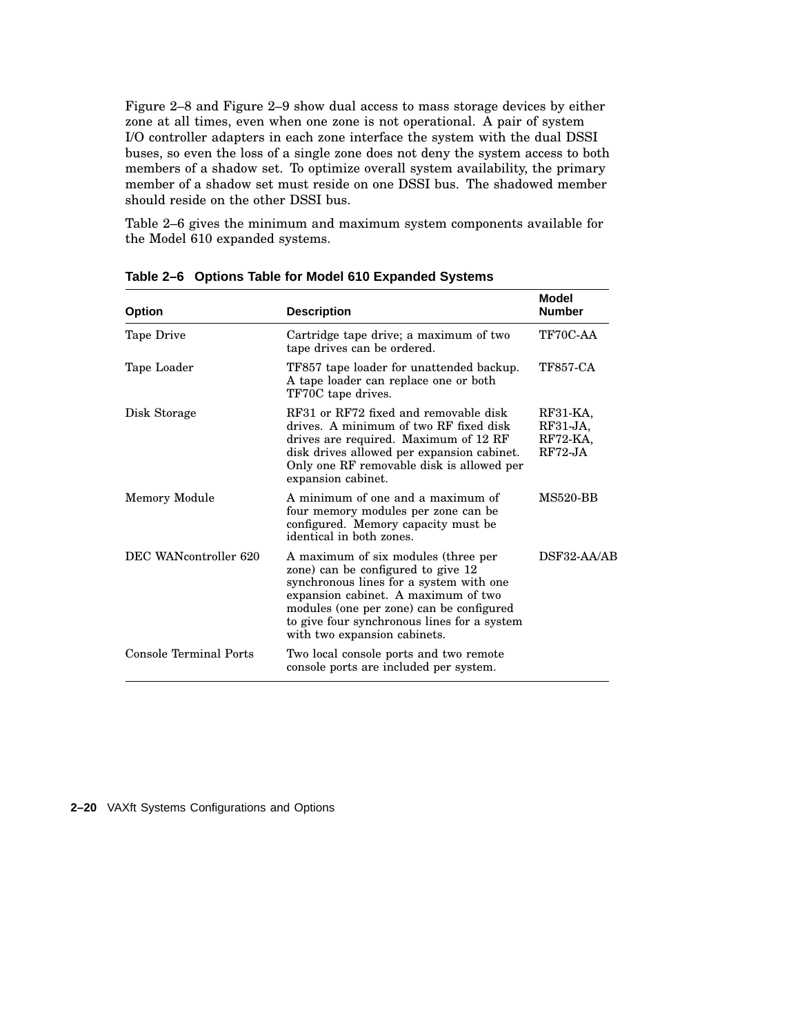Figure 2–8 and Figure 2–9 show dual access to mass storage devices by either zone at all times, even when one zone is not operational. A pair of system I/O controller adapters in each zone interface the system with the dual DSSI buses, so even the loss of a single zone does not deny the system access to both members of a shadow set. To optimize overall system availability, the primary member of a shadow set must reside on one DSSI bus. The shadowed member should reside on the other DSSI bus.

Table 2–6 gives the minimum and maximum system components available for the Model 610 expanded systems.

| <b>Option</b>          | <b>Description</b>                                                                                                                                                                                                                                                                     | Model<br><b>Number</b>                           |
|------------------------|----------------------------------------------------------------------------------------------------------------------------------------------------------------------------------------------------------------------------------------------------------------------------------------|--------------------------------------------------|
| Tape Drive             | Cartridge tape drive; a maximum of two<br>tape drives can be ordered.                                                                                                                                                                                                                  | TF70C-AA                                         |
| Tape Loader            | TF857 tape loader for unattended backup.<br>A tape loader can replace one or both<br>TF70C tape drives.                                                                                                                                                                                | <b>TF857-CA</b>                                  |
| Disk Storage           | RF31 or RF72 fixed and removable disk<br>drives. A minimum of two RF fixed disk<br>drives are required. Maximum of 12 RF<br>disk drives allowed per expansion cabinet.<br>Only one RF removable disk is allowed per<br>expansion cabinet.                                              | $RF31-KA$<br>$RF31-JA,$<br>RF72-KA,<br>$RF72-JA$ |
| Memory Module          | A minimum of one and a maximum of<br>four memory modules per zone can be<br>configured. Memory capacity must be<br>identical in both zones.                                                                                                                                            | <b>MS520-BB</b>                                  |
| DEC WANcontroller 620  | A maximum of six modules (three per<br>zone) can be configured to give 12<br>synchronous lines for a system with one<br>expansion cabinet. A maximum of two<br>modules (one per zone) can be configured<br>to give four synchronous lines for a system<br>with two expansion cabinets. | DSF32-AA/AB                                      |
| Console Terminal Ports | Two local console ports and two remote<br>console ports are included per system.                                                                                                                                                                                                       |                                                  |

**Table 2–6 Options Table for Model 610 Expanded Systems**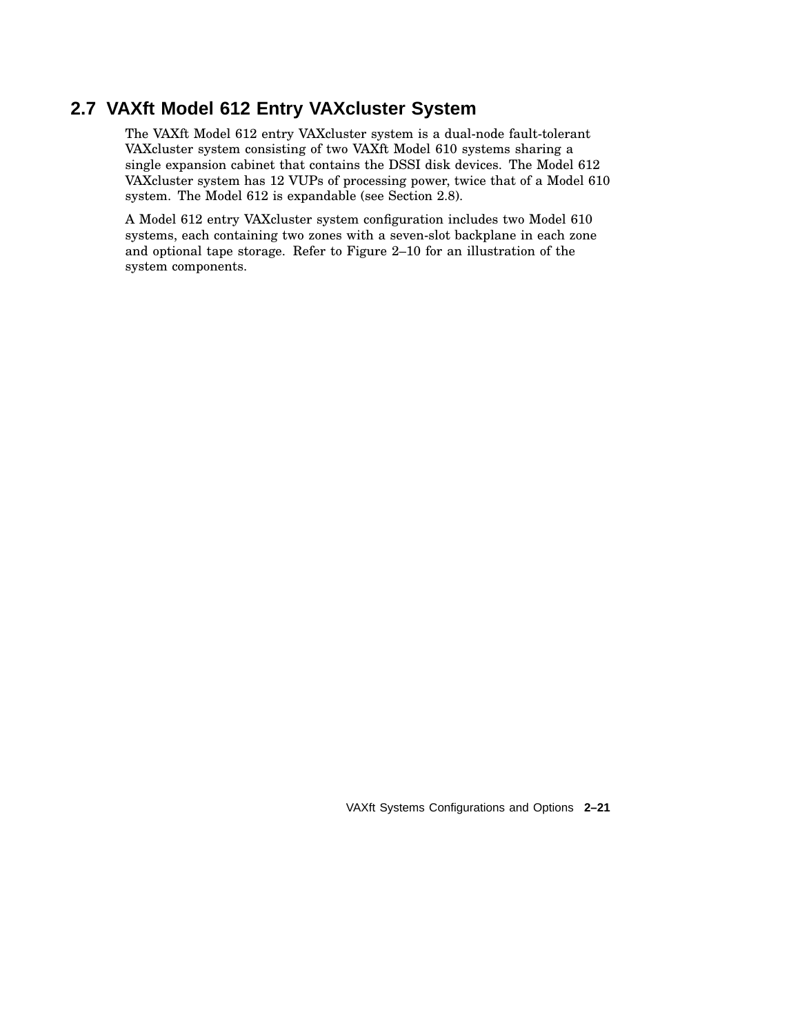## **2.7 VAXft Model 612 Entry VAXcluster System**

The VAXft Model 612 entry VAXcluster system is a dual-node fault-tolerant VAXcluster system consisting of two VAXft Model 610 systems sharing a single expansion cabinet that contains the DSSI disk devices. The Model 612 VAXcluster system has 12 VUPs of processing power, twice that of a Model 610 system. The Model 612 is expandable (see Section 2.8).

A Model 612 entry VAXcluster system configuration includes two Model 610 systems, each containing two zones with a seven-slot backplane in each zone and optional tape storage. Refer to Figure 2–10 for an illustration of the system components.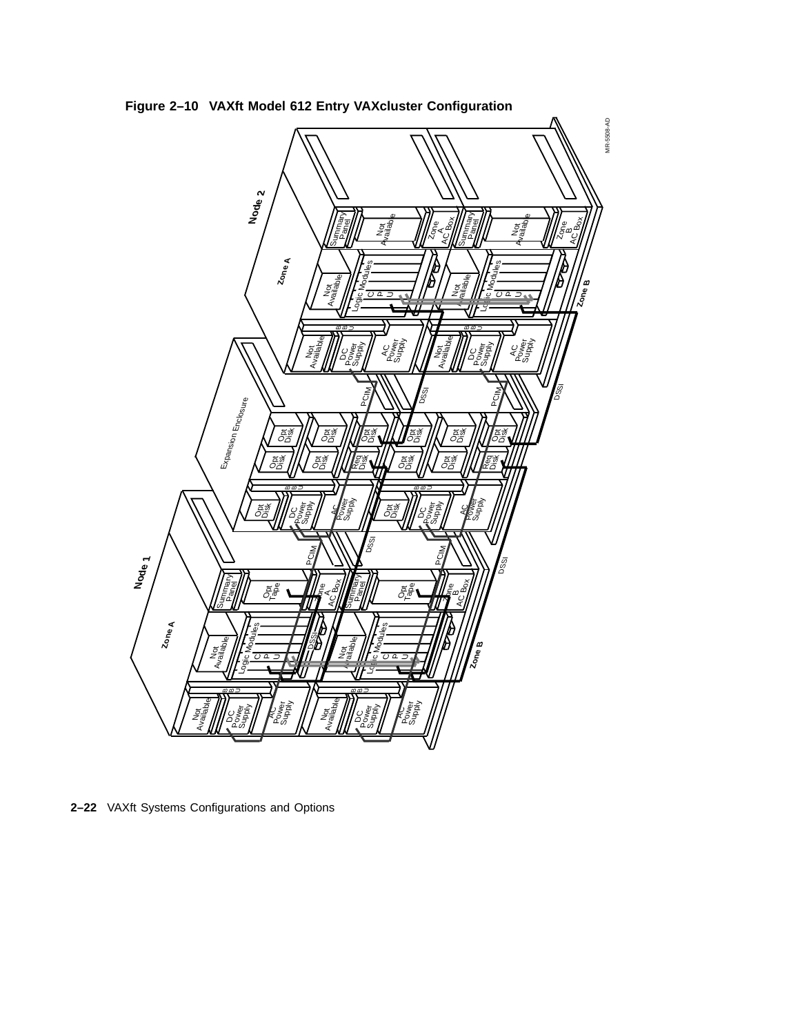**Figure 2–10 VAXft Model 612 Entry VAXcluster Configuration**



**2–22** VAXft Systems Configurations and Options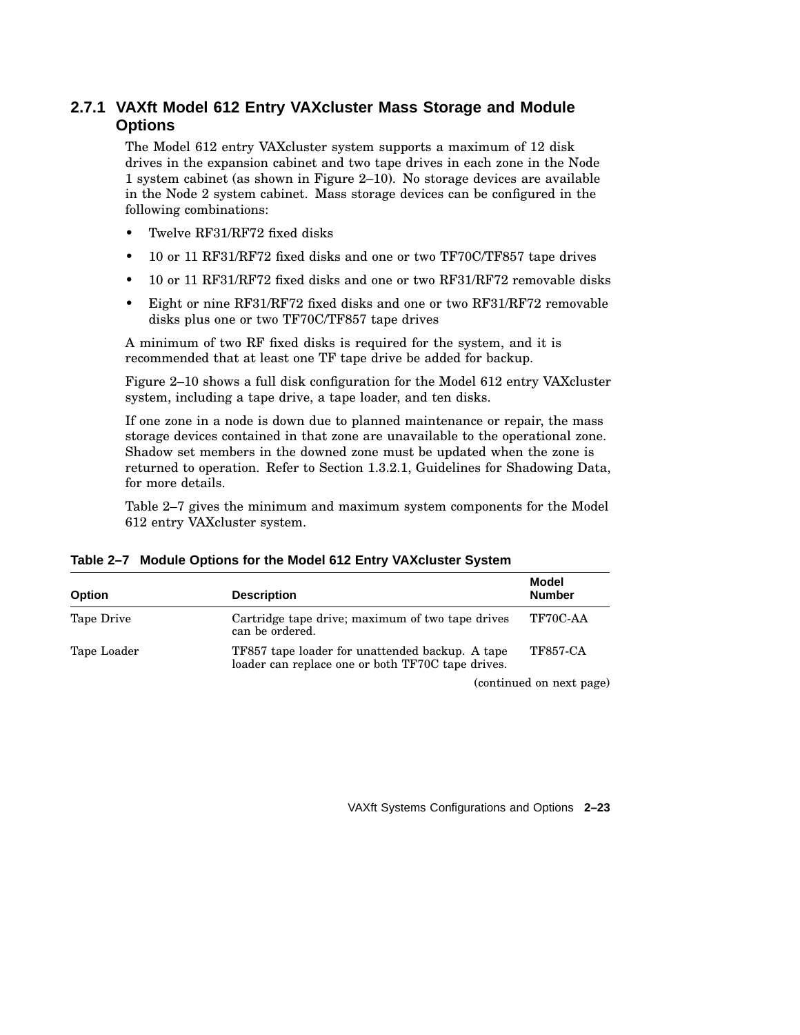## **2.7.1 VAXft Model 612 Entry VAXcluster Mass Storage and Module Options**

The Model 612 entry VAXcluster system supports a maximum of 12 disk drives in the expansion cabinet and two tape drives in each zone in the Node 1 system cabinet (as shown in Figure 2–10). No storage devices are available in the Node 2 system cabinet. Mass storage devices can be configured in the following combinations:

- Twelve RF31/RF72 fixed disks
- 10 or 11 RF31/RF72 fixed disks and one or two TF70C/TF857 tape drives
- 10 or 11 RF31/RF72 fixed disks and one or two RF31/RF72 removable disks
- Eight or nine RF31/RF72 fixed disks and one or two RF31/RF72 removable disks plus one or two TF70C/TF857 tape drives

A minimum of two RF fixed disks is required for the system, and it is recommended that at least one TF tape drive be added for backup.

Figure 2–10 shows a full disk configuration for the Model 612 entry VAXcluster system, including a tape drive, a tape loader, and ten disks.

If one zone in a node is down due to planned maintenance or repair, the mass storage devices contained in that zone are unavailable to the operational zone. Shadow set members in the downed zone must be updated when the zone is returned to operation. Refer to Section 1.3.2.1, Guidelines for Shadowing Data, for more details.

Table 2–7 gives the minimum and maximum system components for the Model 612 entry VAXcluster system.

| <b>Option</b> | <b>Description</b>                                                                                   | Model<br><b>Number</b> |
|---------------|------------------------------------------------------------------------------------------------------|------------------------|
| Tape Drive    | Cartridge tape drive; maximum of two tape drives<br>can be ordered.                                  | TF70C-AA               |
| Tape Loader   | TF857 tape loader for unattended backup. A tape<br>loader can replace one or both TF70C tape drives. | <b>TF857-CA</b>        |

(continued on next page)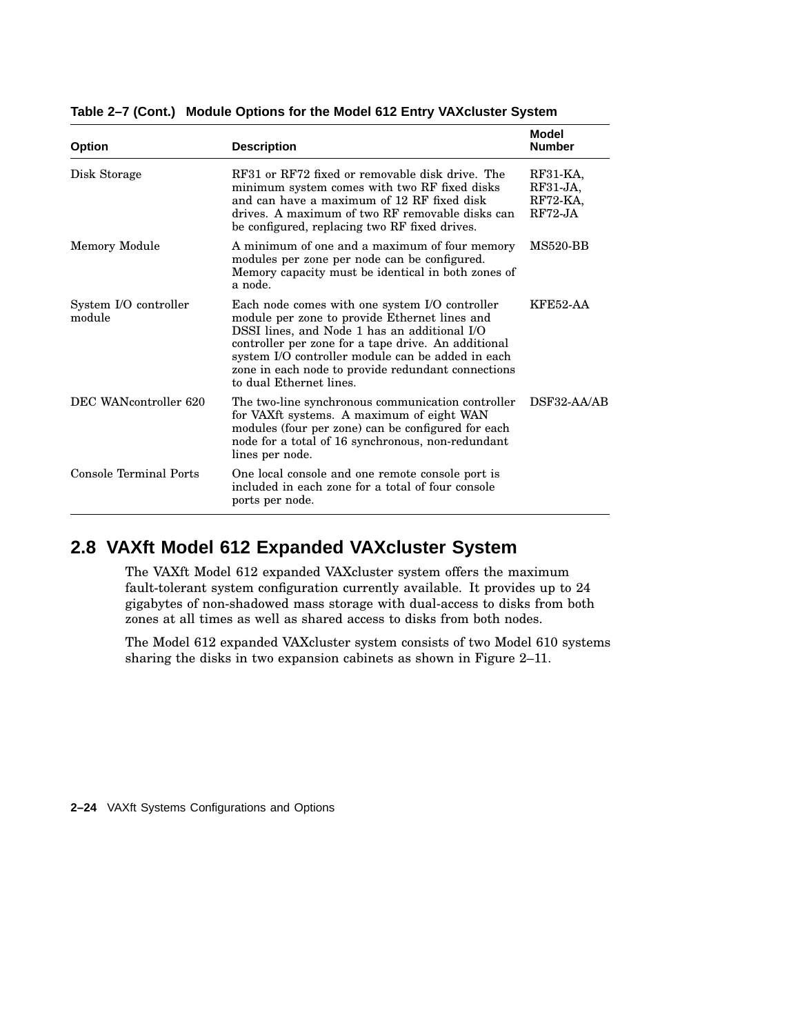| <b>Option</b>                   | <b>Description</b>                                                                                                                                                                                                                                                                                                                           | Model<br><b>Number</b>                           |
|---------------------------------|----------------------------------------------------------------------------------------------------------------------------------------------------------------------------------------------------------------------------------------------------------------------------------------------------------------------------------------------|--------------------------------------------------|
| Disk Storage                    | RF31 or RF72 fixed or removable disk drive. The<br>minimum system comes with two RF fixed disks<br>and can have a maximum of 12 RF fixed disk<br>drives. A maximum of two RF removable disks can<br>be configured, replacing two RF fixed drives.                                                                                            | $RF31-KA$<br>$RF31-JA$<br>$RF72-KA$<br>$RF72-JA$ |
| Memory Module                   | A minimum of one and a maximum of four memory<br>modules per zone per node can be configured.<br>Memory capacity must be identical in both zones of<br>a node.                                                                                                                                                                               | <b>MS520-BB</b>                                  |
| System I/O controller<br>module | Each node comes with one system I/O controller<br>module per zone to provide Ethernet lines and<br>DSSI lines, and Node 1 has an additional I/O<br>controller per zone for a tape drive. An additional<br>system I/O controller module can be added in each<br>zone in each node to provide redundant connections<br>to dual Ethernet lines. | <b>KFE52-AA</b>                                  |
| DEC WANcontroller 620           | The two-line synchronous communication controller<br>for VAXft systems. A maximum of eight WAN<br>modules (four per zone) can be configured for each<br>node for a total of 16 synchronous, non-redundant<br>lines per node.                                                                                                                 | DSF32-AA/AB                                      |
| Console Terminal Ports          | One local console and one remote console port is<br>included in each zone for a total of four console<br>ports per node.                                                                                                                                                                                                                     |                                                  |

**Table 2–7 (Cont.) Module Options for the Model 612 Entry VAXcluster System**

## **2.8 VAXft Model 612 Expanded VAXcluster System**

The VAXft Model 612 expanded VAXcluster system offers the maximum fault-tolerant system configuration currently available. It provides up to 24 gigabytes of non-shadowed mass storage with dual-access to disks from both zones at all times as well as shared access to disks from both nodes.

The Model 612 expanded VAXcluster system consists of two Model 610 systems sharing the disks in two expansion cabinets as shown in Figure 2–11.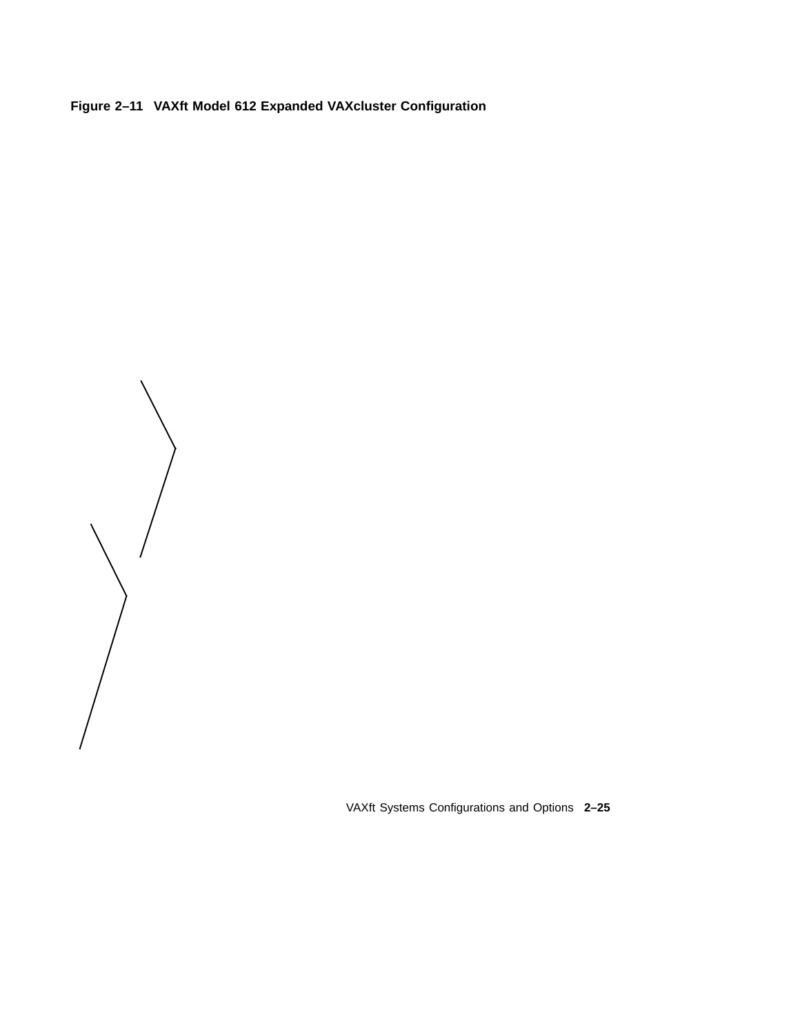**Figure 2–11 VAXft Model 612 Expanded VAXcluster Configuration**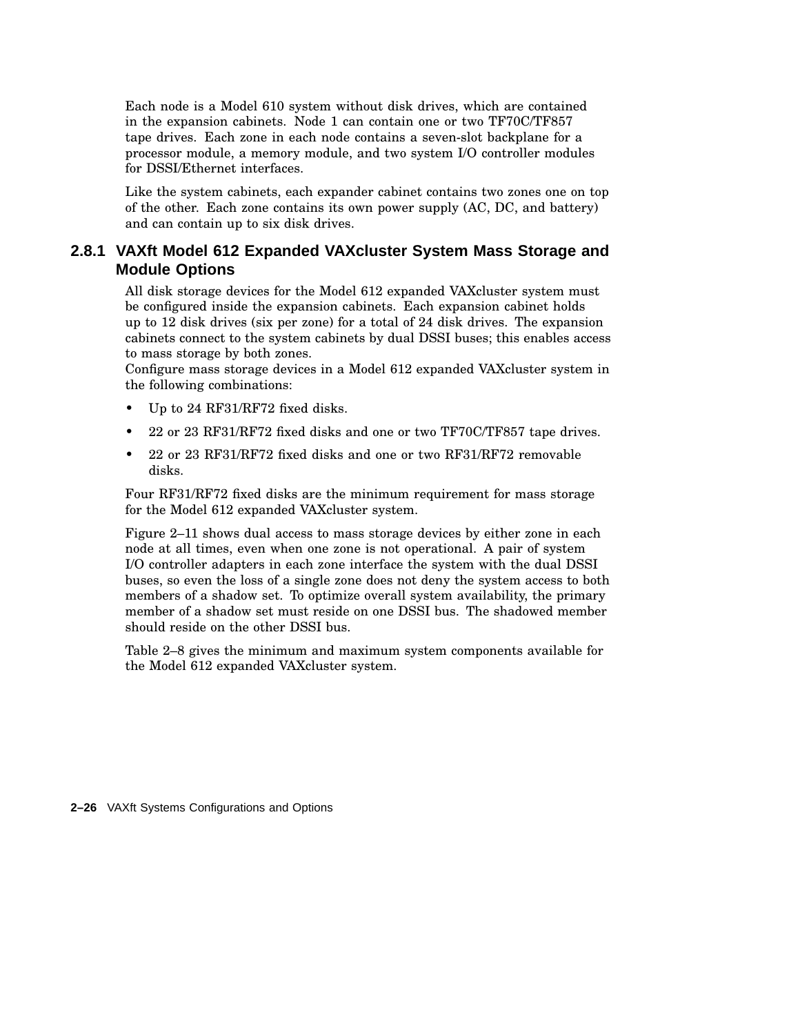Each node is a Model 610 system without disk drives, which are contained in the expansion cabinets. Node 1 can contain one or two TF70C/TF857 tape drives. Each zone in each node contains a seven-slot backplane for a processor module, a memory module, and two system I/O controller modules for DSSI/Ethernet interfaces.

Like the system cabinets, each expander cabinet contains two zones one on top of the other. Each zone contains its own power supply (AC, DC, and battery) and can contain up to six disk drives.

## **2.8.1 VAXft Model 612 Expanded VAXcluster System Mass Storage and Module Options**

All disk storage devices for the Model 612 expanded VAXcluster system must be configured inside the expansion cabinets. Each expansion cabinet holds up to 12 disk drives (six per zone) for a total of 24 disk drives. The expansion cabinets connect to the system cabinets by dual DSSI buses; this enables access to mass storage by both zones.

Configure mass storage devices in a Model 612 expanded VAXcluster system in the following combinations:

- Up to 24 RF31/RF72 fixed disks.
- 22 or 23 RF31/RF72 fixed disks and one or two TF70C/TF857 tape drives.
- 22 or 23 RF31/RF72 fixed disks and one or two RF31/RF72 removable disks.

Four RF31/RF72 fixed disks are the minimum requirement for mass storage for the Model 612 expanded VAXcluster system.

Figure 2–11 shows dual access to mass storage devices by either zone in each node at all times, even when one zone is not operational. A pair of system I/O controller adapters in each zone interface the system with the dual DSSI buses, so even the loss of a single zone does not deny the system access to both members of a shadow set. To optimize overall system availability, the primary member of a shadow set must reside on one DSSI bus. The shadowed member should reside on the other DSSI bus.

Table 2–8 gives the minimum and maximum system components available for the Model 612 expanded VAXcluster system.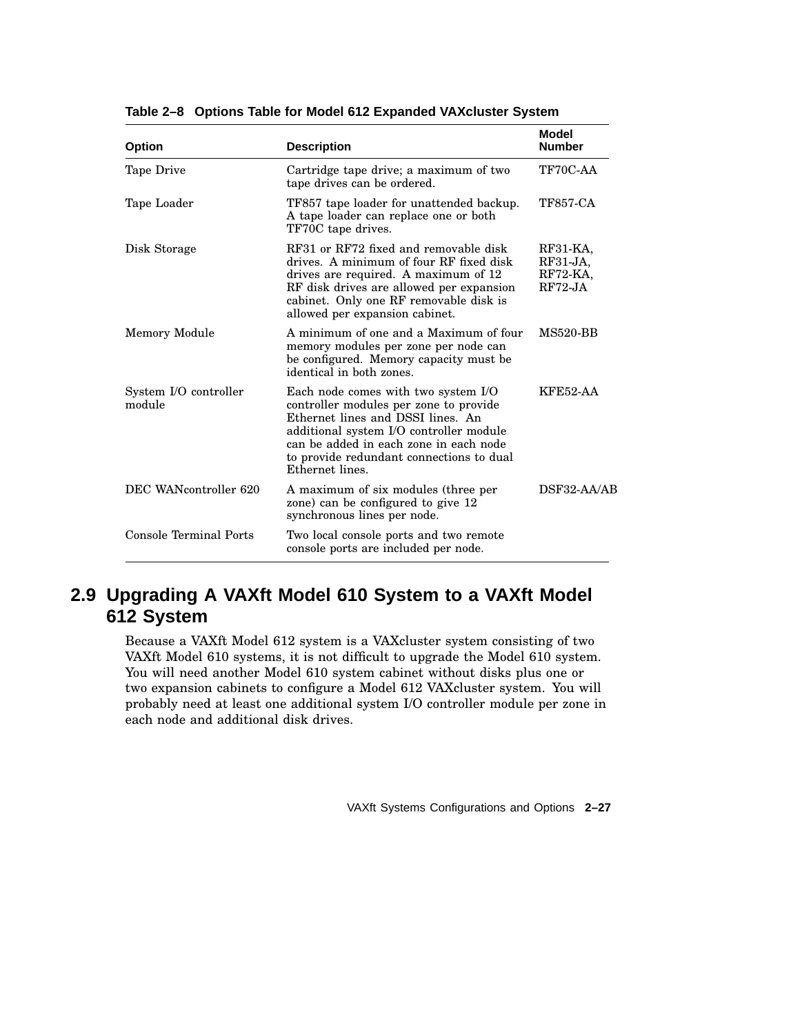| <b>Option</b>                   | <b>Description</b>                                                                                                                                                                                                                                                     | Model<br><b>Number</b>                          |
|---------------------------------|------------------------------------------------------------------------------------------------------------------------------------------------------------------------------------------------------------------------------------------------------------------------|-------------------------------------------------|
| Tape Drive                      | Cartridge tape drive; a maximum of two<br>tape drives can be ordered.                                                                                                                                                                                                  | TF70C-AA                                        |
| Tape Loader                     | TF857 tape loader for unattended backup.<br>A tape loader can replace one or both<br>TF70C tape drives.                                                                                                                                                                | <b>TF857-CA</b>                                 |
| Disk Storage                    | RF31 or RF72 fixed and removable disk<br>drives. A minimum of four RF fixed disk<br>drives are required. A maximum of 12<br>RF disk drives are allowed per expansion<br>cabinet. Only one RF removable disk is<br>allowed per expansion cabinet.                       | RF31-KA,<br>$RF31-JA,$<br>RF72-KA,<br>$RF72-JA$ |
| Memory Module                   | A minimum of one and a Maximum of four<br>memory modules per zone per node can<br>be configured. Memory capacity must be<br>identical in both zones.                                                                                                                   | <b>MS520-BB</b>                                 |
| System I/O controller<br>module | Each node comes with two system I/O<br>controller modules per zone to provide<br>Ethernet lines and DSSI lines. An<br>additional system I/O controller module<br>can be added in each zone in each node<br>to provide redundant connections to dual<br>Ethernet lines. | KFE52-AA                                        |
| DEC WANcontroller 620           | A maximum of six modules (three per<br>zone) can be configured to give 12<br>synchronous lines per node.                                                                                                                                                               | $DSF32-AA/AB$                                   |
| Console Terminal Ports          | Two local console ports and two remote<br>console ports are included per node.                                                                                                                                                                                         |                                                 |

**Table 2–8 Options Table for Model 612 Expanded VAXcluster System**

## **2.9 Upgrading A VAXft Model 610 System to a VAXft Model 612 System**

Because a VAXft Model 612 system is a VAXcluster system consisting of two VAXft Model 610 systems, it is not difficult to upgrade the Model 610 system. You will need another Model 610 system cabinet without disks plus one or two expansion cabinets to configure a Model 612 VAXcluster system. You will probably need at least one additional system I/O controller module per zone in each node and additional disk drives.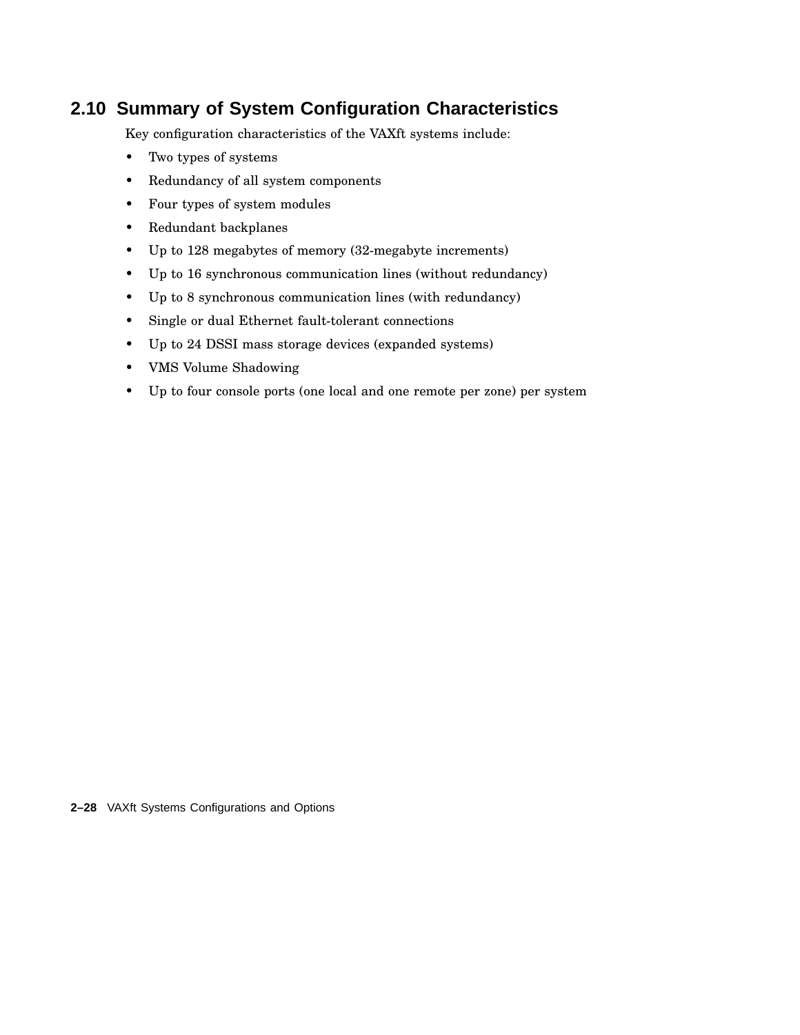## **2.10 Summary of System Configuration Characteristics**

Key configuration characteristics of the VAXft systems include:

- Two types of systems
- Redundancy of all system components
- Four types of system modules
- Redundant backplanes
- Up to 128 megabytes of memory (32-megabyte increments)
- Up to 16 synchronous communication lines (without redundancy)
- Up to 8 synchronous communication lines (with redundancy)
- Single or dual Ethernet fault-tolerant connections
- Up to 24 DSSI mass storage devices (expanded systems)
- VMS Volume Shadowing
- Up to four console ports (one local and one remote per zone) per system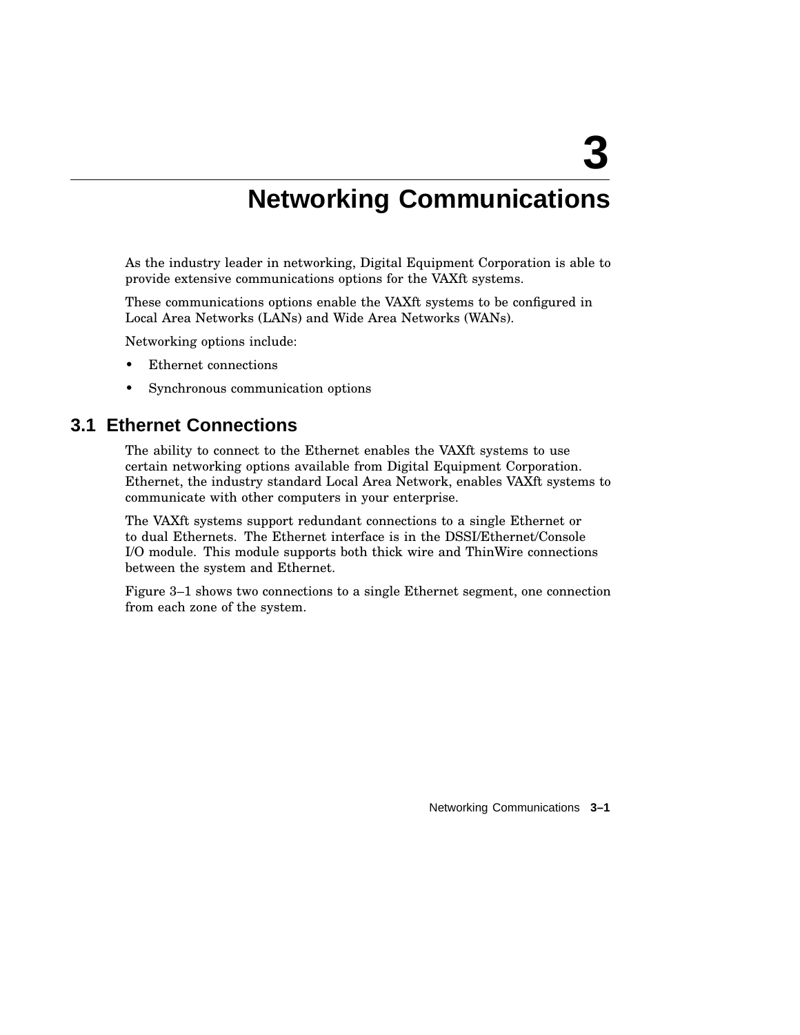# **3**

# **Networking Communications**

As the industry leader in networking, Digital Equipment Corporation is able to provide extensive communications options for the VAXft systems.

These communications options enable the VAXft systems to be configured in Local Area Networks (LANs) and Wide Area Networks (WANs).

Networking options include:

- Ethernet connections
- Synchronous communication options

## **3.1 Ethernet Connections**

The ability to connect to the Ethernet enables the VAXft systems to use certain networking options available from Digital Equipment Corporation. Ethernet, the industry standard Local Area Network, enables VAXft systems to communicate with other computers in your enterprise.

The VAXft systems support redundant connections to a single Ethernet or to dual Ethernets. The Ethernet interface is in the DSSI/Ethernet/Console I/O module. This module supports both thick wire and ThinWire connections between the system and Ethernet.

Figure 3–1 shows two connections to a single Ethernet segment, one connection from each zone of the system.

Networking Communications **3–1**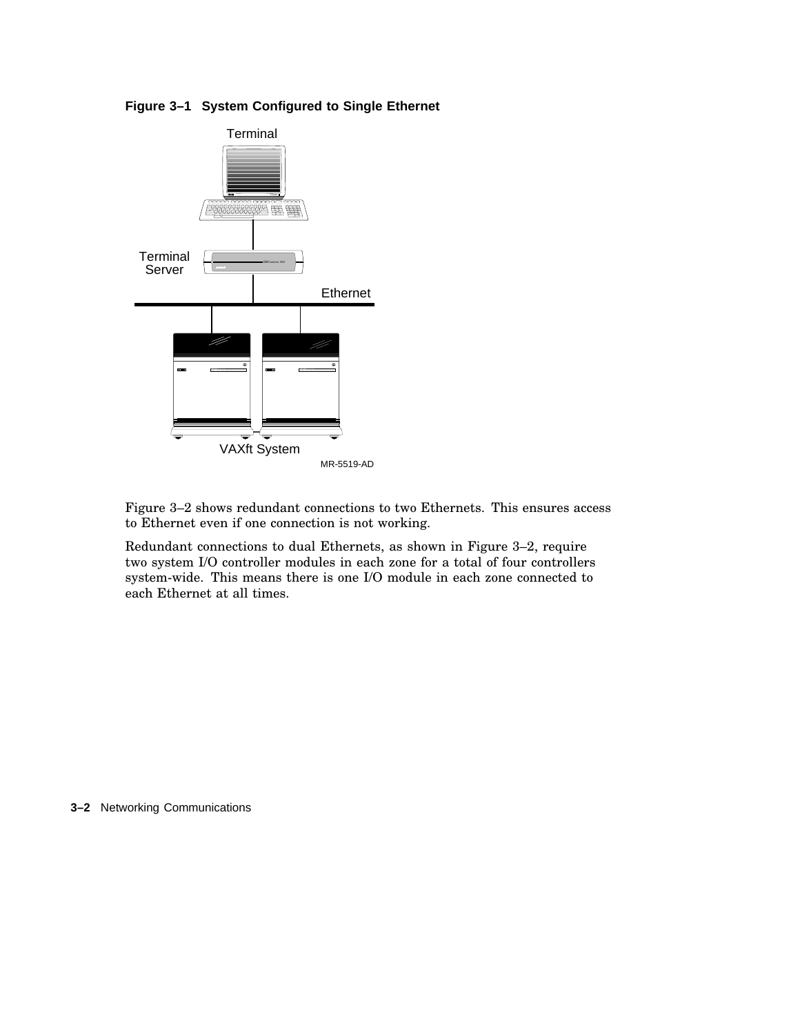



Figure 3–2 shows redundant connections to two Ethernets. This ensures access to Ethernet even if one connection is not working.

Redundant connections to dual Ethernets, as shown in Figure 3–2, require two system I/O controller modules in each zone for a total of four controllers system-wide. This means there is one I/O module in each zone connected to each Ethernet at all times.

**3–2** Networking Communications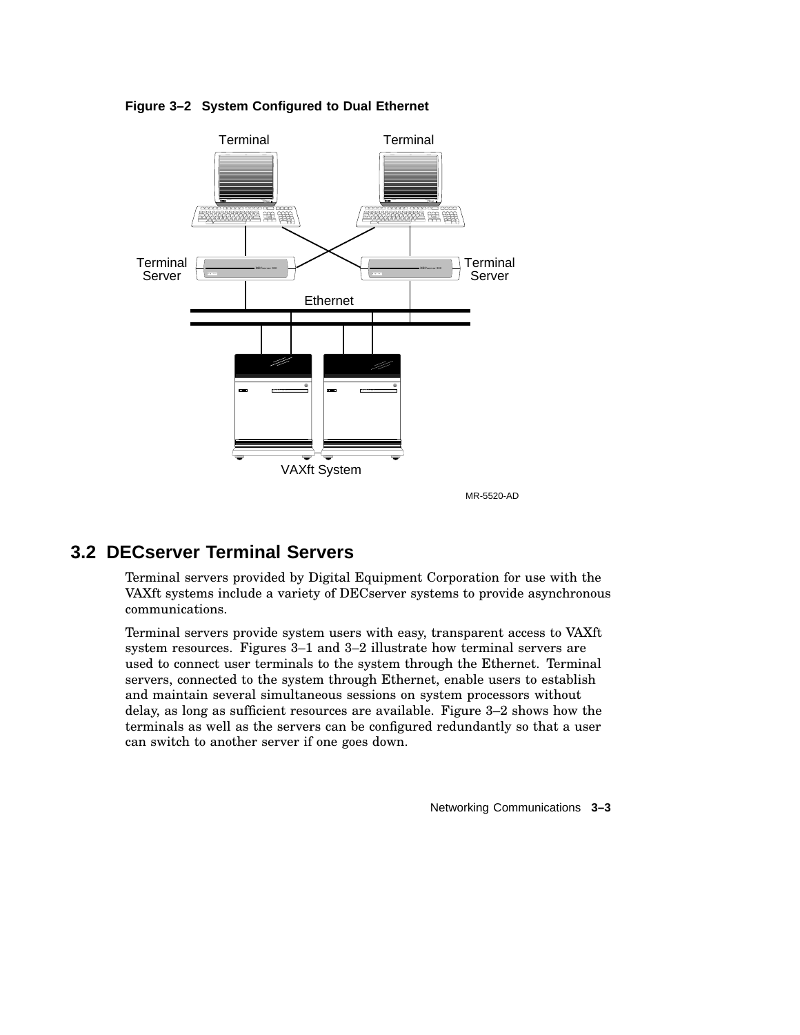

**Figure 3–2 System Configured to Dual Ethernet**

MR-5520-AD

## **3.2 DECserver Terminal Servers**

Terminal servers provided by Digital Equipment Corporation for use with the VAXft systems include a variety of DECserver systems to provide asynchronous communications.

Terminal servers provide system users with easy, transparent access to VAXft system resources. Figures 3–1 and 3–2 illustrate how terminal servers are used to connect user terminals to the system through the Ethernet. Terminal servers, connected to the system through Ethernet, enable users to establish and maintain several simultaneous sessions on system processors without delay, as long as sufficient resources are available. Figure 3–2 shows how the terminals as well as the servers can be configured redundantly so that a user can switch to another server if one goes down.

Networking Communications **3–3**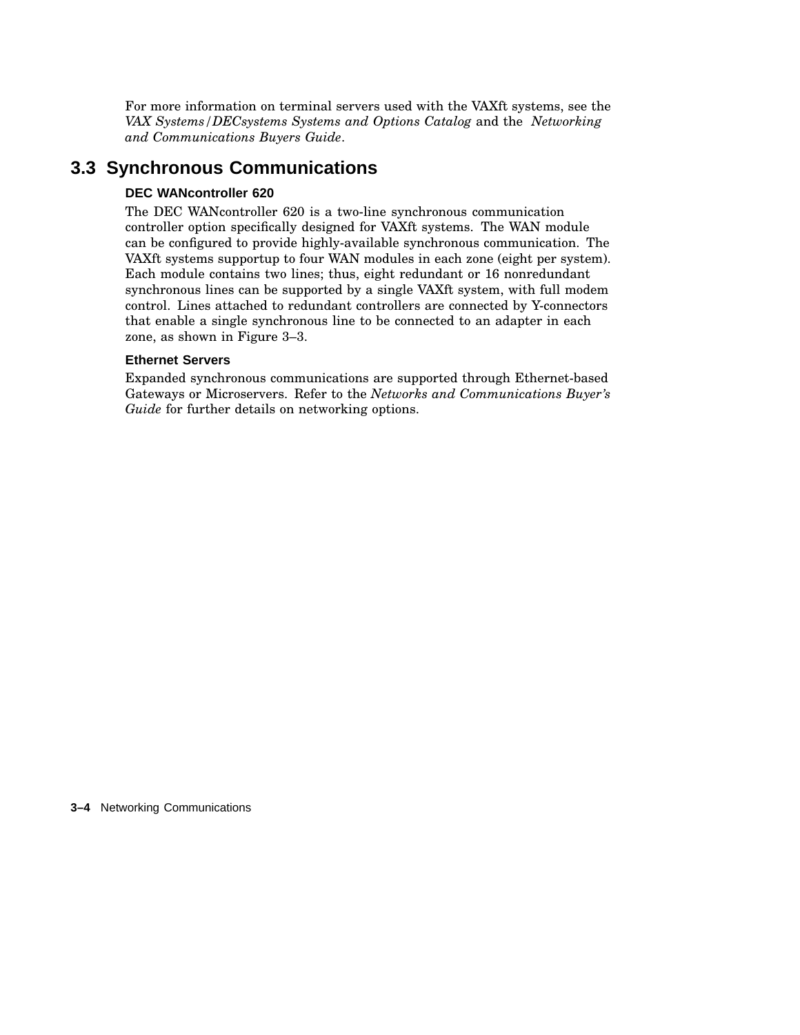For more information on terminal servers used with the VAXft systems, see the *VAX Systems/DECsystems Systems and Options Catalog* and the *Networking and Communications Buyers Guide*.

## **3.3 Synchronous Communications**

## **DEC WANcontroller 620**

The DEC WANcontroller 620 is a two-line synchronous communication controller option specifically designed for VAXft systems. The WAN module can be configured to provide highly-available synchronous communication. The VAXft systems supportup to four WAN modules in each zone (eight per system). Each module contains two lines; thus, eight redundant or 16 nonredundant synchronous lines can be supported by a single VAXft system, with full modem control. Lines attached to redundant controllers are connected by Y-connectors that enable a single synchronous line to be connected to an adapter in each zone, as shown in Figure 3–3.

## **Ethernet Servers**

Expanded synchronous communications are supported through Ethernet-based Gateways or Microservers. Refer to the *Networks and Communications Buyer's Guide* for further details on networking options.

**3–4** Networking Communications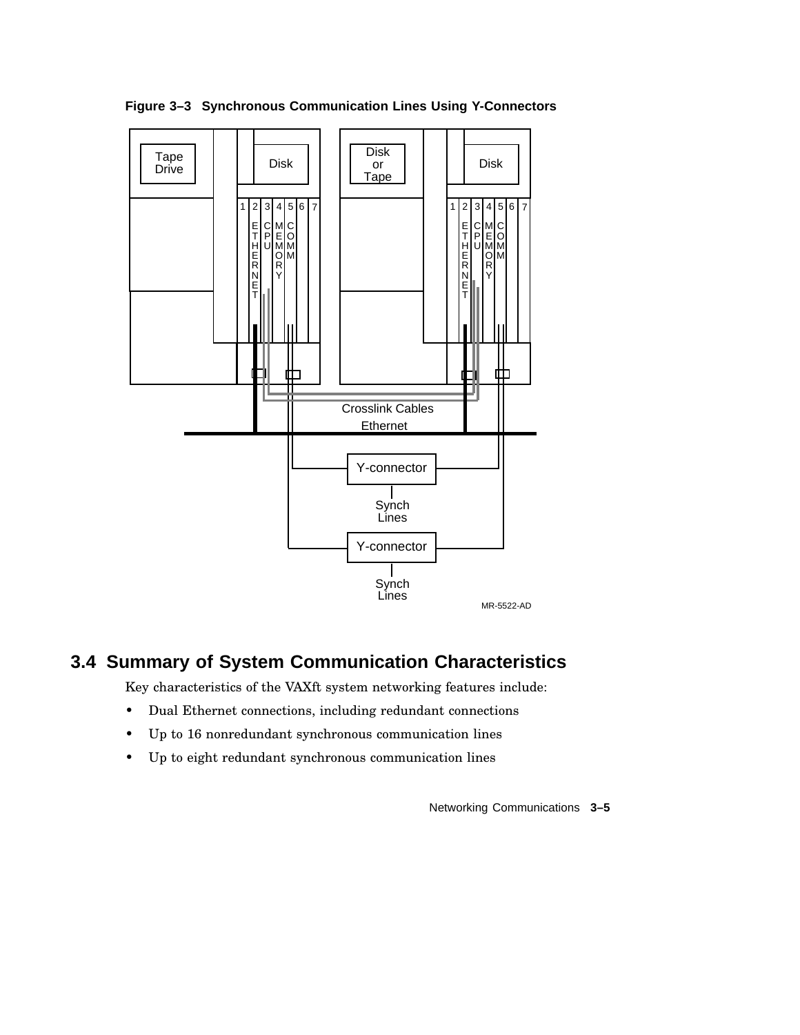

**Figure 3–3 Synchronous Communication Lines Using Y-Connectors**

## **3.4 Summary of System Communication Characteristics**

Key characteristics of the VAXft system networking features include:

- Dual Ethernet connections, including redundant connections
- Up to 16 nonredundant synchronous communication lines
- Up to eight redundant synchronous communication lines

Networking Communications **3–5**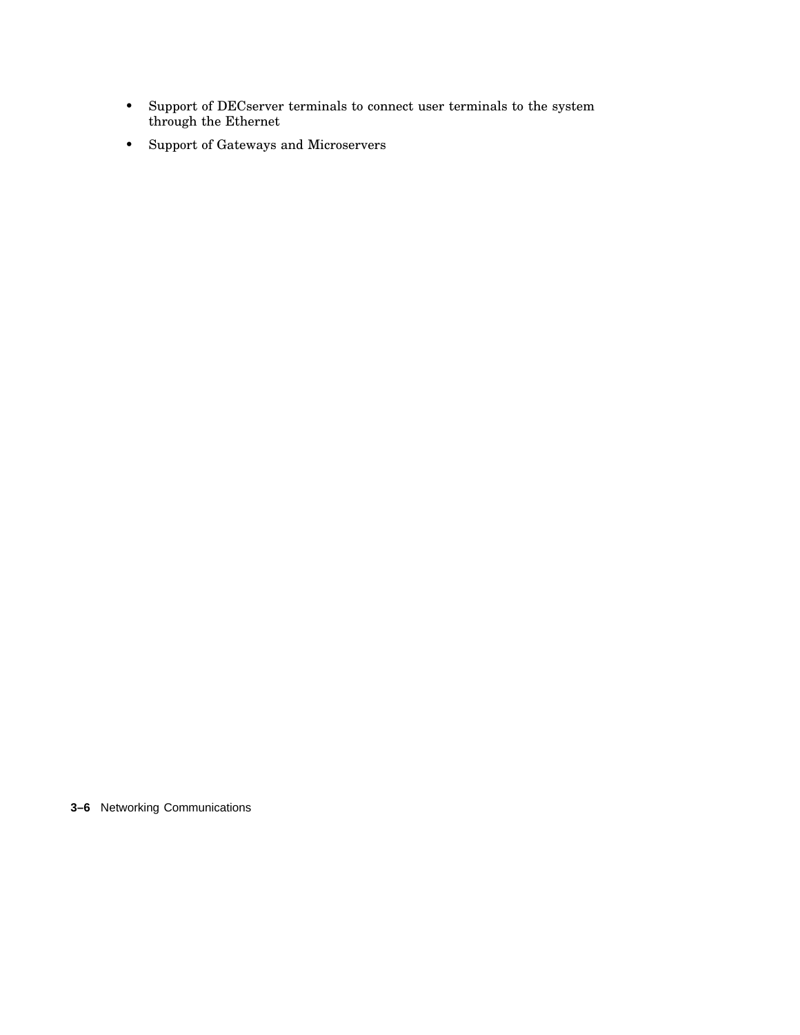- Support of DECserver terminals to connect user terminals to the system through the Ethernet
- Support of Gateways and Microservers

**3–6** Networking Communications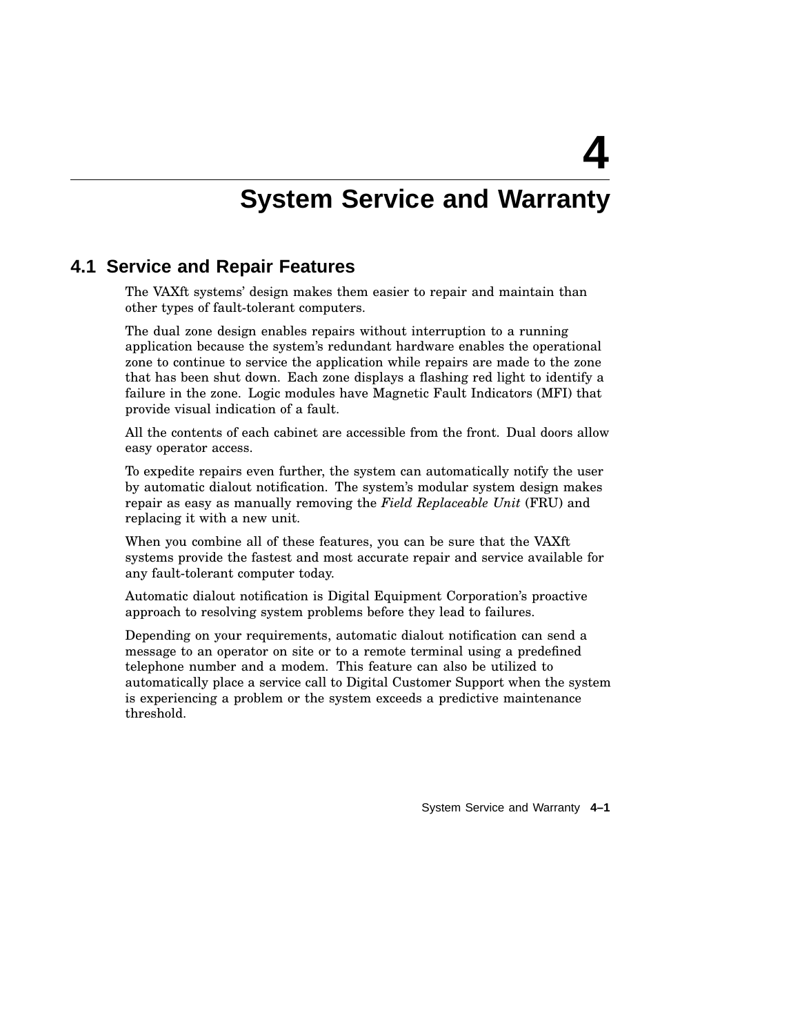# **System Service and Warranty**

**4**

## **4.1 Service and Repair Features**

The VAXft systems' design makes them easier to repair and maintain than other types of fault-tolerant computers.

The dual zone design enables repairs without interruption to a running application because the system's redundant hardware enables the operational zone to continue to service the application while repairs are made to the zone that has been shut down. Each zone displays a flashing red light to identify a failure in the zone. Logic modules have Magnetic Fault Indicators (MFI) that provide visual indication of a fault.

All the contents of each cabinet are accessible from the front. Dual doors allow easy operator access.

To expedite repairs even further, the system can automatically notify the user by automatic dialout notification. The system's modular system design makes repair as easy as manually removing the *Field Replaceable Unit* (FRU) and replacing it with a new unit.

When you combine all of these features, you can be sure that the VAXft systems provide the fastest and most accurate repair and service available for any fault-tolerant computer today.

Automatic dialout notification is Digital Equipment Corporation's proactive approach to resolving system problems before they lead to failures.

Depending on your requirements, automatic dialout notification can send a message to an operator on site or to a remote terminal using a predefined telephone number and a modem. This feature can also be utilized to automatically place a service call to Digital Customer Support when the system is experiencing a problem or the system exceeds a predictive maintenance threshold.

System Service and Warranty **4–1**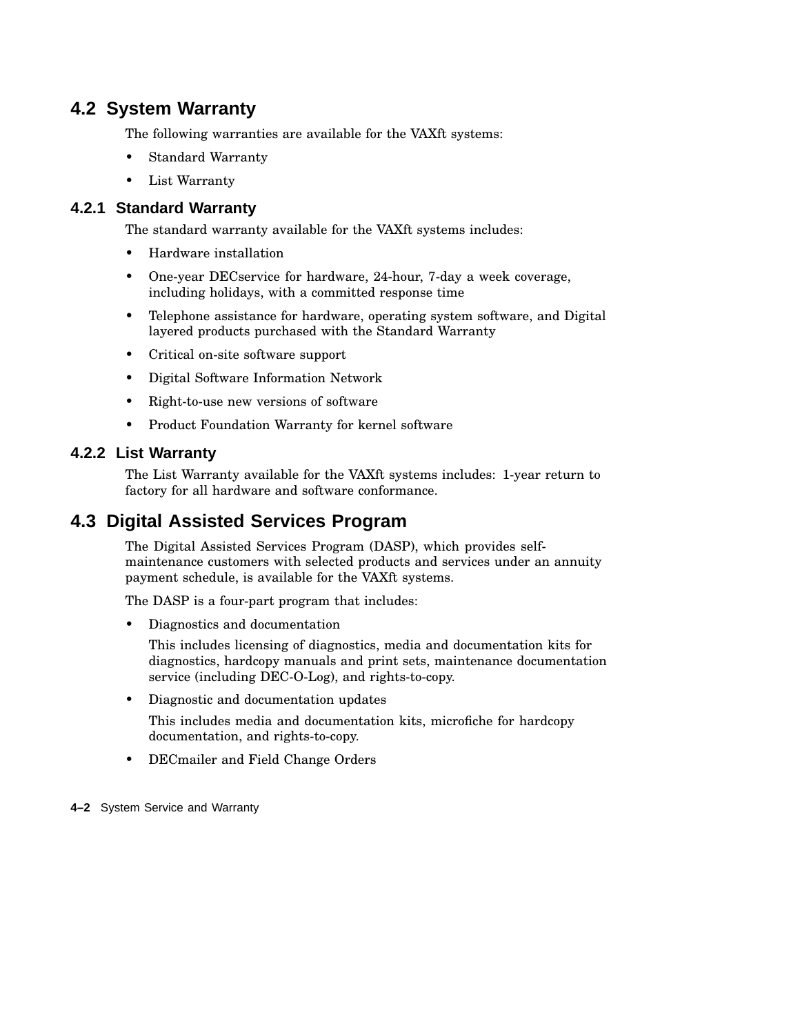## **4.2 System Warranty**

The following warranties are available for the VAXft systems:

- Standard Warranty
- List Warranty

## **4.2.1 Standard Warranty**

The standard warranty available for the VAXft systems includes:

- Hardware installation
- One-year DECservice for hardware, 24-hour, 7-day a week coverage, including holidays, with a committed response time
- Telephone assistance for hardware, operating system software, and Digital layered products purchased with the Standard Warranty
- Critical on-site software support
- Digital Software Information Network
- Right-to-use new versions of software
- Product Foundation Warranty for kernel software

## **4.2.2 List Warranty**

The List Warranty available for the VAXft systems includes: 1-year return to factory for all hardware and software conformance.

## **4.3 Digital Assisted Services Program**

The Digital Assisted Services Program (DASP), which provides selfmaintenance customers with selected products and services under an annuity payment schedule, is available for the VAXft systems.

The DASP is a four-part program that includes:

• Diagnostics and documentation

This includes licensing of diagnostics, media and documentation kits for diagnostics, hardcopy manuals and print sets, maintenance documentation service (including DEC-O-Log), and rights-to-copy.

• Diagnostic and documentation updates

This includes media and documentation kits, microfiche for hardcopy documentation, and rights-to-copy.

• DECmailer and Field Change Orders

**4–2** System Service and Warranty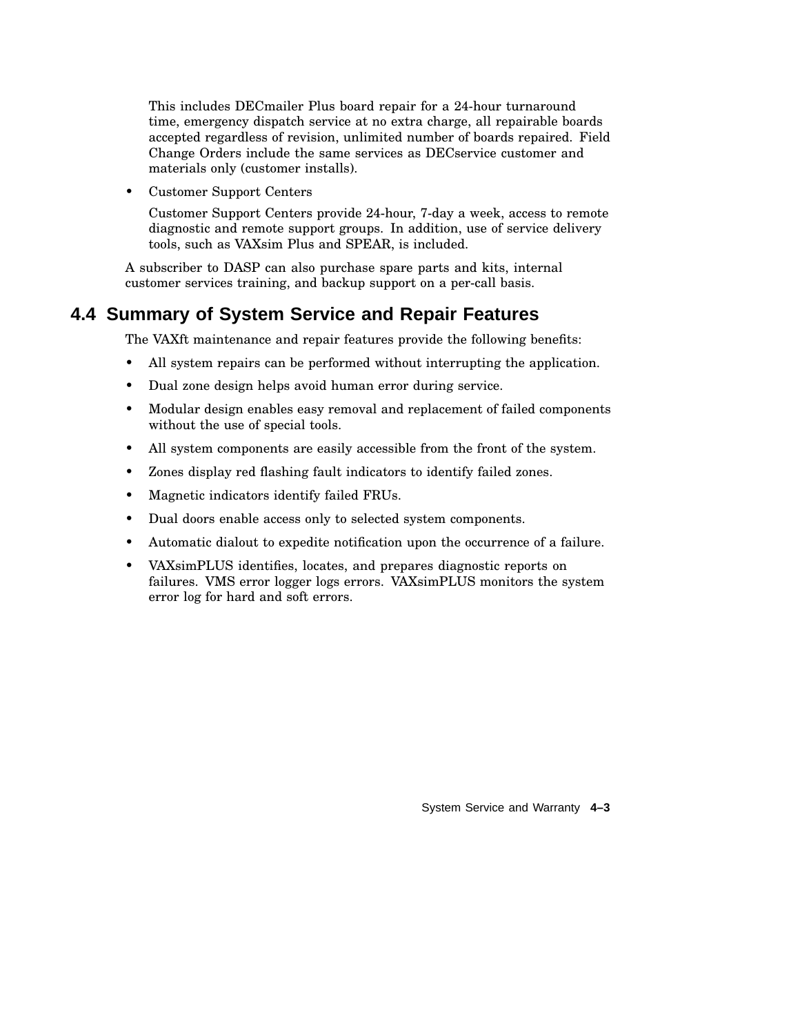This includes DECmailer Plus board repair for a 24-hour turnaround time, emergency dispatch service at no extra charge, all repairable boards accepted regardless of revision, unlimited number of boards repaired. Field Change Orders include the same services as DECservice customer and materials only (customer installs).

• Customer Support Centers

Customer Support Centers provide 24-hour, 7-day a week, access to remote diagnostic and remote support groups. In addition, use of service delivery tools, such as VAXsim Plus and SPEAR, is included.

A subscriber to DASP can also purchase spare parts and kits, internal customer services training, and backup support on a per-call basis.

## **4.4 Summary of System Service and Repair Features**

The VAXft maintenance and repair features provide the following benefits:

- All system repairs can be performed without interrupting the application.
- Dual zone design helps avoid human error during service.
- Modular design enables easy removal and replacement of failed components without the use of special tools.
- All system components are easily accessible from the front of the system.
- Zones display red flashing fault indicators to identify failed zones.
- Magnetic indicators identify failed FRUs.
- Dual doors enable access only to selected system components.
- Automatic dialout to expedite notification upon the occurrence of a failure.
- VAXsimPLUS identifies, locates, and prepares diagnostic reports on failures. VMS error logger logs errors. VAXsimPLUS monitors the system error log for hard and soft errors.

System Service and Warranty **4–3**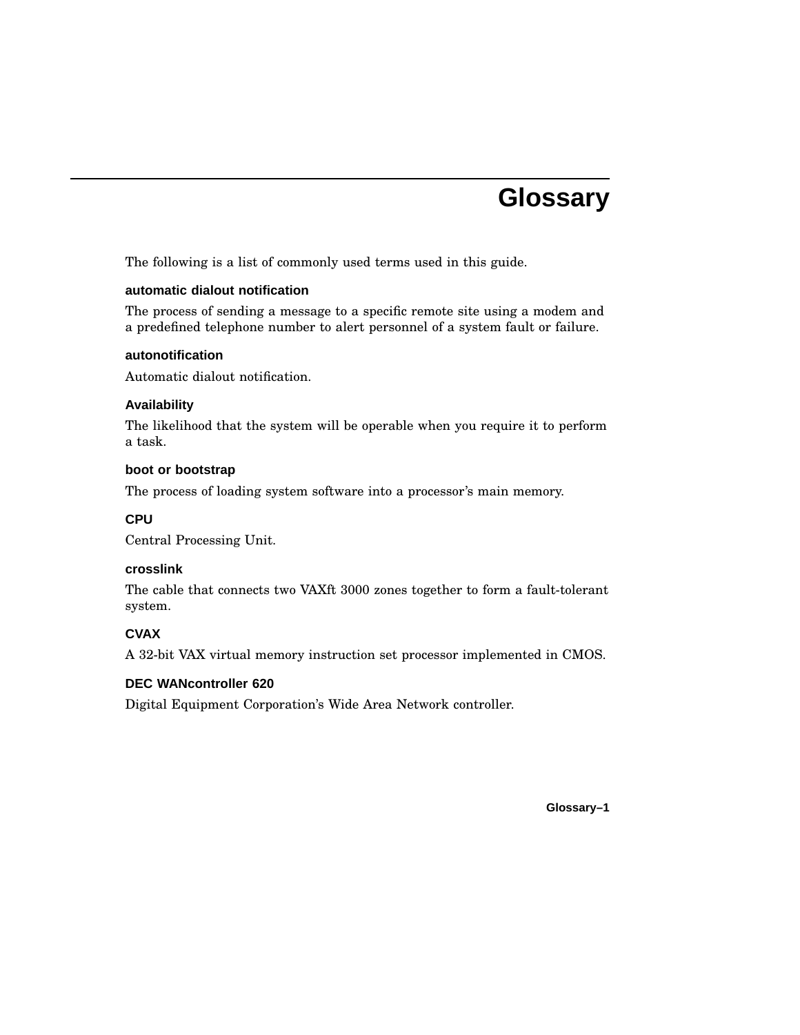# **Glossary**

The following is a list of commonly used terms used in this guide.

## **automatic dialout notification**

The process of sending a message to a specific remote site using a modem and a predefined telephone number to alert personnel of a system fault or failure.

#### **autonotification**

Automatic dialout notification.

## **Availability**

The likelihood that the system will be operable when you require it to perform a task.

#### **boot or bootstrap**

The process of loading system software into a processor's main memory.

## **CPU**

Central Processing Unit.

## **crosslink**

The cable that connects two VAXft 3000 zones together to form a fault-tolerant system.

## **CVAX**

A 32-bit VAX virtual memory instruction set processor implemented in CMOS.

## **DEC WANcontroller 620**

Digital Equipment Corporation's Wide Area Network controller.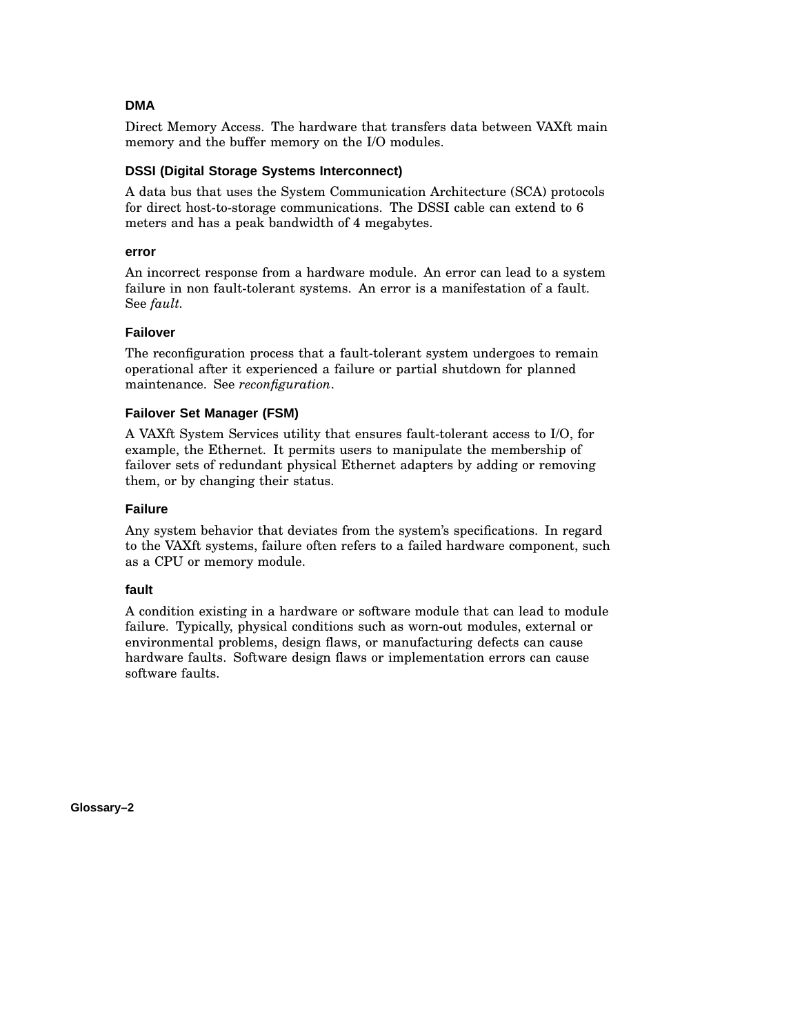## **DMA**

Direct Memory Access. The hardware that transfers data between VAXft main memory and the buffer memory on the I/O modules.

## **DSSI (Digital Storage Systems Interconnect)**

A data bus that uses the System Communication Architecture (SCA) protocols for direct host-to-storage communications. The DSSI cable can extend to 6 meters and has a peak bandwidth of 4 megabytes.

#### **error**

An incorrect response from a hardware module. An error can lead to a system failure in non fault-tolerant systems. An error is a manifestation of a fault. See *fault.*

## **Failover**

The reconfiguration process that a fault-tolerant system undergoes to remain operational after it experienced a failure or partial shutdown for planned maintenance. See *reconfiguration*.

## **Failover Set Manager (FSM)**

A VAXft System Services utility that ensures fault-tolerant access to I/O, for example, the Ethernet. It permits users to manipulate the membership of failover sets of redundant physical Ethernet adapters by adding or removing them, or by changing their status.

## **Failure**

Any system behavior that deviates from the system's specifications. In regard to the VAXft systems, failure often refers to a failed hardware component, such as a CPU or memory module.

## **fault**

A condition existing in a hardware or software module that can lead to module failure. Typically, physical conditions such as worn-out modules, external or environmental problems, design flaws, or manufacturing defects can cause hardware faults. Software design flaws or implementation errors can cause software faults.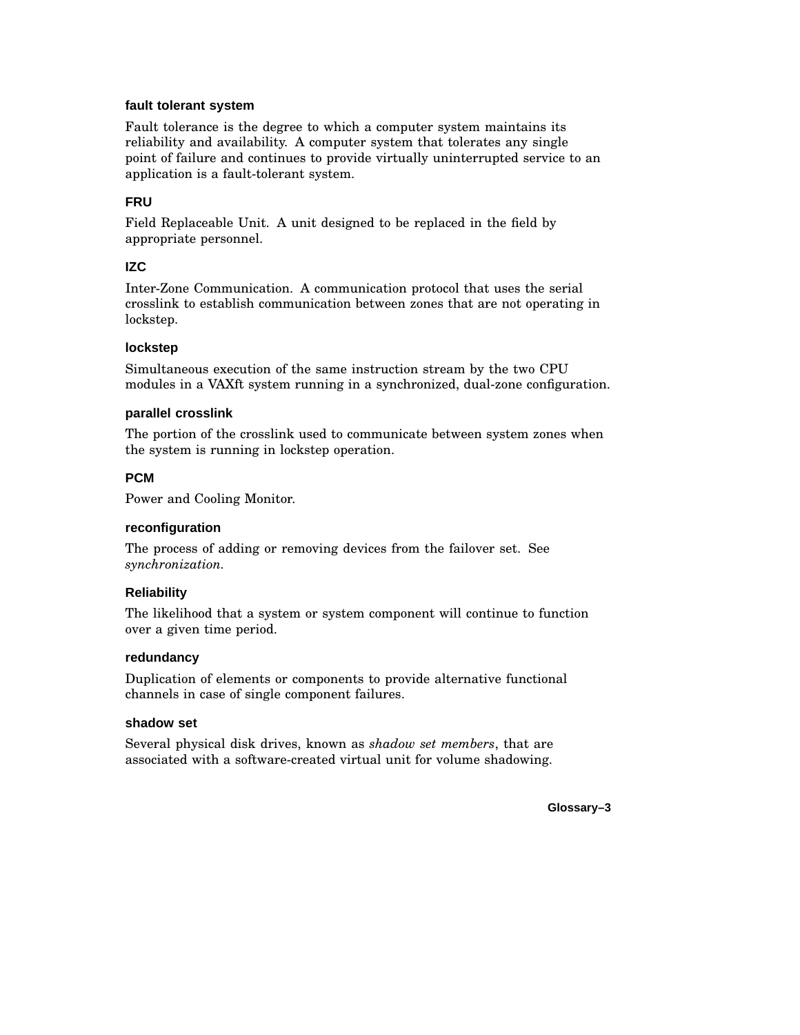## **fault tolerant system**

Fault tolerance is the degree to which a computer system maintains its reliability and availability. A computer system that tolerates any single point of failure and continues to provide virtually uninterrupted service to an application is a fault-tolerant system.

## **FRU**

Field Replaceable Unit. A unit designed to be replaced in the field by appropriate personnel.

## **IZC**

Inter-Zone Communication. A communication protocol that uses the serial crosslink to establish communication between zones that are not operating in lockstep.

## **lockstep**

Simultaneous execution of the same instruction stream by the two CPU modules in a VAXft system running in a synchronized, dual-zone configuration.

#### **parallel crosslink**

The portion of the crosslink used to communicate between system zones when the system is running in lockstep operation.

#### **PCM**

Power and Cooling Monitor.

## **reconfiguration**

The process of adding or removing devices from the failover set. See *synchronization.*

## **Reliability**

The likelihood that a system or system component will continue to function over a given time period.

#### **redundancy**

Duplication of elements or components to provide alternative functional channels in case of single component failures.

#### **shadow set**

Several physical disk drives, known as *shadow set members*, that are associated with a software-created virtual unit for volume shadowing.